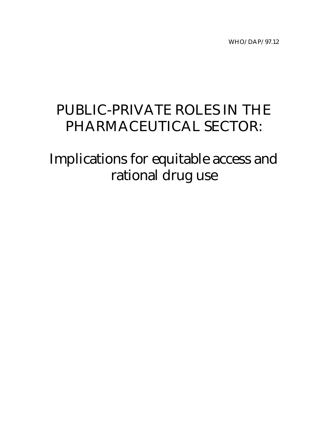WHO/DAP/97.12

# PUBLIC-PRIVATE ROLES IN THE PHARMACEUTICAL SECTOR:

Implications for equitable access and rational drug use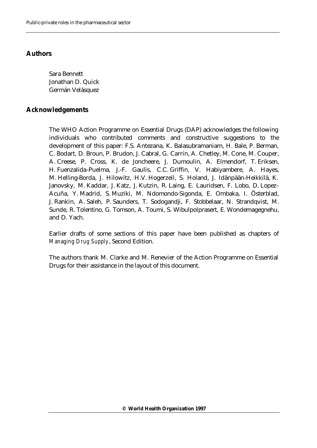## **Authors**

Sara Bennett Jonathan D. Quick Germán Velásquez

## **Acknowledgements**

The WHO Action Programme on Essential Drugs (DAP) acknowledges the following individuals who contributed comments and constructive suggestions to the development of this paper: F.S. Antezana, K. Balasubramaniam, H. Bale, P. Berman, C. Bodart, D. Broun, P. Brudon, J. Cabral, G. Carrin, A. Chetley, M. Cone, M. Couper, A. Creese, P. Cross, K. de Joncheere, J. Dumoulin, A. Elmendorf, T. Eriksen, H. Fuenzalida-Puelma, J.-F. Gaulis, C.C. Griffin, V. Habiyambere, A. Hayes, M. Helling-Borda, J. Hilowitz, H.V. Hogerzeil, S. Holand, J. Idänpään-Heikkilä, K. Janovsky, M. Kaddar, J. Katz, J. Kutzin, R. Laing, E. Lauridsen, F. Lobo, D. Lopez-Acuña, Y. Madrid, S. Muziki, M. Ndomondo-Sigonda, E. Ombaka, I. Österblad, J. Rankin, A. Saleh, P. Saunders, T. Sodogandji, F. Stobbelaar, N. Strandqvist, M. Sunde, R. Tolentino, G. Tomson, A. Toumi, S. Wibulpolprasert, E. Wondemagegnehu, and D. Yach.

Earlier drafts of some sections of this paper have been published as chapters of *Managing Drug Supply*, Second Edition.

The authors thank M. Clarke and M. Renevier of the Action Programme on Essential Drugs for their assistance in the layout of this document.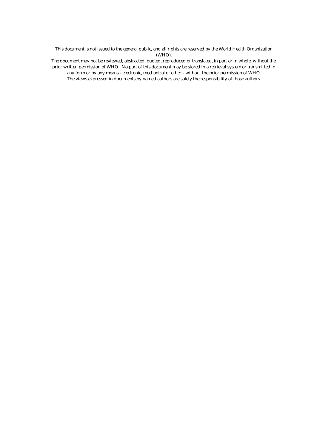This document is not issued to the general public, and all rights are reserved by the World Health Organization (WHO).

The document may not be reviewed, abstracted, quoted, reproduced or translated, in part or in whole, without the prior written permission of WHO. No part of this document may be stored in a retrieval system or transmitted in

any form or by any means - electronic, mechanical or other - without the prior permission of WHO. The views expressed in documents by named authors are solely the responsibility of those authors.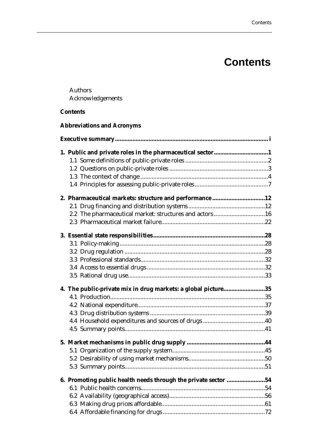## **Contents**

|                 | Acknowledgements                                               |  |
|-----------------|----------------------------------------------------------------|--|
| <b>Contents</b> |                                                                |  |
|                 | <b>Abbreviations and Acronyms</b>                              |  |
|                 |                                                                |  |
|                 | 1. Public and private roles in the pharmaceutical sector1      |  |
|                 |                                                                |  |
|                 |                                                                |  |
|                 |                                                                |  |
|                 |                                                                |  |
|                 | 2. Pharmaceutical markets: structure and performance12         |  |
|                 |                                                                |  |
|                 | 2.2 The pharmaceutical market: structures and actors16         |  |
|                 |                                                                |  |
|                 |                                                                |  |
|                 |                                                                |  |
|                 |                                                                |  |
|                 |                                                                |  |
|                 |                                                                |  |
|                 |                                                                |  |
|                 | 4. The public-private mix in drug markets: a global picture35  |  |
|                 |                                                                |  |
|                 |                                                                |  |
|                 |                                                                |  |
|                 |                                                                |  |
|                 |                                                                |  |
|                 |                                                                |  |
|                 |                                                                |  |
|                 |                                                                |  |
|                 |                                                                |  |
|                 | 6. Promoting public health needs through the private sector 54 |  |
|                 |                                                                |  |
|                 |                                                                |  |
|                 |                                                                |  |
|                 |                                                                |  |

Authors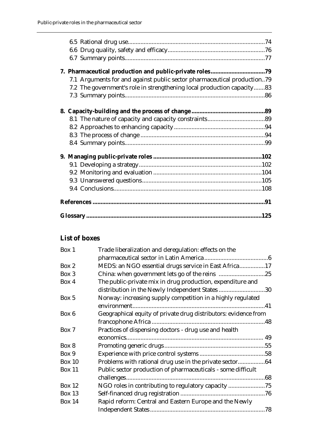| 7.1 Arguments for and against public sector pharmaceutical production79 |  |
|-------------------------------------------------------------------------|--|
| 7.2 The government's role in strengthening local production capacity83  |  |
|                                                                         |  |
|                                                                         |  |
|                                                                         |  |
|                                                                         |  |
|                                                                         |  |
|                                                                         |  |
|                                                                         |  |
|                                                                         |  |
|                                                                         |  |
|                                                                         |  |
|                                                                         |  |
|                                                                         |  |
|                                                                         |  |

## **List of boxes**

| Box 1         | Trade liberalization and deregulation: effects on the           |  |
|---------------|-----------------------------------------------------------------|--|
|               |                                                                 |  |
| Box 2         | MEDS: an NGO essential drugs service in East Africa17           |  |
| Box 3         | China: when government lets go of the reins 25                  |  |
| Box 4         | The public-private mix in drug production, expenditure and      |  |
|               | distribution in the Newly Independent States 30                 |  |
| Box 5         | Norway: increasing supply competition in a highly regulated     |  |
|               |                                                                 |  |
| Box 6         | Geographical equity of private drug distributors: evidence from |  |
|               |                                                                 |  |
| Box 7         | Practices of dispensing doctors - drug use and health           |  |
|               |                                                                 |  |
| Box 8         |                                                                 |  |
| Box 9         |                                                                 |  |
| Box 10        | Problems with rational drug use in the private sector64         |  |
| <b>Box 11</b> | Public sector production of pharmaceuticals - some difficult    |  |
|               |                                                                 |  |
| <b>Box 12</b> | NGO roles in contributing to regulatory capacity 75             |  |
| Box 13        |                                                                 |  |
| <b>Box 14</b> | Rapid reform: Central and Eastern Europe and the Newly          |  |
|               |                                                                 |  |
|               |                                                                 |  |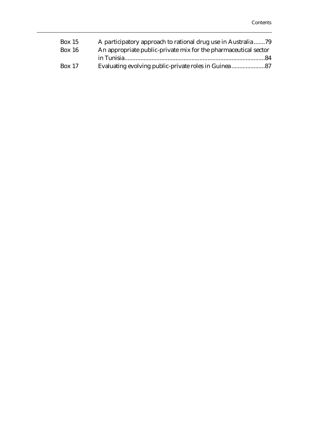| Box 15 | A participatory approach to rational drug use in Australia79    |
|--------|-----------------------------------------------------------------|
| Box 16 | An appropriate public-private mix for the pharmaceutical sector |
|        |                                                                 |
| Box 17 |                                                                 |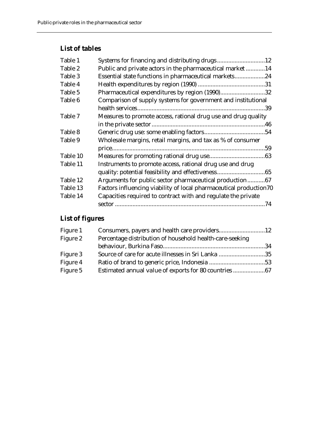## **List of tables**

| Table 1  |                                                                    |     |
|----------|--------------------------------------------------------------------|-----|
| Table 2  | Public and private actors in the pharmaceutical market14           |     |
| Table 3  | Essential state functions in pharmaceutical markets24              |     |
| Table 4  |                                                                    |     |
| Table 5  | Pharmaceutical expenditures by region (1990)32                     |     |
| Table 6  | Comparison of supply systems for government and institutional      |     |
|          |                                                                    |     |
| Table 7  | Measures to promote access, rational drug use and drug quality     |     |
|          |                                                                    |     |
| Table 8  |                                                                    |     |
| Table 9  | Wholesale margins, retail margins, and tax as % of consumer        |     |
|          |                                                                    |     |
| Table 10 |                                                                    |     |
| Table 11 | Instruments to promote access, rational drug use and drug          |     |
|          |                                                                    |     |
| Table 12 | Arguments for public sector pharmaceutical production67            |     |
| Table 13 | Factors influencing viability of local pharmaceutical production70 |     |
| Table 14 | Capacities required to contract with and regulate the private      |     |
|          |                                                                    | .74 |

## **List of figures**

| Figure 1 | Consumers, payers and health care providers12            |  |
|----------|----------------------------------------------------------|--|
| Figure 2 | Percentage distribution of household health-care-seeking |  |
|          |                                                          |  |
| Figure 3 | Source of care for acute illnesses in Sri Lanka 35       |  |
| Figure 4 |                                                          |  |
| Figure 5 |                                                          |  |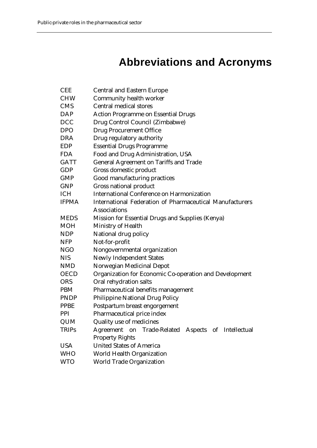## **Abbreviations and Acronyms**

| <b>CEE</b>   | <b>Central and Eastern Europe</b>                              |  |  |  |  |
|--------------|----------------------------------------------------------------|--|--|--|--|
| <b>CHW</b>   | Community health worker                                        |  |  |  |  |
| <b>CMS</b>   | <b>Central medical stores</b>                                  |  |  |  |  |
| DAP          | <b>Action Programme on Essential Drugs</b>                     |  |  |  |  |
| DCC          | Drug Control Council (Zimbabwe)                                |  |  |  |  |
| <b>DPO</b>   | <b>Drug Procurement Office</b>                                 |  |  |  |  |
| <b>DRA</b>   | Drug regulatory authority                                      |  |  |  |  |
| <b>EDP</b>   | <b>Essential Drugs Programme</b>                               |  |  |  |  |
| <b>FDA</b>   | Food and Drug Administration, USA                              |  |  |  |  |
| <b>GATT</b>  | <b>General Agreement on Tariffs and Trade</b>                  |  |  |  |  |
| <b>GDP</b>   | Gross domestic product                                         |  |  |  |  |
| <b>GMP</b>   | Good manufacturing practices                                   |  |  |  |  |
| <b>GNP</b>   | Gross national product                                         |  |  |  |  |
| <b>ICH</b>   | <b>International Conference on Harmonization</b>               |  |  |  |  |
| <b>IFPMA</b> | International Federation of Pharmaceutical Manufacturers       |  |  |  |  |
|              | <b>Associations</b>                                            |  |  |  |  |
| <b>MEDS</b>  | Mission for Essential Drugs and Supplies (Kenya)               |  |  |  |  |
| MOH          | Ministry of Health                                             |  |  |  |  |
| <b>NDP</b>   | National drug policy                                           |  |  |  |  |
| <b>NFP</b>   | Not-for-profit                                                 |  |  |  |  |
| <b>NGO</b>   | Nongovernmental organization                                   |  |  |  |  |
| <b>NIS</b>   | <b>Newly Independent States</b>                                |  |  |  |  |
| <b>NMD</b>   | Norwegian Medicinal Depot                                      |  |  |  |  |
| <b>OECD</b>  | Organization for Economic Co-operation and Development         |  |  |  |  |
| <b>ORS</b>   | Oral rehydration salts                                         |  |  |  |  |
| <b>PBM</b>   | Pharmaceutical benefits management                             |  |  |  |  |
| <b>PNDP</b>  | <b>Philippine National Drug Policy</b>                         |  |  |  |  |
| <b>PPBE</b>  | Postpartum breast engorgement                                  |  |  |  |  |
| <b>PPI</b>   | Pharmaceutical price index                                     |  |  |  |  |
| QUM          | Quality use of medicines                                       |  |  |  |  |
| <b>TRIPs</b> | Agreement<br>Trade-Related<br>Aspects<br>of Intellectual<br>on |  |  |  |  |
|              | <b>Property Rights</b>                                         |  |  |  |  |
| <b>USA</b>   | <b>United States of America</b>                                |  |  |  |  |
| <b>WHO</b>   | <b>World Health Organization</b>                               |  |  |  |  |
| <b>WTO</b>   | <b>World Trade Organization</b>                                |  |  |  |  |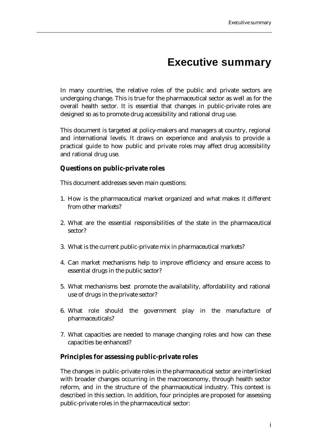## **Executive summary**

In many countries, the relative roles of the public and private sectors are undergoing change. This is true for the pharmaceutical sector as well as for the overall health sector. It is essential that changes in public-private roles are designed so as to promote drug accessibility and rational drug use.

This document is targeted at policy-makers and managers at country, regional and international levels. It draws on experience and analysis to provide a practical guide to how public and private roles may affect drug accessibility and rational drug use.

#### **Questions on public-private roles**

This document addresses seven main questions:

- 1. How is the pharmaceutical market organized and what makes it different from other markets?
- 2. What are the essential responsibilities of the state in the pharmaceutical sector?
- 3. What is the current public-private mix in pharmaceutical markets?
- 4. Can market mechanisms help to improve efficiency and ensure access to essential drugs in the public sector?
- 5. What mechanisms best promote the availability, affordability and rational use of drugs in the private sector?
- 6. What role should the government play in the manufacture of pharmaceuticals?
- 7. What capacities are needed to manage changing roles and how can these capacities be enhanced?

#### **Principles for assessing public-private roles**

The changes in public-private roles in the pharmaceutical sector are interlinked with broader changes occurring in the macroeconomy, through health sector reform, and in the structure of the pharmaceutical industry. This context is described in this section. In addition, four principles are proposed for assessing public-private roles in the pharmaceutical sector: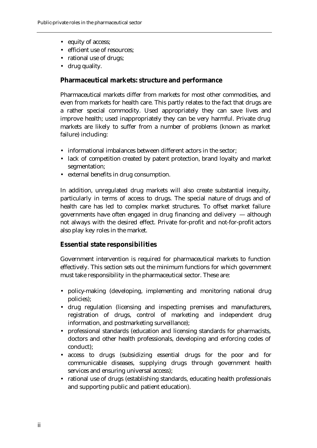- equity of access;
- efficient use of resources;
- rational use of drugs;
- drug quality.

## **Pharmaceutical markets: structure and performance**

Pharmaceutical markets differ from markets for most other commodities, and even from markets for health care. This partly relates to the fact that drugs are a rather special commodity. Used appropriately they can save lives and improve health; used inappropriately they can be very harmful. Private drug markets are likely to suffer from a number of problems (known as market failure) including:

- informational imbalances between different actors in the sector:
- lack of competition created by patent protection, brand loyalty and market segmentation;
- external benefits in drug consumption.

In addition, unregulated drug markets will also create substantial inequity, particularly in terms of access to drugs. The special nature of drugs and of health care has led to complex market structures. To offset market failure governments have often engaged in drug financing and delivery — although not always with the desired effect. Private for-profit and not-for-profit actors also play key roles in the market.

## **Essential state responsibilities**

Government intervention is required for pharmaceutical markets to function effectively. This section sets out the minimum functions for which government must take responsibility in the pharmaceutical sector. These are:

- policy-making (developing, implementing and monitoring national drug policies);
- drug regulation (licensing and inspecting premises and manufacturers, registration of drugs, control of marketing and independent drug information, and postmarketing surveillance);
- professional standards (education and licensing standards for pharmacists, doctors and other health professionals, developing and enforcing codes of conduct);
- access to drugs (subsidizing essential drugs for the poor and for communicable diseases, supplying drugs through government health services and ensuring universal access);
- rational use of drugs (establishing standards, educating health professionals and supporting public and patient education).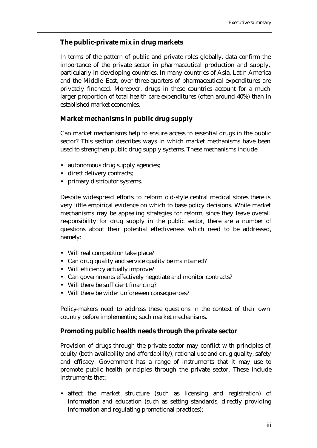### **The public-private mix in drug markets**

In terms of the pattern of public and private roles globally, data confirm the importance of the private sector in pharmaceutical production and supply, particularly in developing countries. In many countries of Asia, Latin America and the Middle East, over three-quarters of pharmaceutical expenditures are privately financed. Moreover, drugs in these countries account for a much larger proportion of total health care expenditures (often around 40%) than in established market economies.

## **Market mechanisms in public drug supply**

Can market mechanisms help to ensure access to essential drugs in the public sector? This section describes ways in which market mechanisms have been used to strengthen public drug supply systems. These mechanisms include:

- autonomous drug supply agencies;
- direct delivery contracts;
- primary distributor systems.

Despite widespread efforts to reform old-style central medical stores there is very little empirical evidence on which to base policy decisions. While market mechanisms may be appealing strategies for reform, since they leave overall responsibility for drug supply in the public sector, there are a number of questions about their potential effectiveness which need to be addressed, namely:

- Will real competition take place?
- Can drug quality and service quality be maintained?
- Will efficiency actually improve?
- Can governments effectively negotiate and monitor contracts?
- Will there be sufficient financing?
- Will there be wider unforeseen consequences?

Policy-makers need to address these questions in the context of their own country before implementing such market mechanisms.

## **Promoting public health needs through the private sector**

Provision of drugs through the private sector may conflict with principles of equity (both availability and affordability), rational use and drug quality, safety and efficacy. Government has a range of instruments that it may use to promote public health principles through the private sector. These include instruments that:

• affect the market structure (such as licensing and registration) of information and education (such as setting standards, directly providing information and regulating promotional practices);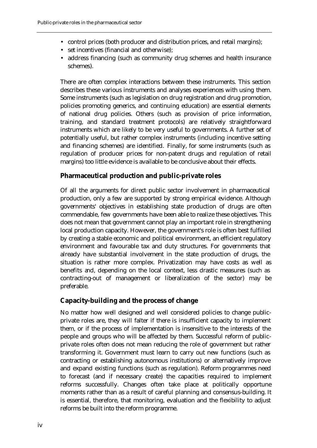- control prices (both producer and distribution prices, and retail margins);
- set incentives (financial and otherwise);
- address financing (such as community drug schemes and health insurance schemes).

There are often complex interactions between these instruments. This section describes these various instruments and analyses experiences with using them. Some instruments (such as legislation on drug registration and drug promotion, policies promoting generics, and continuing education) are essential elements of national drug policies. Others (such as provision of price information, training, and standard treatment protocols) are relatively straightforward instruments which are likely to be very useful to governments. A further set of potentially useful, but rather complex instruments (including incentive setting and financing schemes) are identified. Finally, for some instruments (such as regulation of producer prices for non-patent drugs and regulation of retail margins) too little evidence is available to be conclusive about their effects.

## **Pharmaceutical production and public-private roles**

Of all the arguments for direct public sector involvement in pharmaceutical production, only a few are supported by strong empirical evidence. Although governments' objectives in establishing state production of drugs are often commendable, few governments have been able to realize these objectives. This does not mean that government cannot play an important role in strengthening local production capacity. However, the government's role is often best fulfilled by creating a stable economic and political environment, an efficient regulatory environment and favourable tax and duty structures. For governments that already have substantial involvement in the state production of drugs, the situation is rather more complex. Privatization may have costs as well as benefits and, depending on the local context, less drastic measures (such as contracting-out of management or liberalization of the sector) may be preferable.

## **Capacity-building and the process of change**

No matter how well designed and well considered policies to change publicprivate roles are, they will falter if there is insufficient capacity to implement them, or if the process of implementation is insensitive to the interests of the people and groups who will be affected by them. Successful reform of publicprivate roles often does not mean reducing the role of government but rather transforming it. Government must learn to carry out new functions (such as contracting or establishing autonomous institutions) or alternatively improve and expand existing functions (such as regulation). Reform programmes need to forecast (and if necessary create) the capacities required to implement reforms successfully. Changes often take place at politically opportune moments rather than as a result of careful planning and consensus-building. It is essential, therefore, that monitoring, evaluation and the flexibility to adjust reforms be built into the reform programme.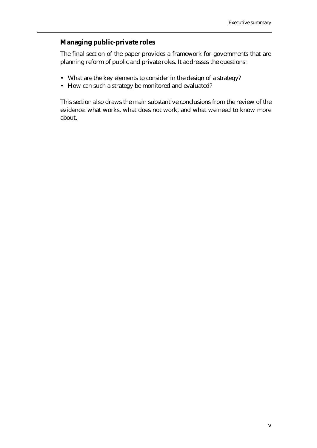## **Managing public-private roles**

The final section of the paper provides a framework for governments that are planning reform of public and private roles. It addresses the questions:

- What are the key elements to consider in the design of a strategy?
- How can such a strategy be monitored and evaluated?

This section also draws the main substantive conclusions from the review of the evidence: what works, what does not work, and what we need to know more about.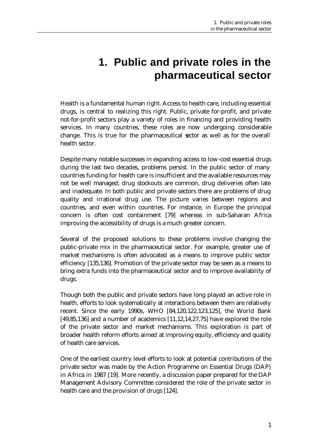## **1. Public and private roles in the pharmaceutical sector**

Health is a fundamental human right. Access to health care, including essential drugs, is central to realizing this right. Public, private for-profit, and private not-for-profit sectors play a variety of roles in financing and providing health services. In many countries, these roles are now undergoing considerable change. This is true for the pharmaceutical sector as well as for the overall health sector.

Despite many notable successes in expanding access to low-cost essential drugs during the last two decades, problems persist. In the public sector of many countries funding for health care is insufficient and the available resources may not be well managed; drug stockouts are common, drug deliveries often late and inadequate. In both public and private sectors there are problems of drug quality and irrational drug use. The picture varies between regions and countries, and even within countries. For instance, in Europe the principal concern is often cost containment [79] whereas in sub-Saharan Africa improving the accessibility of drugs is a much greater concern.

Several of the proposed solutions to these problems involve changing the public-private mix in the pharmaceutical sector. For example, greater use of market mechanisms is often advocated as a means to improve public sector efficiency [135,136]. Promotion of the private sector may be seen as a means to bring extra funds into the pharmaceutical sector and to improve availability of drugs.

Though both the public and private sectors have long played an active role in health, efforts to look systematically at interactions between them are relatively recent. Since the early 1990s, WHO [84,120,122,123,125], the World Bank [49,85,136] and a number of academics [11,12,14,27,75] have explored the role of the private sector and market mechanisms. This exploration is part of broader health reform efforts aimed at improving equity, efficiency and quality of health care services.

One of the earliest country level efforts to look at potential contributions of the private sector was made by the Action Programme on Essential Drugs (DAP) in Africa in 1987 [19]. More recently, a discussion paper prepared for the DAP Management Advisory Committee considered the role of the private sector in health care and the provision of drugs [124].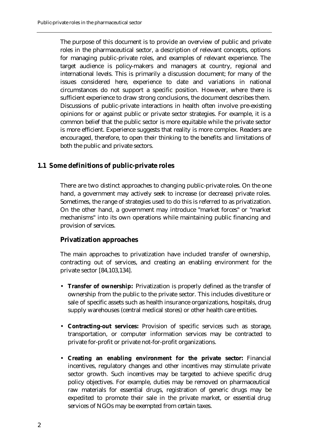The purpose of this document is to provide an overview of public and private roles in the pharmaceutical sector, a description of relevant concepts, options for managing public-private roles, and examples of relevant experience. The target audience is policy-makers and managers at country, regional and international levels. This is primarily a discussion document; for many of the issues considered here, experience to date and variations in national circumstances do not support a specific position. However, where there is sufficient experience to draw strong conclusions, the document describes them. Discussions of public-private interactions in health often involve pre-existing opinions for or against public or private sector strategies. For example, it is a common belief that the public sector is more equitable while the private sector is more efficient. Experience suggests that reality is more complex. Readers are encouraged, therefore, to open their thinking to the benefits and limitations of both the public and private sectors.

## **1.1 Some definitions of public-private roles**

There are two distinct approaches to changing public-private roles. On the one hand, a government may actively seek to increase (or decrease) private roles. Sometimes, the range of strategies used to do this is referred to as privatization. On the other hand, a government may introduce "market forces" or "market mechanisms" into its own operations while maintaining public financing and provision of services.

## **Privatization approaches**

The main approaches to privatization have included transfer of ownership, contracting out of services, and creating an enabling environment for the private sector [84,103,134].

- **Transfer of ownership:** Privatization is properly defined as the transfer of ownership from the public to the private sector. This includes divestiture or sale of specific assets such as health insurance organizations, hospitals, drug supply warehouses (central medical stores) or other health care entities.
- **Contracting-out services:** Provision of specific services such as storage, transportation, or computer information services may be contracted to private for-profit or private not-for-profit organizations.
- **Creating an enabling environment for the private sector:** Financial incentives, regulatory changes and other incentives may stimulate private sector growth. Such incentives may be targeted to achieve specific drug policy objectives. For example, duties may be removed on pharmaceutical raw materials for essential drugs, registration of generic drugs may be expedited to promote their sale in the private market, or essential drug services of NGOs may be exempted from certain taxes.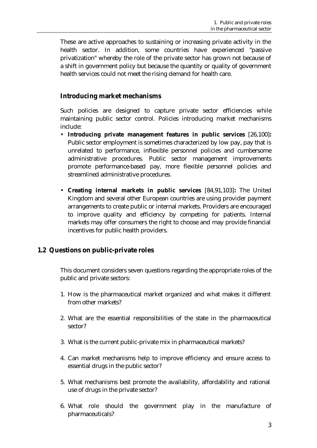These are active approaches to sustaining or increasing private activity in the health sector. In addition, some countries have experienced "passive privatization" whereby the role of the private sector has grown not because of a shift in government policy but because the quantity or quality of government health services could not meet the rising demand for health care.

#### **Introducing market mechanisms**

Such policies are designed to capture private sector efficiencies while maintaining public sector control. Policies introducing market mechanisms include:

- **Introducing private management features in public services** [26,100]**:** Public sector employment is sometimes characterized by low pay, pay that is unrelated to performance, inflexible personnel policies and cumbersome administrative procedures. Public sector management improvements promote performance-based pay, more flexible personnel policies and streamlined administrative procedures.
- **Creating internal markets in public services** [84,91,103]**:** The United Kingdom and several other European countries are using provider payment arrangements to create public or internal markets. Providers are encouraged to improve quality and efficiency by competing for patients. Internal markets may offer consumers the right to choose and may provide financial incentives for public health providers.

## **1.2 Questions on public-private roles**

This document considers seven questions regarding the appropriate roles of the public and private sectors:

- 1. How is the pharmaceutical market organized and what makes it different from other markets?
- 2. What are the essential responsibilities of the state in the pharmaceutical sector?
- 3. What is the current public-private mix in pharmaceutical markets?
- 4. Can market mechanisms help to improve efficiency and ensure access to essential drugs in the public sector?
- 5. What mechanisms best promote the availability, affordability and rational use of drugs in the private sector?
- 6. What role should the government play in the manufacture of pharmaceuticals?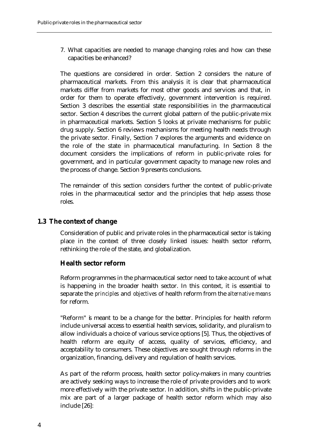7. What capacities are needed to manage changing roles and how can these capacities be enhanced?

The questions are considered in order. Section 2 considers the nature of pharmaceutical markets. From this analysis it is clear that pharmaceutical markets differ from markets for most other goods and services and that, in order for them to operate effectively, government intervention is required. Section 3 describes the essential state responsibilities in the pharmaceutical sector. Section 4 describes the current global pattern of the public-private mix in pharmaceutical markets. Section 5 looks at private mechanisms for public drug supply. Section 6 reviews mechanisms for meeting health needs through the private sector. Finally, Section 7 explores the arguments and evidence on the role of the state in pharmaceutical manufacturing. In Section 8 the document considers the implications of reform in public-private roles for government, and in particular government capacity to manage new roles and the process of change. Section 9 presents conclusions.

The remainder of this section considers further the context of public-private roles in the pharmaceutical sector and the principles that help assess those roles.

#### **1.3 The context of change**

Consideration of public and private roles in the pharmaceutical sector is taking place in the context of three closely linked issues: health sector reform, rethinking the role of the state, and globalization.

## **Health sector reform**

Reform programmes in the pharmaceutical sector need to take account of what is happening in the broader health sector. In this context, it is essential to separate the *principles* and *objectives* of health reform from the *alternative means* for reform.

"Reform" is meant to be a change for the better. Principles for health reform include universal access to essential health services, solidarity, and pluralism to allow individuals a choice of various service options [5]. Thus, the objectives of health reform are equity of access, quality of services, efficiency, and acceptability to consumers. These objectives are sought through reforms in the organization, financing, delivery and regulation of health services.

As part of the reform process, health sector policy-makers in many countries are actively seeking ways to increase the role of private providers and to work more effectively with the private sector. In addition, shifts in the public-private mix are part of a larger package of health sector reform which may also include [26]: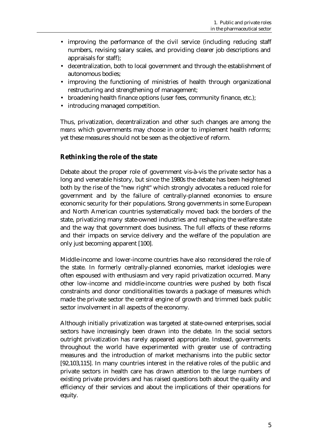- improving the performance of the civil service (including reducing staff numbers, revising salary scales, and providing clearer job descriptions and appraisals for staff);
- decentralization, both to local government and through the establishment of autonomous bodies;
- improving the functioning of ministries of health through organizational restructuring and strengthening of management;
- broadening health finance options (user fees, community finance, etc.);
- introducing managed competition.

Thus, privatization, decentralization and other such changes are among the *means* which governments may choose in order to implement health reforms; yet these measures should not be seen as the objective of reform.

## **Rethinking the role of the state**

Debate about the proper role of government vis-à-vis the private sector has a long and venerable history, but since the 1980s the debate has been heightened both by the rise of the "new right" which strongly advocates a reduced role for government and by the failure of centrally-planned economies to ensure economic security for their populations. Strong governments in some European and North American countries systematically moved back the borders of the state, privatizing many state-owned industries and reshaping the welfare state and the way that government does business. The full effects of these reforms and their impacts on service delivery and the welfare of the population are only just becoming apparent [100].

Middle-income and lower-income countries have also reconsidered the role of the state. In formerly centrally-planned economies, market ideologies were often espoused with enthusiasm and very rapid privatization occurred. Many other low-income and middle-income countries were pushed by both fiscal constraints and donor conditionalities towards a package of measures which made the private sector the central engine of growth and trimmed back public sector involvement in all aspects of the economy.

Although initially privatization was targeted at state-owned enterprises, social sectors have increasingly been drawn into the debate. In the social sectors outright privatization has rarely appeared appropriate. Instead, governments throughout the world have experimented with greater use of contracting measures and the introduction of market mechanisms into the public sector [92,103,115]. In many countries interest in the relative roles of the public and private sectors in health care has drawn attention to the large numbers of existing private providers and has raised questions both about the quality and efficiency of their services and about the implications of their operations for equity.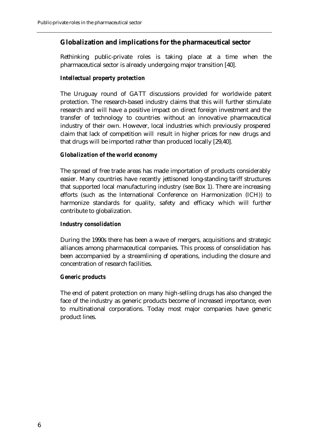## **Globalization and implications for the pharmaceutical sector**

Rethinking public-private roles is taking place at a time when the pharmaceutical sector is already undergoing major transition [40].

#### *Intellectual property protection*

The Uruguay round of GATT discussions provided for worldwide patent protection. The research-based industry claims that this will further stimulate research and will have a positive impact on direct foreign investment and the transfer of technology to countries without an innovative pharmaceutical industry of their own. However, local industries which previously prospered claim that lack of competition will result in higher prices for new drugs and that drugs will be imported rather than produced locally [29,40].

#### *Globalization of the world economy*

The spread of free trade areas has made importation of products considerably easier. Many countries have recently jettisoned long-standing tariff structures that supported local manufacturing industry (see Box 1). There are increasing efforts (such as the International Conference on Harmonization (ICH)) to harmonize standards for quality, safety and efficacy which will further contribute to globalization.

#### *Industry consolidation*

During the 1990s there has been a wave of mergers, acquisitions and strategic alliances among pharmaceutical companies. This process of consolidation has been accompanied by a streamlining of operations, including the closure and concentration of research facilities.

#### *Generic products*

The end of patent protection on many high-selling drugs has also changed the face of the industry as generic products become of increased importance, even to multinational corporations. Today most major companies have generic product lines.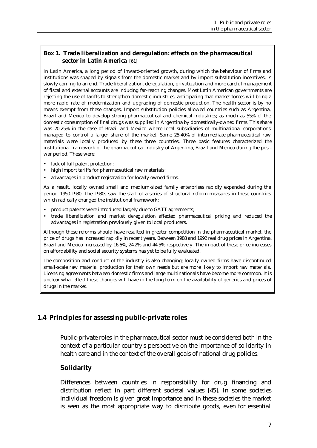### **Box 1. Trade liberalization and deregulation: effects on the pharmaceutical sector in Latin America** [61]

In Latin America, a long period of inward-oriented growth, during which the behaviour of firms and institutions was shaped by signals from the domestic market and by import substitution incentives, is slowly coming to an end. Trade liberalization, deregulation, privatization and more careful management of fiscal and external accounts are inducing far-reaching changes. Most Latin American governments are rejecting the use of tariffs to strengthen domestic industries, anticipating that market forces will bring a more rapid rate of modernization and upgrading of domestic production. The health sector is by no means exempt from these changes. Import substitution policies allowed countries such as Argentina, Brazil and Mexico to develop strong pharmaceutical and chemical industries; as much as 55% of the domestic consumption of final drugs was supplied in Argentina by domestically-owned firms. This share was 20-25% in the case of Brazil and Mexico where local subsidiaries of multinational corporations managed to control a larger share of the market. Some 25-40% of intermediate pharmaceutical raw materials were locally produced by these three countries. Three basic features characterized the institutional framework of the pharmaceutical industry of Argentina, Brazil and Mexico during the postwar period. These were:

- lack of full patent protection;
- high import tariffs for pharmaceutical raw materials;
- advantages in product registration for locally owned firms.

As a result, locally owned small and medium-sized family enterprises rapidly expanded during the period 1950-1980. The 1980s saw the start of a series of structural reform measures in these countries which radically changed the institutional framework:

- product patents were introduced largely due to GATT agreements;
- trade liberalization and market deregulation affected pharmaceutical pricing and reduced the advantages in registration previously given to local producers.

Although these reforms should have resulted in greater competition in the pharmaceutical market, the price of drugs has increased rapidly in recent years. Between 1988 and 1992 real drug prices in Argentina, Brazil and Mexico increased by 16.6%, 24.2% and 44.5% respectively. The impact of these price increases on affordability and social security systems has yet to be fully evaluated.

The composition and conduct of the industry is also changing; locally owned firms have discontinued small-scale raw material production for their own needs but are more likely to import raw materials. Licensing agreements between domestic firms and large multinationals have become more common. It is unclear what effect these changes will have in the long term on the availability of generics and prices of drugs in the market.

## **1.4 Principles for assessing public-private roles**

Public-private roles in the pharmaceutical sector must be considered both in the context of a particular country's perspective on the importance of solidarity in health care and in the context of the overall goals of national drug policies.

## **Solidarity**

Differences between countries in responsibility for drug financing and distribution reflect in part different societal values [45]. In some societies individual freedom is given great importance and in these societies the market is seen as the most appropriate way to distribute goods, even for essential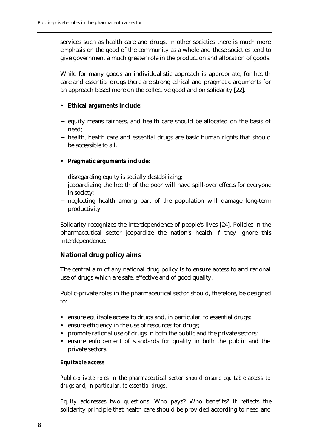services such as health care and drugs. In other societies there is much more emphasis on the good of the community as a whole and these societies tend to give government a much greater role in the production and allocation of goods.

While for many goods an individualistic approach is appropriate, for health care and essential drugs there are strong ethical and pragmatic arguments for an approach based more on the collective good and on solidarity [22].

#### • **Ethical arguments include:**

- − equity means fairness, and health care should be allocated on the basis of need;
- − health, health care and essential drugs are basic human rights that should be accessible to all.

#### • **Pragmatic arguments include:**

- − disregarding equity is socially destabilizing;
- − jeopardizing the health of the poor will have spill-over effects for everyone in society;
- − neglecting health among part of the population will damage long-term productivity.

Solidarity recognizes the interdependence of people's lives [24]. Policies in the pharmaceutical sector jeopardize the nation's health if they ignore this interdependence.

## **National drug policy aims**

The central aim of any national drug policy is to ensure access to and rational use of drugs which are safe, effective and of good quality.

Public-private roles in the pharmaceutical sector should, therefore, be designed to:

- ensure equitable access to drugs and, in particular, to essential drugs;
- ensure efficiency in the use of resources for drugs;
- promote rational use of drugs in both the public and the private sectors;
- ensure enforcement of standards for quality in both the public and the private sectors.

#### *Equitable access*

*Public-private roles in the pharmaceutical sector should ensure equitable access to drugs and, in particular, to essential drugs.*

*Equity* addresses two questions: Who pays? Who benefits? It reflects the solidarity principle that health care should be provided according to need and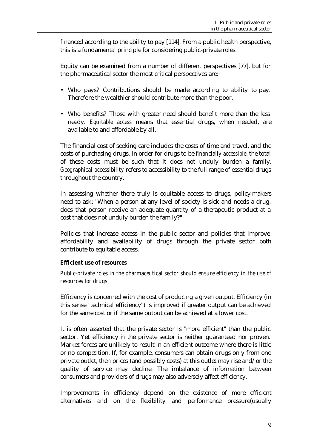financed according to the ability to pay [114]. From a public health perspective, this is a fundamental principle for considering public-private roles.

Equity can be examined from a number of different perspectives [77], but for the pharmaceutical sector the most critical perspectives are:

- Who pays? Contributions should be made according to ability to pay. Therefore the wealthier should contribute more than the poor.
- Who benefits? Those with greater need should benefit more than the less needy. *Equitable access* means that essential drugs, when needed, are available to and affordable by all.

The financial cost of seeking care includes the costs of time and travel, and the costs of purchasing drugs. In order for drugs to be *financially accessible*, the total of these costs must be such that it does not unduly burden a family. *Geographical accessibility* refers to accessibility to the full range of essential drugs throughout the country.

In assessing whether there truly is equitable access to drugs, policy-makers need to ask: "When a person at any level of society is sick and needs a drug, does that person receive an adequate quantity of a therapeutic product at a cost that does not unduly burden the family?"

Policies that increase access in the public sector and policies that improve affordability and availability of drugs through the private sector both contribute to equitable access.

#### *Efficient use of resources*

*Public-private roles in the pharmaceutical sector should ensure efficiency in the use of resources for drugs.*

Efficiency is concerned with the cost of producing a given output. Efficiency (in this sense "technical efficiency") is improved if greater output can be achieved for the same cost or if the same output can be achieved at a lower cost.

It is often asserted that the private sector is "more efficient" than the public sector. Yet efficiency in the private sector is neither guaranteed nor proven. Market forces are unlikely to result in an efficient outcome where there is little or no competition. If, for example, consumers can obtain drugs only from one private outlet, then prices (and possibly costs) at this outlet may rise and/or the quality of service may decline. The imbalance of information between consumers and providers of drugs may also adversely affect efficiency.

Improvements in efficiency depend on the existence of more efficient alternatives and on the flexibility and performance pressure(usually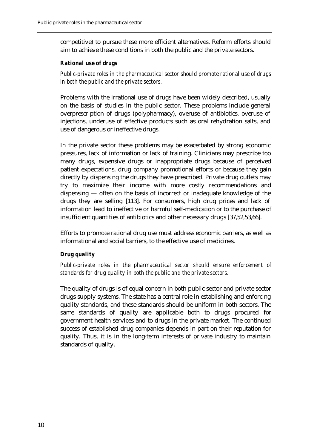competitive) to pursue these more efficient alternatives. Reform efforts should aim to achieve these conditions in both the public and the private sectors.

#### *Rational use of drugs*

*Public-private roles in the pharmaceutical sector should promote rational use of drugs in both the public and the private sectors.*

Problems with the irrational use of drugs have been widely described, usually on the basis of studies in the public sector. These problems include general overprescription of drugs (polypharmacy), overuse of antibiotics, overuse of injections, underuse of effective products such as oral rehydration salts, and use of dangerous or ineffective drugs.

In the private sector these problems may be exacerbated by strong economic pressures, lack of information or lack of training. Clinicians may prescribe too many drugs, expensive drugs or inappropriate drugs because of perceived patient expectations, drug company promotional efforts or because they gain directly by dispensing the drugs they have prescribed. Private drug outlets may try to maximize their income with more costly recommendations and dispensing — often on the basis of incorrect or inadequate knowledge of the drugs they are selling [113]. For consumers, high drug prices and lack of information lead to ineffective or harmful self-medication or to the purchase of insufficient quantities of antibiotics and other necessary drugs [37,52,53,66].

Efforts to promote rational drug use must address economic barriers, as well as informational and social barriers, to the effective use of medicines.

## *Drug quality*

*Public-private roles in the pharmaceutical sector should ensure enforcement of standards for drug quality in both the public and the private sectors.*

The quality of drugs is of equal concern in both public sector and private sector drugs supply systems. The state has a central role in establishing and enforcing quality standards, and these standards should be uniform in both sectors. The same standards of quality are applicable both to drugs procured for government health services and to drugs in the private market. The continued success of established drug companies depends in part on their reputation for quality. Thus, it is in the long-term interests of private industry to maintain standards of quality.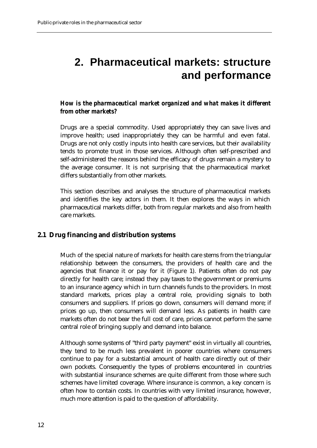## **2. Pharmaceutical markets: structure and performance**

#### *How is the pharmaceutical market organized and what makes it different from other markets?*

Drugs are a special commodity. Used appropriately they can save lives and improve health; used inappropriately they can be harmful and even fatal. Drugs are not only costly inputs into health care services, but their availability tends to promote trust in those services. Although often self-prescribed and self-administered the reasons behind the efficacy of drugs remain a mystery to the average consumer. It is not surprising that the pharmaceutical market differs substantially from other markets.

This section describes and analyses the structure of pharmaceutical markets and identifies the key actors in them. It then explores the ways in which pharmaceutical markets differ, both from regular markets and also from health care markets.

#### **2.1 Drug financing and distribution systems**

Much of the special nature of markets for health care stems from the triangular relationship between the consumers, the providers of health care and the agencies that finance it or pay for it (Figure 1). Patients often do not pay directly for health care; instead they pay taxes to the government or premiums to an insurance agency which in turn channels funds to the providers. In most standard markets, prices play a central role, providing signals to both consumers and suppliers. If prices go down, consumers will demand more; if prices go up, then consumers will demand less. As patients in health care markets often do not bear the full cost of care, prices cannot perform the same central role of bringing supply and demand into balance.

Although some systems of "third party payment" exist in virtually all countries, they tend to be much less prevalent in poorer countries where consumers continue to pay for a substantial amount of health care directly out of their own pockets. Consequently the types of problems encountered in countries with substantial insurance schemes are quite different from those where such schemes have limited coverage. Where insurance is common, a key concern is often how to contain costs. In countries with very limited insurance, however, much more attention is paid to the question of affordability.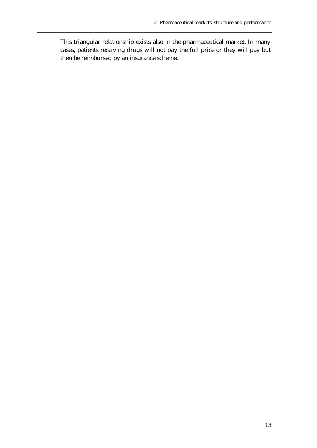This triangular relationship exists also in the pharmaceutical market. In many cases, patients receiving drugs will not pay the full price or they will pay but then be reimbursed by an insurance scheme.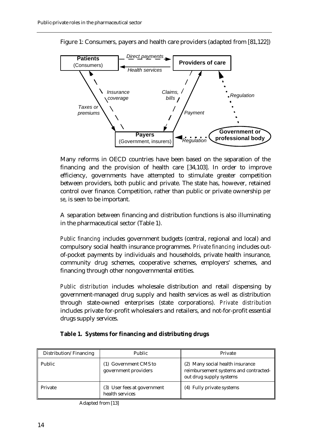

Figure 1: Consumers, payers and health care providers (adapted from [81,122])

Many reforms in OECD countries have been based on the separation of the financing and the provision of health care [34,103]. In order to improve efficiency, governments have attempted to stimulate greater competition between providers, both public and private. The state has, however, retained control over finance. Competition, rather than public or private ownership *per se*, is seen to be important.

A separation between financing and distribution functions is also illuminating in the pharmaceutical sector (Table 1).

*Public financing* includes government budgets (central, regional and local) and compulsory social health insurance programmes. *Private financing* includes outof-pocket payments by individuals and households, private health insurance, community drug schemes, cooperative schemes, employers' schemes, and financing through other nongovernmental entities.

*Public distribution* includes wholesale distribution and retail dispensing by government-managed drug supply and health services as well as distribution through state-owned enterprises (state corporations). *Private distribution* includes private for-profit wholesalers and retailers, and not-for-profit essential drugs supply services.

| Distribution/Financing | Public                                         | Private                                                                                              |
|------------------------|------------------------------------------------|------------------------------------------------------------------------------------------------------|
| Public                 | (1) Government CMS to<br>government providers  | (2) Many social health insurance<br>reimbursement systems and contracted-<br>out drug supply systems |
| Private                | (3) User fees at government<br>health services | (4) Fully private systems                                                                            |

**Table 1. Systems for financing and distributing drugs**

Adapted from [13]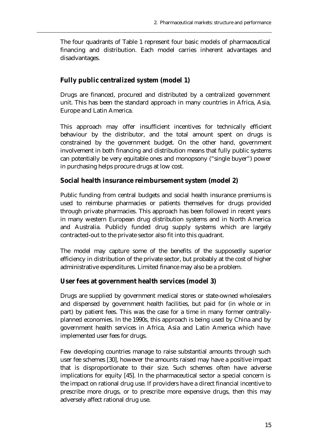The four quadrants of Table 1 represent four basic models of pharmaceutical financing and distribution. Each model carries inherent advantages and disadvantages.

## **Fully public centralized system (model 1)**

Drugs are financed, procured and distributed by a centralized government unit. This has been the standard approach in many countries in Africa, Asia, Europe and Latin America.

This approach may offer insufficient incentives for technically efficient behaviour by the distributor, and the total amount spent on drugs is constrained by the government budget. On the other hand, government involvement in both financing and distribution means that fully public systems can potentially be very equitable ones and monopsony ("single buyer") power in purchasing helps procure drugs at low cost.

## **Social health insurance reimbursement system (model 2)**

Public funding from central budgets and social health insurance premiums is used to reimburse pharmacies or patients themselves for drugs provided through private pharmacies. This approach has been followed in recent years in many western European drug distribution systems and in North America and Australia. Publicly funded drug supply systems which are largely contracted-out to the private sector also fit into this quadrant.

The model may capture some of the benefits of the supposedly superior efficiency in distribution of the private sector, but probably at the cost of higher administrative expenditures. Limited finance may also be a problem.

#### **User fees at government health services (model 3)**

Drugs are supplied by government medical stores or state-owned wholesalers and dispensed by government health facilities, but paid for (in whole or in part) by patient fees. This was the case for a time in many former centrallyplanned economies. In the 1990s, this approach is being used by China and by government health services in Africa, Asia and Latin America which have implemented user fees for drugs.

Few developing countries manage to raise substantial amounts through such user fee schemes [30], however the amounts raised may have a positive impact that is disproportionate to their size. Such schemes often have adverse implications for equity [45]. In the pharmaceutical sector a special concern is the impact on rational drug use. If providers have a direct financial incentive to prescribe more drugs, or to prescribe more expensive drugs, then this may adversely affect rational drug use.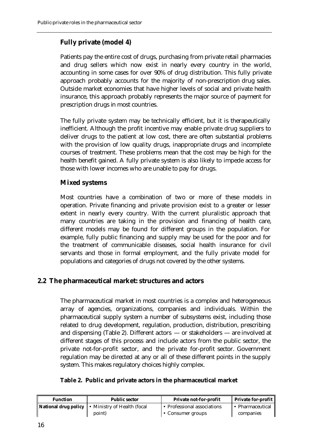## **Fully private (model 4)**

Patients pay the entire cost of drugs, purchasing from private retail pharmacies and drug sellers which now exist in nearly every country in the world, accounting in some cases for over 90% of drug distribution. This fully private approach probably accounts for the majority of non-prescription drug sales. Outside market economies that have higher levels of social and private health insurance, this approach probably represents the major source of payment for prescription drugs in most countries.

The fully private system may be technically efficient, but it is therapeutically inefficient. Although the profit incentive may enable private drug suppliers to deliver drugs to the patient at low cost, there are often substantial problems with the provision of low quality drugs, inappropriate drugs and incomplete courses of treatment. These problems mean that the cost may be high for the health benefit gained. A fully private system is also likely to impede access for those with lower incomes who are unable to pay for drugs.

## **Mixed systems**

Most countries have a combination of two or more of these models in operation. Private financing and private provision exist to a greater or lesser extent in nearly every country. With the current pluralistic approach that many countries are taking in the provision and financing of health care, different models may be found for different groups in the population. For example, fully public financing and supply may be used for the poor and for the treatment of communicable diseases, social health insurance for civil servants and those in formal employment, and the fully private model for populations and categories of drugs not covered by the other systems.

## **2.2 The pharmaceutical market: structures and actors**

The pharmaceutical market in most countries is a complex and heterogeneous array of agencies, organizations, companies and individuals. Within the pharmaceutical supply system a number of subsystems exist, including those related to drug development, regulation, production, distribution, prescribing and dispensing (Table 2). Different actors — or stakeholders — are involved at different stages of this process and include actors from the public sector, the private not-for-profit sector, and the private for-profit sector. Government regulation may be directed at any or all of these different points in the supply system. This makes regulatory choices highly complex.

|  |  |  |  |  | Table 2. Public and private actors in the pharmaceutical market |  |
|--|--|--|--|--|-----------------------------------------------------------------|--|
|--|--|--|--|--|-----------------------------------------------------------------|--|

| <b>Function</b> | <b>Public sector</b>                                    | <b>Private not-for-profit</b> | <b>Private for-profit</b> |
|-----------------|---------------------------------------------------------|-------------------------------|---------------------------|
|                 | <b>National drug policy •</b> Ministry of Health (focal | • Professional associations   | ∣ • Pharmaceutical        |
|                 | point)                                                  | • Consumer groups             | companies                 |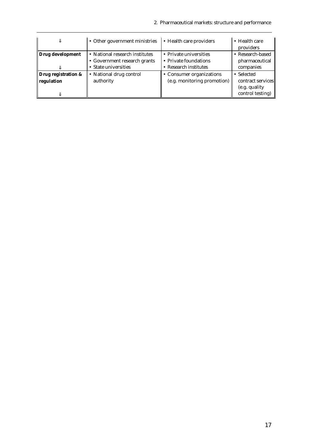| ß                                 | • Other government ministries                                                          | • Health care providers                                                  | $\bullet$ Health care<br>providers                                           |
|-----------------------------------|----------------------------------------------------------------------------------------|--------------------------------------------------------------------------|------------------------------------------------------------------------------|
| Drug development<br>ß             | • National research institutes<br>• Government research grants<br>• State universities | • Private universities<br>• Private foundations<br>• Research institutes | • Research-based<br>pharmaceutical<br>companies                              |
| Drug registration &<br>regulation | • National drug control<br>authority                                                   | • Consumer organizations<br>(e.g. monitoring promotion)                  | $\bullet$ Selected<br>contract services<br>(e.g. quality<br>control testing) |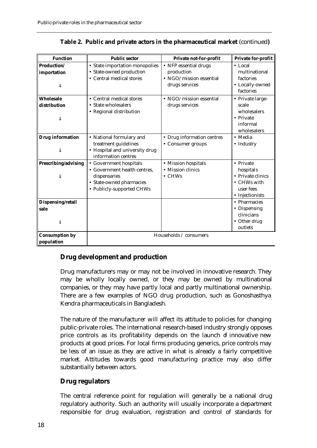| <b>Function</b>                       | <b>Public sector</b>                                                                                                            | Private not-for-profit                                                                   | <b>Private for-profit</b>                                                                          |
|---------------------------------------|---------------------------------------------------------------------------------------------------------------------------------|------------------------------------------------------------------------------------------|----------------------------------------------------------------------------------------------------|
| <b>Production</b><br>importation<br>ß | • State importation monopolies<br>• State-owned production<br>• Central medical stores                                          | • NFP essential drugs<br>production<br>$\bullet$ NGO/mission essential<br>drugs services | $\bullet$ Local<br>multinational<br>factories<br>• Locally-owned<br>factories                      |
| <b>Wholesale</b><br>distribution<br>ß | • Central medical stores<br>• State wholesalers<br>• Regional distribution                                                      | $\bullet$ NGO/mission essential<br>drugs services                                        | • Private large-<br>scale<br>wholesalers<br>$\bullet$ Private<br>informal<br>wholesalers           |
| <b>Drug information</b><br>ß          | • National formulary and<br>treatment guidelines<br>• Hospital and university drug<br>information centres                       | • Drug information centres<br>• Consumer groups                                          | $\bullet$ Media<br>$\bullet$ Industry                                                              |
| Prescribing/advising<br>ß             | • Government hospitals<br>• Government health centres,<br>dispensaries<br>• State-owned pharmacies<br>• Publicly-supported CHWs | • Mission hospitals<br>• Mission clinics<br>$\bullet$ CHWs                               | • Private<br>hospitals<br>• Private clinics<br>$\bullet$ CHWs with<br>user fees<br>• Injectionists |
| Dispensing/retail<br>sale<br>ß        |                                                                                                                                 |                                                                                          | • Pharmacies<br>• Dispensing<br>clinicians<br>• Other drug<br>outlets                              |
| <b>Consumption by</b><br>population   |                                                                                                                                 | Households / consumers                                                                   |                                                                                                    |

|  |  |  |  |  | Table 2. Public and private actors in the pharmaceutical market (continued) |  |  |
|--|--|--|--|--|-----------------------------------------------------------------------------|--|--|
|--|--|--|--|--|-----------------------------------------------------------------------------|--|--|

## **Drug development and production**

Drug manufacturers may or may not be involved in innovative research. They may be wholly locally owned, or they may be owned by multinational companies, or they may have partly local and partly multinational ownership. There are a few examples of NGO drug production, such as Gonoshasthya Kendra pharmaceuticals in Bangladesh.

The nature of the manufacturer will affect its attitude to policies for changing public-private roles. The international research-based industry strongly opposes price controls as its profitability depends on the launch of innovative new products at good prices. For local firms producing generics, price controls may be less of an issue as they are active in what is already a fairly competitive market. Attitudes towards good manufacturing practice may also differ substantially between actors.

## **Drug regulators**

The central reference point for regulation will generally be a national drug regulatory authority. Such an authority will usually incorporate a department responsible for drug evaluation, registration and control of standards for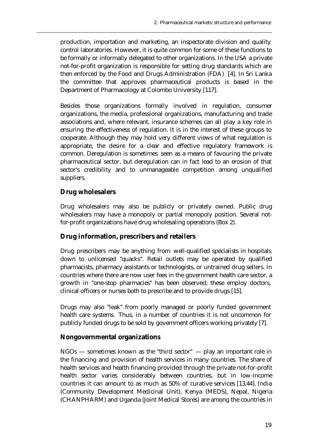production, importation and marketing, an inspectorate division and quality control laboratories. However, it is quite common for some of these functions to be formally or informally delegated to other organizations. In the USA a private not-for-profit organization is responsible for setting drug standards which are then enforced by the Food and Drugs Administration (FDA) [4]. In Sri Lanka the committee that approves pharmaceutical products is based in the Department of Pharmacology at Colombo University [117].

Besides those organizations formally involved in regulation, consumer organizations, the media, professional organizations, manufacturing and trade associations and, where relevant, insurance schemes can all play a key role in ensuring the effectiveness of regulation. It is in the interest of these groups to cooperate. Although they may hold very different views of what regulation is appropriate, the desire for a clear and effective regulatory framework is common. Deregulation is sometimes seen as a means of favouring the private pharmaceutical sector, but deregulation can in fact lead to an erosion of that sector's credibility and to unmanageable competition among unqualified suppliers.

## **Drug wholesalers**

Drug wholesalers may also be publicly or privately owned. Public drug wholesalers may have a monopoly or partial monopoly position. Several notfor-profit organizations have drug wholesaling operations (Box 2).

## **Drug information, prescribers and retailers**

Drug prescribers may be anything from well-qualified specialists in hospitals down to unlicensed "quacks". Retail outlets may be operated by qualified pharmacists, pharmacy assistants or technologists, or untrained drug sellers. In countries where there are now user fees in the government health care sector, a growth in "one-stop pharmacies" has been observed; these employ doctors, clinical officers or nurses both to prescribe and to provide drugs [15].

Drugs may also "leak" from poorly managed or poorly funded government health care systems. Thus, in a number of countries it is not uncommon for publicly funded drugs to be sold by government officers working privately [7].

## **Nongovernmental organizations**

NGOs — sometimes known as the "third sector" — play an important role in the financing and provision of health services in many countries. The share of health services and health financing provided through the private not-for-profit health sector varies considerably between countries, but in low-income countries it can amount to as much as 50% of curative services [13,44]. India (Community Development Medicinal Unit), Kenya (MEDS), Nepal, Nigeria (CHANPHARM) and Uganda (Joint Medical Stores) are among the countries in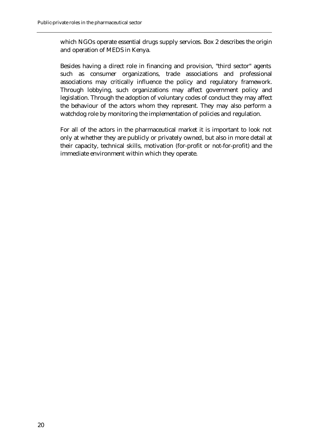which NGOs operate essential drugs supply services. Box 2 describes the origin and operation of MEDS in Kenya.

Besides having a direct role in financing and provision, "third sector" agents such as consumer organizations, trade associations and professional associations may critically influence the policy and regulatory framework. Through lobbying, such organizations may affect government policy and legislation. Through the adoption of voluntary codes of conduct they may affect the behaviour of the actors whom they represent. They may also perform a watchdog role by monitoring the implementation of policies and regulation.

For all of the actors in the pharmaceutical market it is important to look not only at whether they are publicly or privately owned, but also in more detail at their capacity, technical skills, motivation (for-profit or not-for-profit) and the immediate environment within which they operate.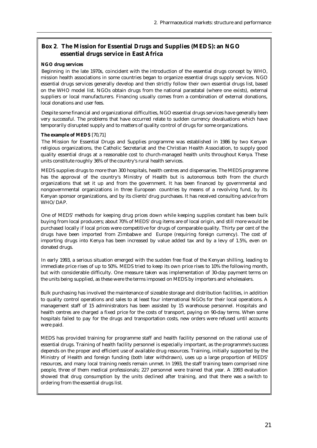## **Box 2**. **The Mission for Essential Drugs and Supplies (MEDS): an NGO essential drugs service in East Africa**

#### **NGO drug services**

Beginning in the late 1970s, coincident with the introduction of the essential drugs concept by WHO, mission health associations in some countries began to organize essential drugs supply services. NGO essential drugs services generally develop and then strictly follow their own essential drugs list, based on the WHO model list. NGOs obtain drugs from the national parastatal (where one exists), external suppliers or local manufacturers. Financing usually comes from a combination of external donations, local donations and user fees.

Despite some financial and organizational difficulties, NGO essential drugs services have generally been very successful. The problems that have occurred relate to sudden currency devaluations which have temporarily disrupted supply and to matters of quality control of drugs for some organizations.

#### **The example of MEDS** [70,71]

The Mission for Essential Drugs and Supplies programme was established in 1986 by two Kenyan religious organizations, the Catholic Secretariat and the Christian Health Association, to supply good quality essential drugs at a reasonable cost to church-managed health units throughout Kenya. These units constitute roughly 36% of the country's rural health services.

MEDS supplies drugs to more than 300 hospitals, health centres and dispensaries. The MEDS programme has the approval of the country's Ministry of Health but is autonomous both from the church organizations that set it up and from the government. It has been financed by governmental and nongovernmental organizations in three European countries by means of a revolving fund, by its Kenyan sponsor organizations, and by its clients' drug purchases. It has received consulting advice from WHO/DAP.

One of MEDS' methods for keeping drug prices down while keeping supplies constant has been bulk buying from local producers; about 70% of MEDS' drug items are of local origin, and still more would be purchased locally if local prices were competitive for drugs of comparable quality. Thirty per cent of the drugs have been imported from Zimbabwe and Europe (requiring foreign currency). The cost of importing drugs into Kenya has been increased by value added tax and by a levy of 1.5%, even on donated drugs.

In early 1993, a serious situation emerged with the sudden free float of the Kenyan shilling, leading to immediate price rises of up to 50%. MEDS tried to keep its own price rises to 10% the following month, but with considerable difficulty. One measure taken was implementation of 30-day payment terms on the units being supplied, as these were the terms imposed on MEDS by importers and wholesalers.

Bulk purchasing has involved the maintenance of sizeable storage and distribution facilities, in addition to quality control operations and sales to at least four international NGOs for their local operations. A management staff of 15 administrators has been assisted by 15 warehouse personnel. Hospitals and health centres are charged a fixed price for the costs of transport, paying on 90-day terms. When some hospitals failed to pay for the drugs and transportation costs, new orders were refused until accounts were paid.

MEDS has provided training for programme staff and health facility personnel on the rational use of essential drugs. Training of health facility personnel is especially important, as the programme's success depends on the proper and efficient use of available drug resources. Training, initially supported by the Ministry of Health and foreign funding (both later withdrawn), uses up a large proportion of MEDS' resources, and many local training needs remain unmet. In 1993, the staff training team comprised nine people, three of them medical professionals; 227 personnel were trained that year. A 1993 evaluation showed that drug consumption by the units declined after training, and that there was a switch to ordering from the essential drugs list.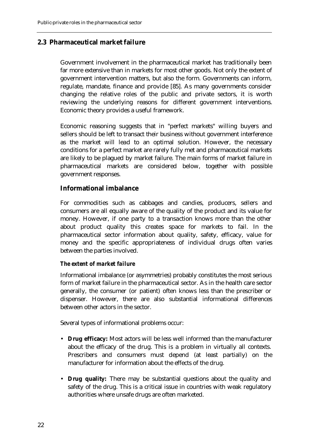## **2.3 Pharmaceutical market failure**

Government involvement in the pharmaceutical market has traditionally been far more extensive than in markets for most other goods. Not only the extent of government intervention matters, but also the form. Governments can inform, regulate, mandate, finance and provide [85]. As many governments consider changing the relative roles of the public and private sectors, it is worth reviewing the underlying reasons for different government interventions. Economic theory provides a useful framework.

Economic reasoning suggests that in "perfect markets" willing buyers and sellers should be left to transact their business without government interference as the market will lead to an optimal solution. However, the necessary conditions for a perfect market are rarely fully met and pharmaceutical markets are likely to be plagued by market failure. The main forms of market failure in pharmaceutical markets are considered below, together with possible government responses.

## **Informational imbalance**

For commodities such as cabbages and candies, producers, sellers and consumers are all equally aware of the quality of the product and its value for money. However, if one party to a transaction knows more than the other about product quality this creates space for markets to fail. In the pharmaceutical sector information about quality, safety, efficacy, value for money and the specific appropriateness of individual drugs often varies between the parties involved.

### *The extent of market failure*

Informational imbalance (or asymmetries) probably constitutes the most serious form of market failure in the pharmaceutical sector. As in the health care sector generally, the consumer (or patient) often knows less than the prescriber or dispenser. However, there are also substantial informational differences between other actors in the sector.

Several types of informational problems occur:

- **Drug efficacy:** Most actors will be less well informed than the manufacturer about the efficacy of the drug. This is a problem in virtually all contexts. Prescribers and consumers must depend (at least partially) on the manufacturer for information about the effects of the drug.
- **Drug quality:** There may be substantial questions about the quality and safety of the drug. This is a critical issue in countries with weak regulatory authorities where unsafe drugs are often marketed.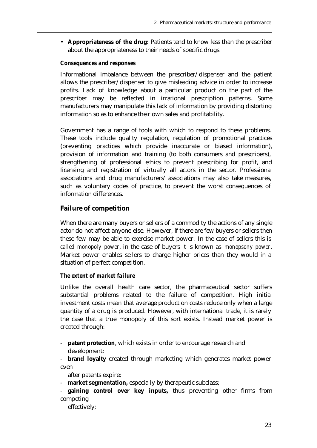• **Appropriateness of the drug:** Patients tend to know less than the prescriber about the appropriateness to their needs of specific drugs.

### *Consequences and responses*

Informational imbalance between the prescriber/dispenser and the patient allows the prescriber/dispenser to give misleading advice in order to increase profits. Lack of knowledge about a particular product on the part of the prescriber may be reflected in irrational prescription patterns. Some manufacturers may manipulate this lack of information by providing distorting information so as to enhance their own sales and profitability.

Government has a range of tools with which to respond to these problems. These tools include quality regulation, regulation of promotional practices (preventing practices which provide inaccurate or biased information), provision of information and training (to both consumers and prescribers), strengthening of professional ethics to prevent prescribing for profit, and licensing and registration of virtually all actors in the sector. Professional associations and drug manufacturers' associations may also take measures, such as voluntary codes of practice, to prevent the worst consequences of information differences.

## **Failure of competition**

When there are many buyers or sellers of a commodity the actions of any single actor do not affect anyone else. However, if there are few buyers or sellers then these few may be able to exercise market power. In the case of sellers this is *called monopoly power*, in the case of buyers it is known as *monopsony power*. Market power enables sellers to charge higher prices than they would in a situation of perfect competition.

## *The extent of market failure*

Unlike the overall health care sector, the pharmaceutical sector suffers substantial problems related to the failure of competition. High initial investment costs mean that average production costs reduce only when a large quantity of a drug is produced. However, with international trade, it is rarely the case that a true monopoly of this sort exists. Instead market power is created through:

- **patent protection**, which exists in order to encourage research and development;

- **brand loyalty** created through marketing which generates market power even

after patents expire;

- **market segmentation,** especially by therapeutic subclass;
- **gaining control over key inputs,** thus preventing other firms from competing

effectively;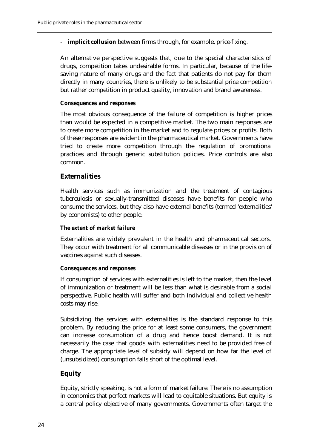- **implicit collusion** between firms through, for example, price-fixing.

An alternative perspective suggests that, due to the special characteristics of drugs, competition takes undesirable forms. In particular, because of the lifesaving nature of many drugs and the fact that patients do not pay for them directly in many countries, there is unlikely to be substantial price competition but rather competition in product quality, innovation and brand awareness.

### *Consequences and responses*

The most obvious consequence of the failure of competition is higher prices than would be expected in a competitive market. The two main responses are to create more competition in the market and to regulate prices or profits. Both of these responses are evident in the pharmaceutical market. Governments have tried to create more competition through the regulation of promotional practices and through generic substitution policies. Price controls are also common.

## **Externalities**

Health services such as immunization and the treatment of contagious tuberculosis or sexually-transmitted diseases have benefits for people who consume the services, but they also have external benefits (termed 'externalities' by economists) to other people.

## *The extent of market failure*

Externalities are widely prevalent in the health and pharmaceutical sectors. They occur with treatment for all communicable diseases or in the provision of vaccines against such diseases.

## *Consequences and responses*

If consumption of services with externalities is left to the market, then the level of immunization or treatment will be less than what is desirable from a social perspective. Public health will suffer and both individual and collective health costs may rise.

Subsidizing the services with externalities is the standard response to this problem. By reducing the price for at least some consumers, the government can increase consumption of a drug and hence boost demand. It is not necessarily the case that goods with externalities need to be provided free of charge. The appropriate level of subsidy will depend on how far the level of (unsubsidized) consumption falls short of the optimal level.

## **Equity**

Equity, strictly speaking, is not a form of market failure. There is no assumption in economics that perfect markets will lead to equitable situations. But equity is a central policy objective of many governments. Governments often target the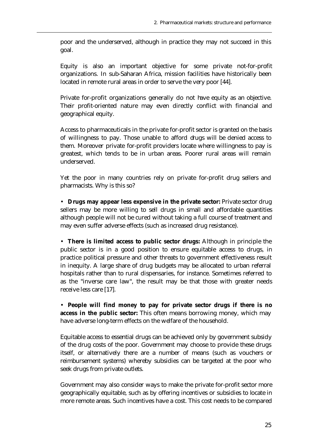poor and the underserved, although in practice they may not succeed in this goal.

Equity is also an important objective for some private not-for-profit organizations. In sub-Saharan Africa, mission facilities have historically been located in remote rural areas in order to serve the very poor [44].

Private for-profit organizations generally do not have equity as an objective. Their profit-oriented nature may even directly conflict with financial and geographical equity.

Access to pharmaceuticals in the private for-profit sector is granted on the basis of willingness to pay. Those unable to afford drugs will be denied access to them. Moreover private for-profit providers locate where willingness to pay is greatest, which tends to be in urban areas. Poorer rural areas will remain underserved.

Yet the poor in many countries rely on private for-profit drug sellers and pharmacists. Why is this so?

• **Drugs may appear less expensive in the private sector:** Private sector drug sellers may be more willing to sell drugs in small and affordable quantities although people will not be cured without taking a full course of treatment and may even suffer adverse effects (such as increased drug resistance).

• **There is limited access to public sector drugs:** Although in principle the public sector is in a good position to ensure equitable access to drugs, in practice political pressure and other threats to government effectiveness result in inequity. A large share of drug budgets may be allocated to urban referral hospitals rather than to rural dispensaries, for instance. Sometimes referred to as the "inverse care law", the result may be that those with greater needs receive less care [17].

• **People will find money to pay for private sector drugs if there is no access in the public sector:** This often means borrowing money, which may have adverse long-term effects on the welfare of the household.

Equitable access to essential drugs can be achieved only by government subsidy of the drug costs of the poor. Government may choose to provide these drugs itself, or alternatively there are a number of means (such as vouchers or reimbursement systems) whereby subsidies can be targeted at the poor who seek drugs from private outlets.

Government may also consider ways to make the private for-profit sector more geographically equitable, such as by offering incentives or subsidies to locate in more remote areas. Such incentives have a cost. This cost needs to be compared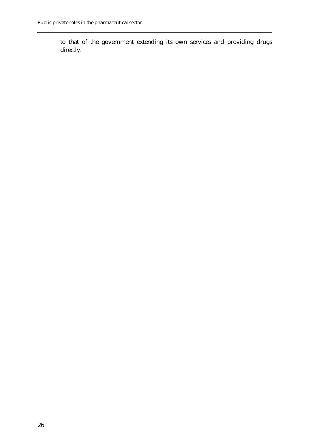to that of the government extending its own services and providing drugs directly.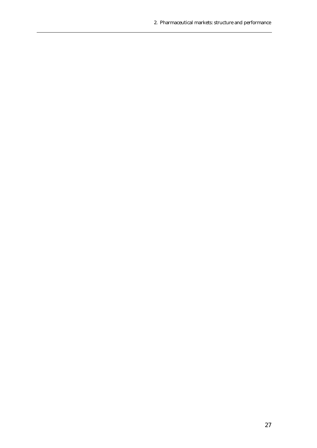2. Pharmaceutical markets: structure and performance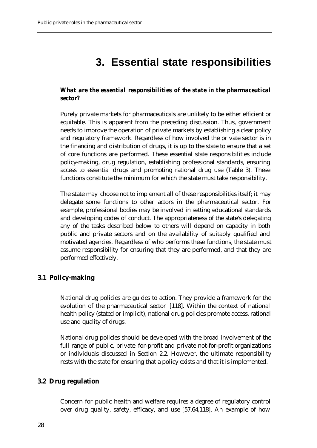# **3. Essential state responsibilities**

## *What are the essential responsibilities of the state in the pharmaceutical sector?*

Purely private markets for pharmaceuticals are unlikely to be either efficient or equitable. This is apparent from the preceding discussion. Thus, government needs to improve the operation of private markets by establishing a clear policy and regulatory framework. Regardless of how involved the private sector is in the financing and distribution of drugs, it is up to the state to ensure that a set of core functions are performed. These essential state responsibilities include policy-making, drug regulation, establishing professional standards, ensuring access to essential drugs and promoting rational drug use (Table 3). These functions constitute the minimum for which the state must take responsibility.

The state may choose not to implement all of these responsibilities itself; it may delegate some functions to other actors in the pharmaceutical sector. For example, professional bodies may be involved in setting educational standards and developing codes of conduct. The appropriateness of the state's delegating any of the tasks described below to others will depend on capacity in both public and private sectors and on the availability of suitably qualified and motivated agencies. Regardless of who performs these functions, the state must assume responsibility for ensuring that they are performed, and that they are performed effectively.

## **3.1 Policy-making**

National drug policies are guides to action. They provide a framework for the evolution of the pharmaceutical sector [118]. Within the context of national health policy (stated or implicit), national drug policies promote access, rational use and quality of drugs.

National drug policies should be developed with the broad involvement of the full range of public, private for-profit and private not-for-profit organizations or individuals discussed in Section 2.2. However, the ultimate responsibility rests with the state for ensuring that a policy exists and that it is implemented.

## **3.2 Drug regulation**

Concern for public health and welfare requires a degree of regulatory control over drug quality, safety, efficacy, and use [57,64,118]. An example of how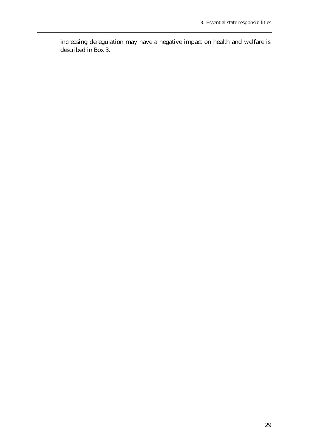increasing deregulation may have a negative impact on health and welfare is described in Box 3.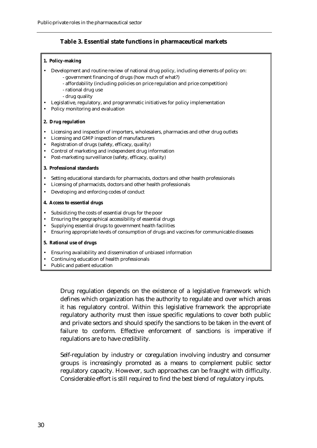## **Table 3. Essential state functions in pharmaceutical markets**

#### **1. Policy-making**

- Development and routine review of national drug policy, including elements of policy on:
	- government financing of drugs (how much of what?)
	- affordability (including policies on price regulation and price competition)
	- rational drug use
	- drug quality
- Legislative, regulatory, and programmatic initiatives for policy implementation
- Policy monitoring and evaluation

#### **2. Drug regulation**

- Licensing and inspection of importers, wholesalers, pharmacies and other drug outlets
- Licensing and GMP inspection of manufacturers
- Registration of drugs (safety, efficacy, quality)
- Control of marketing and independent drug information
- Post-marketing surveillance (safety, efficacy, quality)

#### **3. Professional standards**

- Setting educational standards for pharmacists, doctors and other health professionals
- Licensing of pharmacists, doctors and other health professionals
- Developing and enforcing codes of conduct

#### **4. Access to essential drugs**

- Subsidizing the costs of essential drugs for the poor
- Ensuring the geographical accessibility of essential drugs
- Supplying essential drugs to government health facilities
- Ensuring appropriate levels of consumption of drugs and vaccines for communicable diseases

#### **5. Rational use of drugs**

- Ensuring availability and dissemination of unbiased information
- Continuing education of health professionals
- Public and patient education

Drug regulation depends on the existence of a legislative framework which defines which organization has the authority to regulate and over which areas it has regulatory control. Within this legislative framework the appropriate regulatory authority must then issue specific regulations to cover both public and private sectors and should specify the sanctions to be taken in the event of failure to conform. Effective enforcement of sanctions is imperative if regulations are to have credibility.

Self-regulation by industry or coregulation involving industry and consumer groups is increasingly promoted as a means to complement public sector regulatory capacity. However, such approaches can be fraught with difficulty. Considerable effort is still required to find the best blend of regulatory inputs.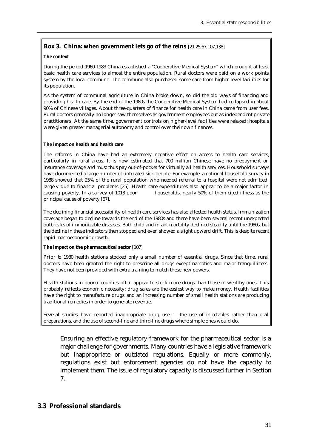## . **Box 3. China: when government lets go of the reins** [21,25,67,107,138]

#### **The context**

During the period 1960-1983 China established a "Cooperative Medical System" which brought at least basic health care services to almost the entire population. Rural doctors were paid on a work points system by the local commune. The commune also purchased some care from higher-level facilities for its population.

As the system of communal agriculture in China broke down, so did the old ways of financing and providing health care. By the end of the 1980s the Cooperative Medical System had collapsed in about 90% of Chinese villages. About three-quarters of finance for health care in China came from user fees. Rural doctors generally no longer saw themselves as government employees but as independent private practitioners. At the same time, government controls on higher-level facilities were relaxed; hospitals were given greater managerial autonomy and control over their own finances.

#### **The impact on health and health care**

The reforms in China have had an extremely negative effect on access to health care services, particularly in rural areas. It is now estimated that 700 million Chinese have no prepayment or insurance coverage and must thus pay out-of-pocket for virtually all health services. Household surveys have documented a large number of untreated sick people. For example, a national household survey in 1988 showed that 25% of the rural population who needed referral to a hospital were not admitted, largely due to financial problems [25]. Health care expenditures also appear to be a major factor in causing poverty. In a survey of 1013 poor households, nearly 50% of them cited illness as the principal cause of poverty [67].

The declining financial accessibility of health care services has also affected health status. Immunization coverage began to decline towards the end of the 1980s and there have been several recent unexpected outbreaks of immunizable diseases. Both child and infant mortality declined steadily until the 1980s, but the decline in these indicators then stopped and even showed a slight upward drift. This is despite recent rapid macroeconomic growth.

#### **The impact on the pharmaceutical sector** [107]

Prior to 1980 health stations stocked only a small number of essential drugs. Since that time, rural doctors have been granted the right to prescribe all drugs except narcotics and major tranquillizers. They have not been provided with extra training to match these new powers.

Health stations in poorer counties often appear to stock more drugs than those in wealthy ones. This probably reflects economic necessity; drug sales are the easiest way to make money. Health facilities have the right to manufacture drugs and an increasing number of small health stations are producing traditional remedies in order to generate revenue.

Several studies have reported inappropriate drug use  $-$  the use of injectables rather than oral preparations, and the use of second-line and third-line drugs where simple ones would do.

Ensuring an effective regulatory framework for the pharmaceutical sector is a major challenge for governments. Many countries have a legislative framework but inappropriate or outdated regulations. Equally or more commonly, regulations exist but enforcement agencies do not have the capacity to implement them. The issue of regulatory capacity is discussed further in Section 7.

## **3.3 Professional standards**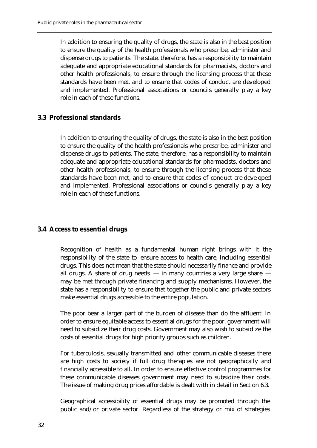In addition to ensuring the quality of drugs, the state is also in the best position to ensure the quality of the health professionals who prescribe, administer and dispense drugs to patients. The state, therefore, has a responsibility to maintain adequate and appropriate educational standards for pharmacists, doctors and other health professionals, to ensure through the licensing process that these standards have been met, and to ensure that codes of conduct are developed and implemented. Professional associations or councils generally play a key role in each of these functions.

## **3.3 Professional standards**

In addition to ensuring the quality of drugs, the state is also in the best position to ensure the quality of the health professionals who prescribe, administer and dispense drugs to patients. The state, therefore, has a responsibility to maintain adequate and appropriate educational standards for pharmacists, doctors and other health professionals, to ensure through the licensing process that these standards have been met, and to ensure that codes of conduct are developed and implemented. Professional associations or councils generally play a key role in each of these functions.

## **3.4 Access to essential drugs**

Recognition of health as a fundamental human right brings with it the responsibility of the state to ensure access to health care, including essential drugs. This does not mean that the state should necessarily finance and provide all drugs. A share of drug needs  $-$  in many countries a very large share  $$ may be met through private financing and supply mechanisms. However, the state has a responsibility to ensure that together the public and private sectors make essential drugs accessible to the entire population.

The poor bear a larger part of the burden of disease than do the affluent. In order to ensure equitable access to essential drugs for the poor, government will need to subsidize their drug costs. Government may also wish to subsidize the costs of essential drugs for high priority groups such as children.

For tuberculosis, sexually transmitted and other communicable diseases there are high costs to society if full drug therapies are not geographically and financially accessible to all. In order to ensure effective control programmes for these communicable diseases government may need to subsidize their costs. The issue of making drug prices affordable is dealt with in detail in Section 6.3.

Geographical accessibility of essential drugs may be promoted through the public and/or private sector. Regardless of the strategy or mix of strategies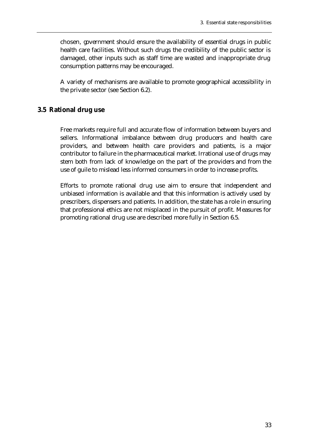chosen, government should ensure the availability of essential drugs in public health care facilities. Without such drugs the credibility of the public sector is damaged, other inputs such as staff time are wasted and inappropriate drug consumption patterns may be encouraged.

A variety of mechanisms are available to promote geographical accessibility in the private sector (see Section 6.2).

### **3.5 Rational drug use**

Free markets require full and accurate flow of information between buyers and sellers. Informational imbalance between drug producers and health care providers, and between health care providers and patients, is a major contributor to failure in the pharmaceutical market. Irrational use of drugs may stem both from lack of knowledge on the part of the providers and from the use of guile to mislead less informed consumers in order to increase profits.

Efforts to promote rational drug use aim to ensure that independent and unbiased information is available and that this information is actively used by prescribers, dispensers and patients. In addition, the state has a role in ensuring that professional ethics are not misplaced in the pursuit of profit. Measures for promoting rational drug use are described more fully in Section 6.5.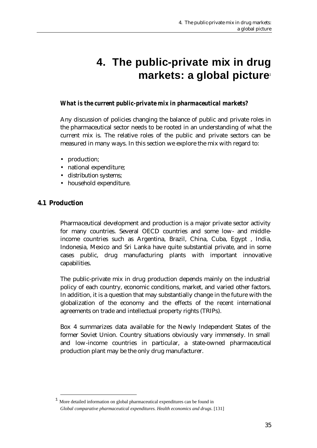# **4. The public-private mix in drug markets: a global picture**<sup>1</sup>

## *What is the current public-private mix in pharmaceutical markets?*

Any discussion of policies changing the balance of public and private roles in the pharmaceutical sector needs to be rooted in an understanding of what the current mix is. The relative roles of the public and private sectors can be measured in many ways. In this section we explore the mix with regard to:

- production;
- national expenditure;
- distribution systems;
- household expenditure.

## **4.1 Production**

 $\overline{a}$ 

Pharmaceutical development and production is a major private sector activity for many countries. Several OECD countries and some low- and middleincome countries such as Argentina, Brazil, China, Cuba, Egypt , India, Indonesia, Mexico and Sri Lanka have quite substantial private, and in some cases public, drug manufacturing plants with important innovative capabilities.

The public-private mix in drug production depends mainly on the industrial policy of each country, economic conditions, market, and varied other factors. In addition, it is a question that may substantially change in the future with the globalization of the economy and the effects of the recent international agreements on trade and intellectual property rights (TRIPs).

Box 4 summarizes data available for the Newly Independent States of the former Soviet Union. Country situations obviously vary immensely. In small and low-income countries in particular, a state-owned pharmaceutical production plant may be the only drug manufacturer.

<sup>1</sup> More detailed information on global pharmaceutical expenditures can be found in *Global comparative pharmaceutical expenditures. Health economics and drugs*. [131]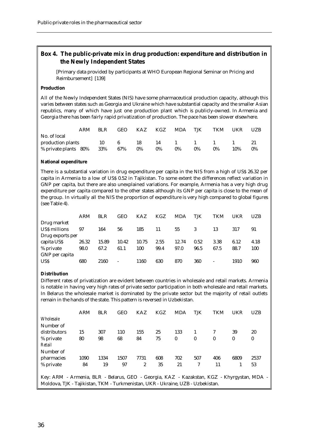## **Box 4. The public-private mix in drug production: expenditure and distribution in the Newly Independent States**

[Primary data provided by participants at WHO European Regional Seminar on Pricing and Reimbursement] [139]

#### **Production**

All of the Newly Independent States (NIS) have some pharmaceutical production capacity, although this varies between states such as Georgia and Ukraine which have substantial capacity and the smaller Asian republics, many of which have just one production plant which is publicly-owned. In Armenia and Georgia there has been fairly rapid privatization of production. The pace has been slower elsewhere.

|                      | ARM | <b>BLR</b> | GEO.    | KAZ. | KGZ   | MDA TJK |       | TKM        | UKR | UZB   |
|----------------------|-----|------------|---------|------|-------|---------|-------|------------|-----|-------|
| No. of local         |     |            |         |      |       |         |       |            |     |       |
| production plants    |     | 10         | 6       | 18   |       |         |       | 14 1 1 1 1 |     | -91   |
| % private plants 80% |     |            | 33% 67% | 0%   | $0\%$ | 0%      | $0\%$ | $0\%$      | 10% | $0\%$ |

#### **National expenditure**

There is a substantial variation in drug expenditure per capita in the NIS from a high of US\$ 26.32 per capita in Armenia to a low of US\$ 0.52 in Tajikistan. To some extent the differences reflect variation in GNP per capita, but there are also unexplained variations. For example, Armenia has a very high drug expenditure per capita compared to the other states although its GNP per capita is close to the mean of the group. In virtually all the NIS the proportion of expenditure is very high compared to global figures (see Table 4).

| 91   |
|------|
|      |
| 4.18 |
| 100  |
|      |
| 960  |
|      |

#### **Distribution**

Different rates of privatization are evident between countries in wholesale and retail markets. Armenia is notable in having very high rates of private sector participation in both wholesale and retail markets. In Belarus the wholesale market is dominated by the private sector but the majority of retail outlets remain in the hands of the state. This pattern is reversed in Uzbekistan.

|                                                                                            | ARM                                                                             | <b>BLR</b> | GEO  | KAZ. | KGZ | <b>MDA</b> | TJK      | TKM      | UKR      | <b>UZB</b> |
|--------------------------------------------------------------------------------------------|---------------------------------------------------------------------------------|------------|------|------|-----|------------|----------|----------|----------|------------|
| Wholesale                                                                                  |                                                                                 |            |      |      |     |            |          |          |          |            |
| Number of                                                                                  |                                                                                 |            |      |      |     |            |          |          |          |            |
| distributors                                                                               | 15                                                                              | 307        | 110  | 155  | 25  | 133        | -1       |          | 39       | 20         |
| % private                                                                                  | 80                                                                              | 98         | 68   | 84   | 75  | $\bf{0}$   | $\bf{0}$ | $\bf{0}$ | $\bf{0}$ | 0          |
| Retail                                                                                     |                                                                                 |            |      |      |     |            |          |          |          |            |
| Number of                                                                                  |                                                                                 |            |      |      |     |            |          |          |          |            |
| pharmacies                                                                                 | 1090                                                                            | 1334       | 1507 | 7731 | 608 | 702        | 507      | 406      | 6809     | 2537       |
| % private                                                                                  | 84                                                                              | 19         | 97   | 2    | 35  | 21         | 7        | 11       |          | 53         |
| Key: ARM - Armenia, BLR - Belarus, GEO - Georgia, KAZ - Kazakstan, KGZ - Khyrgystan, MDA - |                                                                                 |            |      |      |     |            |          |          |          |            |
|                                                                                            | Moldova, TJK - Tajikistan, TKM - Turkmenistan, UKR - Ukraine, UZB - Uzbekistan. |            |      |      |     |            |          |          |          |            |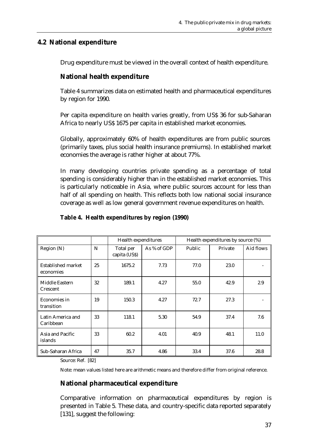# **4.2 National expenditure**

Drug expenditure must be viewed in the overall context of health expenditure.

# **National health expenditure**

Table 4 summarizes data on estimated health and pharmaceutical expenditures by region for 1990.

Per capita expenditure on health varies greatly, from US\$ 36 for sub-Saharan Africa to nearly US\$ 1675 per capita in established market economies.

Globally, approximately 60% of health expenditures are from public sources (primarily taxes, plus social health insurance premiums). In established market economies the average is rather higher at about 77%.

In many developing countries private spending as a percentage of total spending is considerably higher than in the established market economies. This is particularly noticeable in Asia, where public sources account for less than half of all spending on health. This reflects both low national social insurance coverage as well as low general government revenue expenditures on health.

|                                 |    | Health expenditures        |               | Health expenditures by source (%) |         |           |  |
|---------------------------------|----|----------------------------|---------------|-----------------------------------|---------|-----------|--|
| Region(N)                       | N  | Total per<br>capita (US\$) | As $%$ of GDP | Public                            | Private | Aid flows |  |
| Established market<br>economies | 25 | 1675.2                     | 7.73          | 77.0                              | 23.0    |           |  |
| Middle Eastern<br>Crescent      | 32 | 189.1                      | 4.27          | 55.0                              | 42.9    | 2.9       |  |
| Economies in<br>transition      | 19 | 150.3                      | 4.27          | 72.7                              | 27.3    |           |  |
| Latin America and<br>Caribbean  | 33 | 118.1                      | 5.30          | 54.9                              | 37.4    | 7.6       |  |
| Asia and Pacific<br>islands     | 33 | 60.2                       | 4.01          | 40.9                              | 48.1    | 11.0      |  |
| Sub-Saharan Africa              | 47 | 35.7                       | 4.86          | 33.4                              | 37.6    | 28.8      |  |

## **Table 4. Health expenditures by region (1990)**

Source: Ref. [82]

Note: mean values listed here are arithmetic means and therefore differ from original reference.

# **National pharmaceutical expenditure**

Comparative information on pharmaceutical expenditures by region is presented in Table 5. These data, and country-specific data reported separately [131], suggest the following: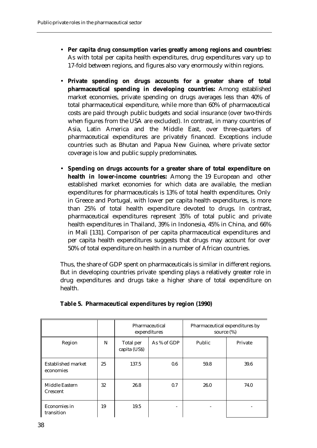- **Per capita drug consumption varies greatly among regions and countries:** As with total per capita health expenditures, drug expenditures vary up to 17-fold between regions, and figures also vary enormously within regions.
- **Private spending on drugs accounts for a greater share of total pharmaceutical spending in developing countries:** Among established market economies, private spending on drugs averages less than 40% of total pharmaceutical expenditure, while more than 60% of pharmaceutical costs are paid through public budgets and social insurance (over two-thirds when figures from the USA are excluded). In contrast, in many countries of Asia, Latin America and the Middle East, over three-quarters of pharmaceutical expenditures are privately financed. Exceptions include countries such as Bhutan and Papua New Guinea, where private sector coverage is low and public supply predominates.
- **Spending on drugs accounts for a greater share of total expenditure on health in lower-income countries:** Among the 19 European and other established market economies for which data are available, the median expenditures for pharmaceuticals is 13% of total health expenditures. Only in Greece and Portugal, with lower per capita health expenditures, is more than 25% of total health expenditure devoted to drugs. In contrast, pharmaceutical expenditures represent 35% of total public and private health expenditures in Thailand, 39% in Indonesia, 45% in China, and 66% in Mali [131]. Comparison of per capita pharmaceutical expenditures and per capita health expenditures suggests that drugs may account for over 50% of total expenditure on health in a number of African countries.

Thus, the share of GDP spent on pharmaceuticals is similar in different regions. But in developing countries private spending plays a relatively greater role in drug expenditures and drugs take a higher share of total expenditure on health.

|                                 |    | Pharmaceutical<br>expenditures |             | Pharmaceutical expenditures by<br>source $(\%)$ |         |
|---------------------------------|----|--------------------------------|-------------|-------------------------------------------------|---------|
| Region                          | N  | Total per<br>capita (US\$)     | As % of GDP | Public                                          | Private |
| Established market<br>economies | 25 | 137.5                          | 0.6         | 59.8                                            | 39.6    |
| Middle Eastern<br>Crescent      | 32 | 26.8                           | 0.7         | 26.0                                            | 74.0    |
| Economies in<br>transition      | 19 | 19.5                           |             |                                                 |         |

## **Table 5. Pharmaceutical expenditures by region (1990)**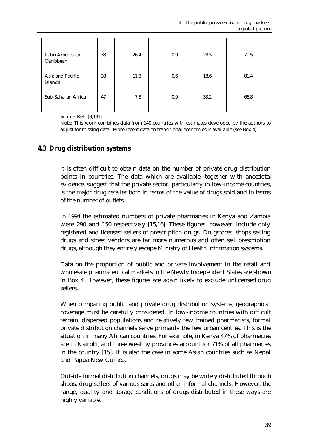| Latin America and<br>Caribbean | 33 | 26.4 | 0.9 | 28.5 | 71.5 |
|--------------------------------|----|------|-----|------|------|
| Asia and Pacific<br>islands    | 33 | 11.8 | 0.6 | 18.6 | 81.4 |
| Sub-Saharan Africa             | 47 | 7.8  | 0.9 | 33.2 | 66.8 |

Source: Ref. [9,131]

Note: This work combines data from 140 countries with estimates developed by the authors to adjust for missing data. More recent data on transitional economies is available (see Box 4).

## **4.3 Drug distribution systems**

It is often difficult to obtain data on the number of private drug distribution points in countries. The data which are available, together with anecdotal evidence, suggest that the private sector, particularly in low-income countries, is the major drug retailer both in terms of the value of drugs sold and in terms of the number of outlets.

In 1994 the estimated numbers of private pharmacies in Kenya and Zambia were 290 and 150 respectively [15,16]. These figures, however, include only registered and licensed sellers of prescription drugs. Drugstores, shops selling drugs and street vendors are far more numerous and often sell prescription drugs, although they entirely escape Ministry of Health information systems.

Data on the proportion of public and private involvement in the retail and wholesale pharmaceutical markets in the Newly Independent States are shown in Box 4. However, these figures are again likely to exclude unlicensed drug sellers.

When comparing public and private drug distribution systems, geographical coverage must be carefully considered. In low-income countries with difficult terrain, dispersed populations and relatively few trained pharmacists, formal private distribution channels serve primarily the few urban centres. This is the situation in many African countries. For example, in Kenya 47% of pharmacies are in Nairobi, and three wealthy provinces account for 71% of all pharmacies in the country [15]. It is also the case in some Asian countries such as Nepal and Papua New Guinea.

Outside formal distribution channels, drugs may be widely distributed through shops, drug sellers of various sorts and other informal channels. However, the range, quality and storage conditions of drugs distributed in these ways are highly variable.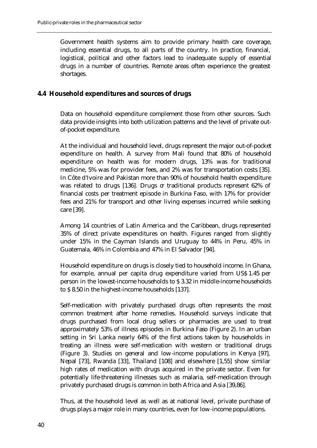Government health systems aim to provide primary health care coverage, including essential drugs, to all parts of the country. In practice, financial, logistical, political and other factors lead to inadequate supply of essential drugs in a number of countries. Remote areas often experience the greatest shortages.

## **4.4 Household expenditures and sources of drugs**

Data on household expenditure complement those from other sources. Such data provide insights into both utilization patterns and the level of private outof-pocket expenditure.

At the individual and household level, drugs represent the major out-of-pocket expenditure on health. A survey from Mali found that 80% of household expenditure on health was for modern drugs, 13% was for traditional medicine, 5% was for provider fees, and 2% was for transportation costs [35]. In Côte d'Ivoire and Pakistan more than 90% of household health expenditure was related to drugs [136]. Drugs  $\alpha$  traditional products represent 62% of financial costs per treatment episode in Burkina Faso, with 17% for provider fees and 21% for transport and other living expenses incurred while seeking care [39].

Among 14 countries of Latin America and the Caribbean, drugs represented 35% of direct private expenditures on health. Figures ranged from slightly under 15% in the Cayman Islands and Uruguay to 44% in Peru, 45% in Guatemala, 46% in Colombia and 47% in El Salvador [94].

Household expenditure on drugs is closely tied to household income. In Ghana, for example, annual per capita drug expenditure varied from US\$ 1.45 per person in the lowest-income households to \$ 3.32 in middle-income households to \$ 8.50 in the highest-income households [137].

Self-medication with privately purchased drugs often represents the most common treatment after home remedies. Household surveys indicate that drugs purchased from local drug sellers or pharmacies are used to treat approximately 53% of illness episodes in Burkina Faso (Figure 2). In an urban setting in Sri Lanka nearly 64% of the first actions taken by households in treating an illness were self-medication with western or traditional drugs (Figure 3). Studies on general and low-income populations in Kenya [97], Nepal [73], Rwanda [33], Thailand [108] and elsewhere [1,55] show similar high rates of medication with drugs acquired in the private sector. Even for potentially life-threatening illnesses such as malaria, self-medication through privately purchased drugs is common in both Africa and Asia [39,86].

Thus, at the household level as well as at national level, private purchase of drugs plays a major role in many countries, even for low-income populations.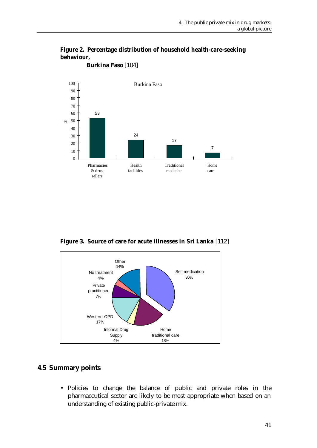



**Burkina Faso** [104]

**Figure 3. Source of care for acute illnesses in Sri Lanka** [112]



## **4.5 Summary points**

• Policies to change the balance of public and private roles in the pharmaceutical sector are likely to be most appropriate when based on an understanding of existing public-private mix.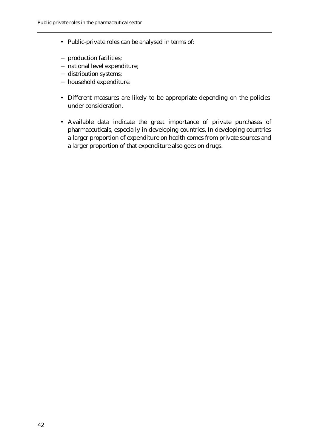- Public-private roles can be analysed in terms of:
- − production facilities;
- − national level expenditure;
- − distribution systems;
- − household expenditure.
- Different measures are likely to be appropriate depending on the policies under consideration.
- Available data indicate the great importance of private purchases of pharmaceuticals, especially in developing countries. In developing countries a larger proportion of expenditure on health comes from private sources and a larger proportion of that expenditure also goes on drugs.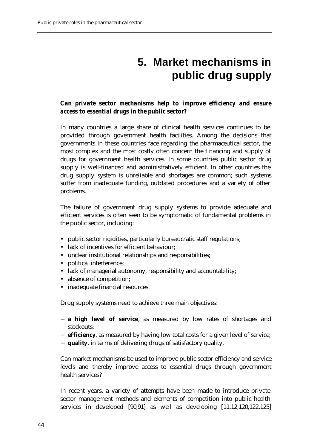# **5. Market mechanisms in public drug supply**

## *Can private sector mechanisms help to improve efficiency and ensure access to essential drugs in the public sector?*

In many countries a large share of clinical health services continues to be provided through government health facilities. Among the decisions that governments in these countries face regarding the pharmaceutical sector, the most complex and the most costly often concern the financing and supply of drugs for government health services. In some countries public sector drug supply is well-financed and administratively efficient. In other countries the drug supply system is unreliable and shortages are common; such systems suffer from inadequate funding, outdated procedures and a variety of other problems.

The failure of government drug supply systems to provide adequate and efficient services is often seen to be symptomatic of fundamental problems in the public sector, including:

- public sector rigidities, particularly bureaucratic staff regulations;
- lack of incentives for efficient behaviour;
- unclear institutional relationships and responsibilities;
- political interference;
- lack of managerial autonomy, responsibility and accountability;
- absence of competition;
- inadequate financial resources.

Drug supply systems need to achieve three main objectives:

- − **a high level of service**, as measured by low rates of shortages and stockouts;
- − **efficiency**, as measured by having low total costs for a given level of service;
- − **quality**, in terms of delivering drugs of satisfactory quality.

Can market mechanisms be used to improve public sector efficiency and service levels and thereby improve access to essential drugs through government health services?

In recent years, a variety of attempts have been made to introduce private sector management methods and elements of competition into public health services in developed [90,91] as well as developing [11,12,120,122,125]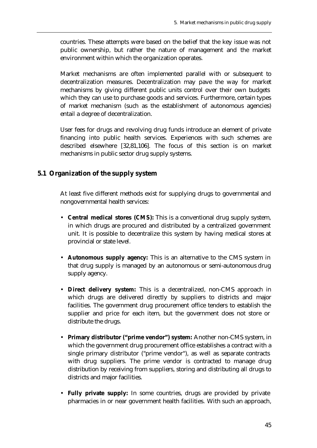countries. These attempts were based on the belief that the key issue was not public ownership, but rather the nature of management and the market environment within which the organization operates.

Market mechanisms are often implemented parallel with or subsequent to decentralization measures. Decentralization may pave the way for market mechanisms by giving different public units control over their own budgets which they can use to purchase goods and services. Furthermore, certain types of market mechanism (such as the establishment of autonomous agencies) entail a degree of decentralization.

User fees for drugs and revolving drug funds introduce an element of private financing into public health services. Experiences with such schemes are described elsewhere [32,81,106]. The focus of this section is on market mechanisms in public sector drug supply systems.

## **5.1 Organization of the supply system**

At least five different methods exist for supplying drugs to governmental and nongovernmental health services:

- **Central medical stores (CMS):** This is a conventional drug supply system, in which drugs are procured and distributed by a centralized government unit. It is possible to decentralize this system by having medical stores at provincial or state level.
- **Autonomous supply agency:** This is an alternative to the CMS system in that drug supply is managed by an autonomous or semi-autonomous drug supply agency.
- **Direct delivery system:** This is a decentralized, non-CMS approach in which drugs are delivered directly by suppliers to districts and major facilities. The government drug procurement office tenders to establish the supplier and price for each item, but the government does not store or distribute the drugs.
- **Primary distributor ("prime vendor") system:** Another non-CMS system, in which the government drug procurement office establishes a contract with a single primary distributor ("prime vendor"), as well as separate contracts with drug suppliers. The prime vendor is contracted to manage drug distribution by receiving from suppliers, storing and distributing all drugs to districts and major facilities.
- **Fully private supply:** In some countries, drugs are provided by private pharmacies in or near government health facilities. With such an approach,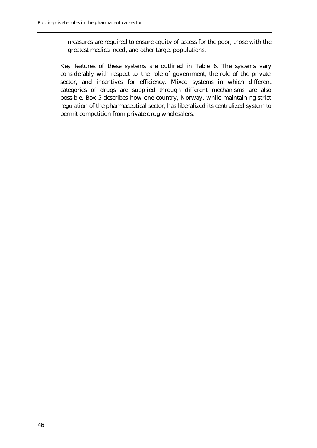measures are required to ensure equity of access for the poor, those with the greatest medical need, and other target populations.

Key features of these systems are outlined in Table 6. The systems vary considerably with respect to the role of government, the role of the private sector, and incentives for efficiency. Mixed systems in which different categories of drugs are supplied through different mechanisms are also possible. Box 5 describes how one country, Norway, while maintaining strict regulation of the pharmaceutical sector, has liberalized its centralized system to permit competition from private drug wholesalers.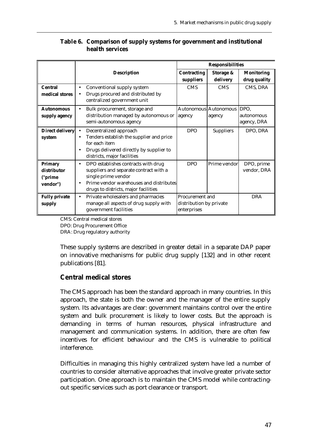|                                                      |                                                                                                                                                                                                      |                                                           | <b>Responsibilities</b>         |                                   |  |  |  |
|------------------------------------------------------|------------------------------------------------------------------------------------------------------------------------------------------------------------------------------------------------------|-----------------------------------------------------------|---------------------------------|-----------------------------------|--|--|--|
|                                                      | <b>Description</b>                                                                                                                                                                                   | <b>Contracting</b><br>suppliers                           | Storage &<br>delivery           | <b>Monitoring</b><br>drug quality |  |  |  |
| <b>Central</b><br>medical stores                     | Conventional supply system<br>٠<br>Drugs procured and distributed by<br>٠<br>centralized government unit                                                                                             | <b>CMS</b>                                                | <b>CMS</b>                      | CMS, DRA                          |  |  |  |
| <b>Autonomous</b><br>supply agency                   | Bulk procurement, storage and<br>$\bullet$<br>distribution managed by autonomous or<br>semi-autonomous agency                                                                                        | agency                                                    | Autonomous Autonomous<br>agency | DPO.<br>autonomous<br>agency, DRA |  |  |  |
| <b>Direct delivery</b><br>system                     | Decentralized approach<br>Tenders establish the supplier and price<br>for each item<br>Drugs delivered directly by supplier to<br>districts, major facilities                                        | <b>DPO</b>                                                | <b>Suppliers</b>                | DPO, DRA                          |  |  |  |
| <b>Primary</b><br>distributor<br>("prime<br>vendor") | DPO establishes contracts with drug<br>$\bullet$<br>suppliers and separate contract with a<br>single prime vendor<br>Prime vendor warehouses and distributes<br>drugs to districts, major facilities | <b>DPO</b>                                                | Prime vendor                    | DPO, prime<br>vendor, DRA         |  |  |  |
| <b>Fully private</b><br>supply                       | Private wholesalers and pharmacies<br>$\bullet$<br>manage all aspects of drug supply with<br>government facilities                                                                                   | Procurement and<br>distribution by private<br>enterprises |                                 | <b>DRA</b>                        |  |  |  |

## **Table 6. Comparison of supply systems for government and institutional health services**

CMS: Central medical stores

DPO: Drug Procurement Office

DRA: Drug regulatory authority

These supply systems are described in greater detail in a separate DAP paper on innovative mechanisms for public drug supply [132] and in other recent publications [81].

# **Central medical stores**

The CMS approach has been the standard approach in many countries. In this approach, the state is both the owner and the manager of the entire supply system. Its advantages are clear: government maintains control over the entire system and bulk procurement is likely to lower costs. But the approach is demanding in terms of human resources, physical infrastructure and management and communication systems. In addition, there are often few incentives for efficient behaviour and the CMS is vulnerable to political interference.

Difficulties in managing this highly centralized system have led a number of countries to consider alternative approaches that involve greater private sector participation. One approach is to maintain the CMS model while contractingout specific services such as port clearance or transport.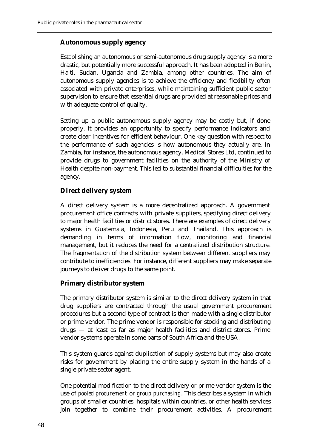## **Autonomous supply agency**

Establishing an autonomous or semi-autonomous drug supply agency is a more drastic, but potentially more successful approach. It has been adopted in Benin, Haiti, Sudan, Uganda and Zambia, among other countries. The aim of autonomous supply agencies is to achieve the efficiency and flexibility often associated with private enterprises, while maintaining sufficient public sector supervision to ensure that essential drugs are provided at reasonable prices and with adequate control of quality.

Setting up a public autonomous supply agency may be costly but, if done properly, it provides an opportunity to specify performance indicators and create clear incentives for efficient behaviour. One key question with respect to the performance of such agencies is how autonomous they actually are. In Zambia, for instance, the autonomous agency, Medical Stores Ltd, continued to provide drugs to government facilities on the authority of the Ministry of Health despite non-payment. This led to substantial financial difficulties for the agency.

## **Direct delivery system**

A direct delivery system is a more decentralized approach. A government procurement office contracts with private suppliers, specifying direct delivery to major health facilities or district stores. There are examples of direct delivery systems in Guatemala, Indonesia, Peru and Thailand. This approach is demanding in terms of information flow, monitoring and financial management, but it reduces the need for a centralized distribution structure. The fragmentation of the distribution system between different suppliers may contribute to inefficiencies. For instance, different suppliers may make separate journeys to deliver drugs to the same point.

## **Primary distributor system**

The primary distributor system is similar to the direct delivery system in that drug suppliers are contracted through the usual government procurement procedures but a second type of contract is then made with a single distributor or prime vendor. The prime vendor is responsible for stocking and distributing drugs — at least as far as major health facilities and district stores. Prime vendor systems operate in some parts of South Africa and the USA.

This system guards against duplication of supply systems but may also create risks for government by placing the entire supply system in the hands of a single private sector agent.

One potential modification to the direct delivery or prime vendor system is the use of *pooled procurement* or *group purchasing*. This describes a system in which groups of smaller countries, hospitals within countries, or other health services join together to combine their procurement activities. A procurement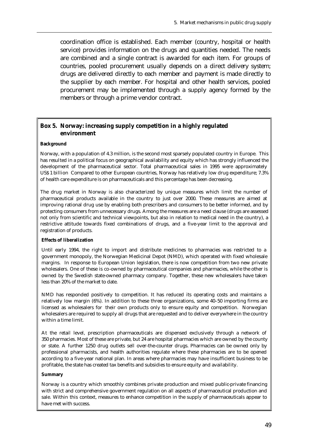coordination office is established. Each member (country, hospital or health service) provides information on the drugs and quantities needed. The needs are combined and a single contract is awarded for each item. For groups of countries, pooled procurement usually depends on a direct delivery system; drugs are delivered directly to each member and payment is made directly to the supplier by each member. For hospital and other health services, pooled procurement may be implemented through a supply agency formed by the members or through a prime vendor contract.

## **Box 5. Norway: increasing supply competition in a highly regulated environment**

#### **Background**

Norway, with a population of 4.3 million, is the second most sparsely populated country in Europe. This has resulted in a political focus on geographical availability and equity which has strongly influenced the development of the pharmaceutical sector. Total pharmaceutical sales in 1995 were approximately US\$ 1 billion Compared to other European countries, Norway has relatively low drug expenditure; 7.3% of health care expenditure is on pharmaceuticals and this percentage has been decreasing.

The drug market in Norway is also characterized by unique measures which limit the number of pharmaceutical products available in the country to just over 2000. These measures are aimed at improving rational drug use by enabling both prescribers and consumers to be better informed, and by protecting consumers from unnecessary drugs. Among the measures are a need clause (drugs are assessed not only from scientific and technical viewpoints, but also in relation to medical need in the country), a restrictive attitude towards fixed combinations of drugs, and a five-year limit to the approval and registration of products.

#### **Effects of liberalization**

Until early 1994, the right to import and distribute medicines to pharmacies was restricted to a government monopoly, the Norwegian Medicinal Depot (NMD), which operated with fixed wholesale margins. In response to European Union legislation, there is now competition from two new private wholesalers. One of these is co-owned by pharmaceutical companies and pharmacies, while the other is owned by the Swedish state-owned pharmacy company. Together, these new wholesalers have taken less than 20% of the market to date.

NMD has responded positively to competition. It has reduced its operating costs and maintains a relatively low margin (6%). In addition to these three organizations, some 40–50 importing firms are licensed as wholesalers for their own products only to ensure equity and competition. Norwegian wholesalers are required to supply all drugs that are requested and to deliver everywhere in the country within a time limit.

At the retail level, prescription pharmaceuticals are dispensed exclusively through a network of 350 pharmacies. Most of these are private, but 24 are hospital pharmacies which are owned by the county or state. A further 1250 drug outlets sell over-the-counter drugs. Pharmacies can be owned only by professional pharmacists, and health authorities regulate where these pharmacies are to be opened according to a five-year national plan. In areas where pharmacies may have insufficient business to be profitable, the state has created tax benefits and subsidies to ensure equity and availability.

#### **Summary**

Norway is a country which smoothly combines private production and mixed public-private financing with strict and comprehensive government regulation on all aspects of pharmaceutical production and sale. Within this context, measures to enhance competition in the supply of pharmaceuticals appear to have met with success.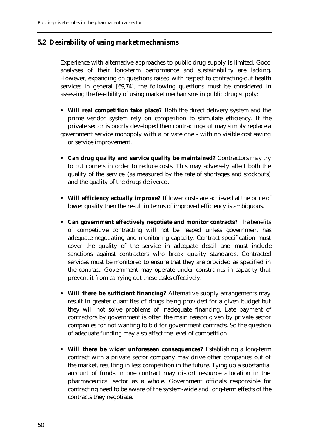## **5.2 Desirability of using market mechanisms**

Experience with alternative approaches to public drug supply is limited. Good analyses of their long-term performance and sustainability are lacking. However, expanding on questions raised with respect to contracting-out health services in general [69,74], the following questions must be considered in assessing the feasibility of using market mechanisms in public drug supply:

- **Will real competition take place?** Both the direct delivery system and the prime vendor system rely on competition to stimulate efficiency. If the private sector is poorly developed then contracting-out may simply replace a government service monopoly with a private one - with no visible cost saving or service improvement.
- **Can drug quality and service quality be maintained?** Contractors may try to cut corners in order to reduce costs. This may adversely affect both the quality of the service (as measured by the rate of shortages and stockouts) and the quality of the drugs delivered.
- **Will efficiency actually improve?** If lower costs are achieved at the price of lower quality then the result in terms of improved efficiency is ambiguous.
- **Can government effectively negotiate and monitor contracts?** The benefits of competitive contracting will not be reaped unless government has adequate negotiating and monitoring capacity. Contract specification must cover the quality of the service in adequate detail and must include sanctions against contractors who break quality standards. Contracted services must be monitored to ensure that they are provided as specified in the contract. Government may operate under constraints in capacity that prevent it from carrying out these tasks effectively.
- **Will there be sufficient financing?** Alternative supply arrangements may result in greater quantities of drugs being provided for a given budget but they will not solve problems of inadequate financing. Late payment of contractors by government is often the main reason given by private sector companies for not wanting to bid for government contracts. So the question of adequate funding may also affect the level of competition.
- **Will there be wider unforeseen consequences?** Establishing a long-term contract with a private sector company may drive other companies out of the market, resulting in less competition in the future. Tying up a substantial amount of funds in one contract may distort resource allocation in the pharmaceutical sector as a whole. Government officials responsible for contracting need to be aware of the system-wide and long-term effects of the contracts they negotiate.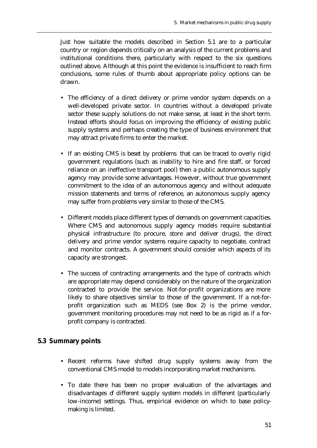Just how suitable the models described in Section 5.1 are to a particular country or region depends critically on an analysis of the current problems and institutional conditions there, particularly with respect to the six questions outlined above. Although at this point the evidence is insufficient to reach firm conclusions, some rules of thumb about appropriate policy options can be drawn.

- The efficiency of a direct delivery or prime vendor system depends on a well-developed private sector. In countries without a developed private sector these supply solutions do not make sense, at least in the short term. Instead efforts should focus on improving the efficiency of existing public supply systems and perhaps creating the type of business environment that may attract private firms to enter the market.
- If an existing CMS is beset by problems that can be traced to overly rigid government regulations (such as inability to hire and fire staff, or forced reliance on an ineffective transport pool) then a public autonomous supply agency may provide some advantages. However, without true government commitment to the idea of an autonomous agency and without adequate mission statements and terms of reference, an autonomous supply agency may suffer from problems very similar to those of the CMS.
- Different models place different types of demands on government capacities. Where CMS and autonomous supply agency models require substantial physical infrastructure (to procure, store and deliver drugs), the direct delivery and prime vendor systems require capacity to negotiate, contract and monitor contracts. A government should consider which aspects of its capacity are strongest.
- The success of contracting arrangements and the type of contracts which are appropriate may depend considerably on the nature of the organization contracted to provide the service. Not-for-profit organizations are more likely to share objectives similar to those of the government. If a not-forprofit organization such as MEDS (see Box 2) is the prime vendor, government monitoring procedures may not need to be as rigid as if a forprofit company is contracted.

## **5.3 Summary points**

- Recent reforms have shifted drug supply systems away from the conventional CMS model to models incorporating market mechanisms.
- To date there has been no proper evaluation of the advantages and disadvantages of different supply system models in different (particularly low-income) settings. Thus, empirical evidence on which to base policymaking is limited.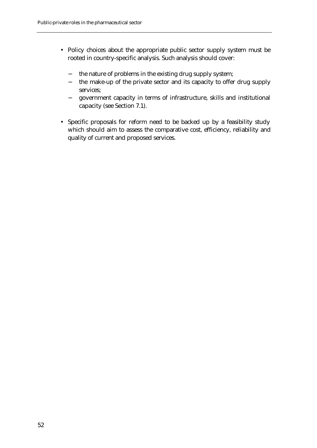- Policy choices about the appropriate public sector supply system must be rooted in country-specific analysis. Such analysis should cover:
	- − the nature of problems in the existing drug supply system;
	- − the make-up of the private sector and its capacity to offer drug supply services;
	- − government capacity in terms of infrastructure, skills and institutional capacity (see Section 7.1).
- Specific proposals for reform need to be backed up by a feasibility study which should aim to assess the comparative cost, efficiency, reliability and quality of current and proposed services.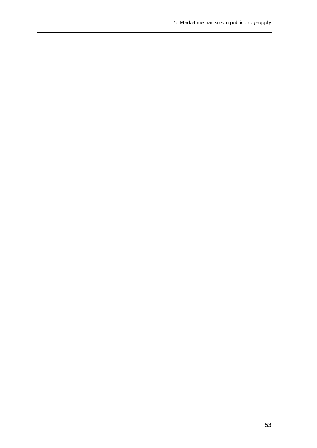5. Market mechanisms in public drug supply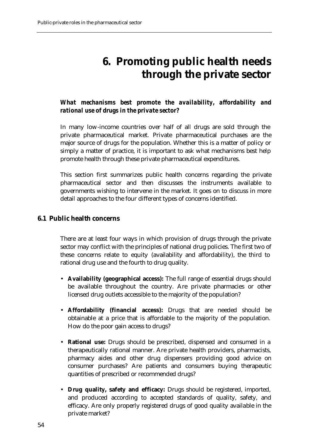# **6. Promoting public health needs through the private sector**

## *What mechanisms best promote the availability, affordability and rational use of drugs in the private sector***?**

In many low-income countries over half of all drugs are sold through the private pharmaceutical market. Private pharmaceutical purchases are the major source of drugs for the population. Whether this is a matter of policy or simply a matter of practice, it is important to ask what mechanisms best help promote health through these private pharmaceutical expenditures.

This section first summarizes public health concerns regarding the private pharmaceutical sector and then discusses the instruments available to governments wishing to intervene in the market. It goes on to discuss in more detail approaches to the four different types of concerns identified.

## **6.1 Public health concerns**

There are at least four ways in which provision of drugs through the private sector may conflict with the principles of national drug policies. The first two of these concerns relate to equity (availability and affordability), the third to rational drug use and the fourth to drug quality.

- **Availability (geographical access):** The full range of essential drugs should be available throughout the country. Are private pharmacies or other licensed drug outlets accessible to the majority of the population?
- **Affordability (financial access):** Drugs that are needed should be obtainable at a price that is affordable to the majority of the population. How do the poor gain access to drugs?
- **Rational use:** Drugs should be prescribed, dispensed and consumed in a therapeutically rational manner. Are private health providers, pharmacists, pharmacy aides and other drug dispensers providing good advice on consumer purchases? Are patients and consumers buying therapeutic quantities of prescribed or recommended drugs?
- **Drug quality, safety and efficacy:** Drugs should be registered, imported, and produced according to accepted standards of quality, safety, and efficacy. Are only properly registered drugs of good quality available in the private market?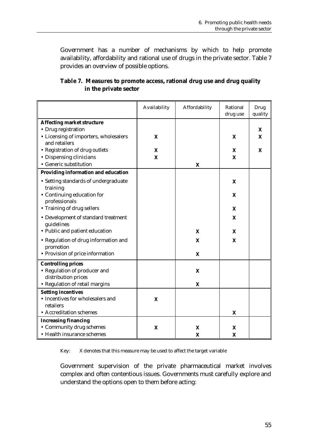Government has a number of mechanisms by which to help promote availability, affordability and rational use of drugs in the private sector. Table 7 provides an overview of possible options.

| Table 7. Measures to promote access, rational drug use and drug quality |
|-------------------------------------------------------------------------|
| in the private sector                                                   |

|                                                                                                   | Availability | Affordability | Rational<br>drug use | Drug<br>quality   |
|---------------------------------------------------------------------------------------------------|--------------|---------------|----------------------|-------------------|
| <b>Affecting market structure</b><br>• Drug registration<br>• Licensing of importers, wholesalers | X            |               | X                    | X<br>$\mathbf{x}$ |
| and retailers                                                                                     |              |               |                      |                   |
| • Registration of drug outlets                                                                    | X            |               | X                    | X                 |
| • Dispensing clinicians<br>• Generic substitution                                                 | $\mathbf x$  | X             | $\mathbf{x}$         |                   |
| Providing information and education                                                               |              |               |                      |                   |
| • Setting standards of undergraduate<br>training                                                  |              |               | X                    |                   |
| • Continuing education for<br>professionals                                                       |              |               | X                    |                   |
| • Training of drug sellers                                                                        |              |               | X                    |                   |
| • Development of standard treatment<br>guidelines                                                 |              |               | $\mathbf{x}$         |                   |
| • Public and patient education                                                                    |              | X             | X                    |                   |
| • Regulation of drug information and<br>promotion                                                 |              | X             | X                    |                   |
| • Provision of price information                                                                  |              | X             |                      |                   |
| <b>Controlling prices</b><br>• Regulation of producer and<br>distribution prices                  |              | X             |                      |                   |
| • Regulation of retail margins                                                                    |              | X             |                      |                   |
| <b>Setting incentives</b><br>• Incentives for wholesalers and<br>retailers                        | $\mathbf{x}$ |               |                      |                   |
| • Accreditation schemes                                                                           |              |               | X                    |                   |
| <b>Increasing financing</b><br>• Community drug schemes                                           | X            | $\mathbf{x}$  | X                    |                   |
| • Health insurance schemes                                                                        |              | X             | X                    |                   |

Key: X denotes that this measure may be used to affect the target variable

Government supervision of the private pharmaceutical market involves complex and often contentious issues. Governments must carefully explore and understand the options open to them before acting: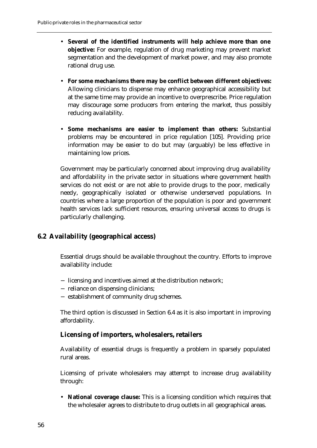- **Several of the identified instruments will help achieve more than one objective:** For example, regulation of drug marketing may prevent market segmentation and the development of market power, and may also promote rational drug use.
- **For some mechanisms there may be conflict between different objectives:** Allowing clinicians to dispense may enhance geographical accessibility but at the same time may provide an incentive to overprescribe. Price regulation may discourage some producers from entering the market, thus possibly reducing availability.
- **Some mechanisms are easier to implement than others:** Substantial problems may be encountered in price regulation [105]. Providing price information may be easier to do but may (arguably) be less effective in maintaining low prices.

Government may be particularly concerned about improving drug availability and affordability in the private sector in situations where government health services do not exist or are not able to provide drugs to the poor, medically needy, geographically isolated or otherwise underserved populations. In countries where a large proportion of the population is poor and government health services lack sufficient resources, ensuring universal access to drugs is particularly challenging.

## **6.2 Availability (geographical access)**

Essential drugs should be available throughout the country. Efforts to improve availability include:

- − licensing and incentives aimed at the distribution network;
- − reliance on dispensing clinicians;
- − establishment of community drug schemes.

The third option is discussed in Section 6.4 as it is also important in improving affordability.

## **Licensing of importers, wholesalers, retailers**

Availability of essential drugs is frequently a problem in sparsely populated rural areas.

Licensing of private wholesalers may attempt to increase drug availability through:

• **National coverage clause:** This is a licensing condition which requires that the wholesaler agrees to distribute to drug outlets in all geographical areas.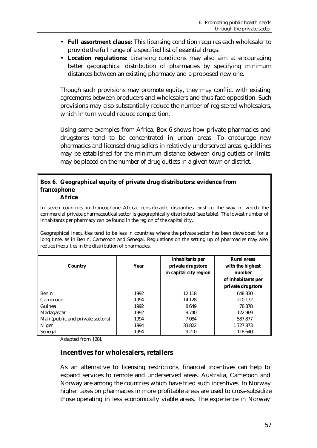- **Full assortment clause:** This licensing condition requires each wholesaler to provide the full range of a specified list of essential drugs.
- **Location regulations:** Licensing conditions may also aim at encouraging better geographical distribution of pharmacies by specifying minimum distances between an existing pharmacy and a proposed new one.

Though such provisions may promote equity, they may conflict with existing agreements between producers and wholesalers and thus face opposition. Such provisions may also substantially reduce the number of registered wholesalers, which in turn would reduce competition.

Using some examples from Africa, Box 6 shows how private pharmacies and drugstores tend to be concentrated in urban areas. To encourage new pharmacies and licensed drug sellers in relatively underserved areas, guidelines may be established for the minimum distance between drug outlets or limits may be placed on the number of drug outlets in a given town or district.

# **Box 6**. **Geographical equity of private drug distributors: evidence from francophone**

# **Africa**

In seven countries in francophone Africa, considerable disparities exist in the way in which the commercial private pharmaceutical sector is geographically distributed (see table). The lowest number of inhabitants per pharmacy can be found in the region of the capital city.

Geographical inequities tend to be less in countries where the private sector has been developed for a long time, as in Benin, Cameroon and Senegal. Regulations on the setting up of pharmacies may also reduce inequities in the distribution of pharmacies.

| Country                           | Year | <b>Inhabitants per</b><br>private drugstore<br>in capital city region | <b>Rural areas</b><br>with the highest<br>number<br>of inhabitants per<br>private drugstore |
|-----------------------------------|------|-----------------------------------------------------------------------|---------------------------------------------------------------------------------------------|
| Benin                             | 1992 | 12 118                                                                | 648 330                                                                                     |
| Cameroon                          | 1994 | 14 128                                                                | 210 172                                                                                     |
| Guinea                            | 1992 | 8649                                                                  | 78 878                                                                                      |
| Madagascar                        | 1992 | 9 740                                                                 | 122 969                                                                                     |
| Mali (public and private sectors) | 1994 | 7 0 8 4                                                               | 587877                                                                                      |
| Niger                             | 1994 | 33 822                                                                | 1727873                                                                                     |
| Senegal                           | 1994 | 9 2 1 0                                                               | 118 640                                                                                     |

Adapted from [28].

# **Incentives for wholesalers, retailers**

As an alternative to licensing restrictions, financial incentives can help to expand services to remote and underserved areas. Australia, Cameroon and Norway are among the countries which have tried such incentives. In Norway higher taxes on pharmacies in more profitable areas are used to cross-subsidize those operating in less economically viable areas. The experience in Norway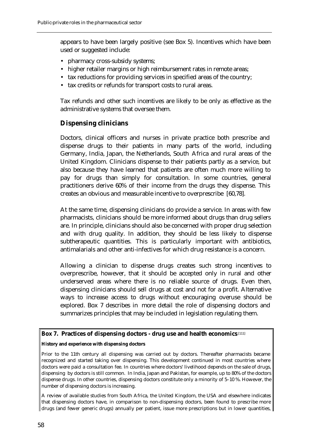appears to have been largely positive (see Box 5). Incentives which have been used or suggested include:

- pharmacy cross-subsidy systems;
- higher retailer margins or high reimbursement rates in remote areas;
- tax reductions for providing services in specified areas of the country;
- tax credits or refunds for transport costs to rural areas.

Tax refunds and other such incentives are likely to be only as effective as the administrative systems that oversee them.

# **Dispensing clinicians**

Doctors, clinical officers and nurses in private practice both prescribe and dispense drugs to their patients in many parts of the world, including Germany, India, Japan, the Netherlands, South Africa and rural areas of the United Kingdom. Clinicians dispense to their patients partly as a service, but also because they have learned that patients are often much more willing to pay for drugs than simply for consultation. In some countries, general practitioners derive 60% of their income from the drugs they dispense. This creates an obvious and measurable incentive to overprescribe [60,78].

At the same time, dispensing clinicians do provide a service. In areas with few pharmacists, clinicians should be more informed about drugs than drug sellers are. In principle, clinicians should also be concerned with proper drug selection and with drug quality. In addition, they should be less likely to dispense subtherapeutic quantities. This is particularly important with antibiotics, antimalarials and other anti-infectives for which drug resistance is a concern.

Allowing a clinician to dispense drugs creates such strong incentives to overprescribe, however, that it should be accepted only in rural and other underserved areas where there is no reliable source of drugs. Even then, dispensing clinicians should sell drugs at cost and not for a profit. Alternative ways to increase access to drugs without encouraging overuse should be explored. Box 7 describes in more detail the role of dispensing doctors and summarizes principles that may be included in legislation regulating them.

# **Box 7. Practices of dispensing doctors - drug use and health economics** [111]

## **History and experience with dispensing doctors**

Prior to the 11th century all dispensing was carried out by doctors. Thereafter pharmacists became recognized and started taking over dispensing. This development continued in most countries where doctors were paid a consultation fee. In countries where doctors' livelihood depends on the sale of drugs, dispensing by doctors is still common. In India, Japan and Pakistan, for example, up to 80% of the doctors dispense drugs. In other countries, dispensing doctors constitute only a minority of 5–10 %. However, the number of dispensing doctors is increasing.

A review of available studies from South Africa, the United Kingdom, the USA and elsewhere indicates that dispensing doctors have, in comparison to non-dispensing doctors, been found to prescribe more drugs (and fewer generic drugs) annually per patient, issue more prescriptions but in lower quantities,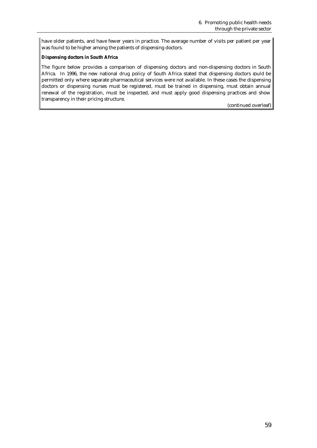have older patients, and have fewer years in practice. The average number of visits per patient per year was found to be higher among the patients of dispensing doctors.

## **Dispensing doctors in South Africa**

The figure below provides a comparison of dispensing doctors and non-dispensing doctors in South Africa. In 1996, the new national drug policy of South Africa stated that dispensing doctors could be permitted only where separate pharmaceutical services were not available. In these cases the dispensing doctors or dispensing nurses must be registered, must be trained in dispensing, must obtain annual renewal of the registration, must be inspected, and must apply good dispensing practices and show transparency in their pricing structure.

(continued overleaf)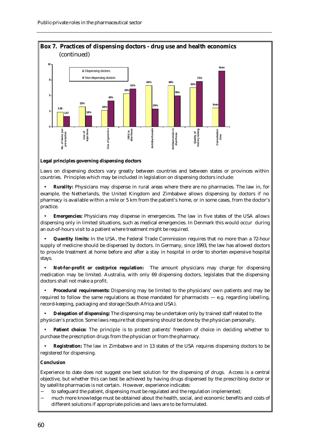

#### **Legal principles governing dispensing doctors**

Laws on dispensing doctors vary greatly between countries and between states or provinces within countries. Principles which may be included in legislation on dispensing doctors include:

• **Rurality:** Physicians may dispense in rural areas where there are no pharmacies. The law in, for example, the Netherlands, the United Kingdom and Zimbabwe allows dispensing by doctors if no pharmacy is available within a mile or 5 km from the patient's home, or in some cases, from the doctor's practice.

• **Emergencies:** Physicians may dispense in emergencies. The law in five states of the USA allows dispensing only in limited situations, such as medical emergencies. In Denmark this would occur during an out-of-hours visit to a patient where treatment might be required.

• **Quantity limits:** In the USA, the Federal Trade Commission requires that no more than a 72-hour supply of medicine should be dispensed by doctors. In Germany, since 1993, the law has allowed doctors to provide treatment at home before and after a stay in hospital in order to shorten expensive hospital stays.

• **Not-for-profit or cost/price regulation:** The amount physicians may charge for dispensing medication may be limited. Australia, with only 69 dispensing doctors, legislates that the dispensing doctors shall not make a profit.

• **Procedural requirements:** Dispensing may be limited to the physicians' own patients and may be required to follow the same regulations as those mandated for pharmacists — e.g. regarding labelling, record-keeping, packaging and storage (South Africa and USA).

• **Delegation of dispensing:** The dispensing may be undertaken only by trained staff related to the physician's practice. Some laws require that dispensing should be done by the physician personally.

**Patient choice:** The principle is to protect patients' freedom of choice in deciding whether to purchase the prescription drugs from the physician or from the pharmacy.

• **Registration:** The law in Zimbabwe and in 13 states of the USA requires dispensing doctors to be registered for dispensing.

### **Conclusion**

Experience to date does not suggest one best solution for the dispensing of drugs. Access is a central objective, but whether this can best be achieved by having drugs dispensed by the prescribing doctor or by satellite pharmacies is not certain. However, experience indicates:

- to safeguard the patient, dispensing must be regulated and the regulation implemented;
- much more knowledge must be obtained about the health, social, and economic benefits and costs of different solutions if appropriate policies and laws are to be formulated.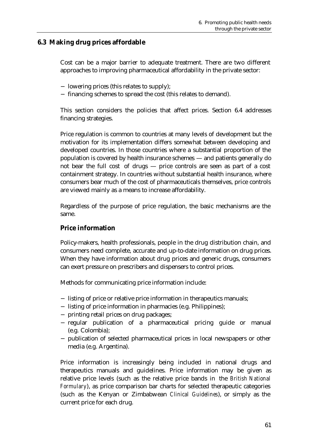# **6.3 Making drug prices affordable**

Cost can be a major barrier to adequate treatment. There are two different approaches to improving pharmaceutical affordability in the private sector:

- − lowering prices (this relates to supply);
- − financing schemes to spread the cost (this relates to demand).

This section considers the policies that affect prices. Section 6.4 addresses financing strategies.

Price regulation is common to countries at many levels of development but the motivation for its implementation differs somewhat between developing and developed countries. In those countries where a substantial proportion of the population is covered by health insurance schemes — and patients generally do not bear the full cost of drugs — price controls are seen as part of a cost containment strategy. In countries without substantial health insurance, where consumers bear much of the cost of pharmaceuticals themselves, price controls are viewed mainly as a means to increase affordability.

Regardless of the purpose of price regulation, the basic mechanisms are the same.

# **Price information**

Policy-makers, health professionals, people in the drug distribution chain, and consumers need complete, accurate and up-to-date information on drug prices. When they have information about drug prices and generic drugs, consumers can exert pressure on prescribers and dispensers to control prices.

Methods for communicating price information include:

- − listing of price or relative price information in therapeutics manuals;
- − listing of price information in pharmacies (e.g. Philippines);
- − printing retail prices on drug packages;
- − regular publication of a pharmaceutical pricing guide or manual (e.g. Colombia);
- − publication of selected pharmaceutical prices in local newspapers or other media (e.g. Argentina).

Price information is increasingly being included in national drugs and therapeutics manuals and guidelines. Price information may be given as relative price levels (such as the relative price bands in the *British National Formulary*), as price comparison bar charts for selected therapeutic categories (such as the Kenyan or Zimbabwean *Clinical Guidelines*), or simply as the current price for each drug.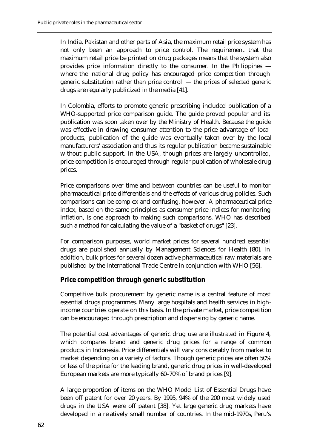In India, Pakistan and other parts of Asia, the maximum retail price system has not only been an approach to price control. The requirement that the maximum retail price be printed on drug packages means that the system also provides price information directly to the consumer. In the Philippines where the national drug policy has encouraged price competition through generic substitution rather than price control — the prices of selected generic drugs are regularly publicized in the media [41].

In Colombia, efforts to promote generic prescribing included publication of a WHO-supported price comparison guide. The guide proved popular and its publication was soon taken over by the Ministry of Health. Because the guide was effective in drawing consumer attention to the price advantage of local products, publication of the guide was eventually taken over by the local manufacturers' association and thus its regular publication became sustainable without public support. In the USA, though prices are largely uncontrolled, price competition is encouraged through regular publication of wholesale drug prices.

Price comparisons over time and between countries can be useful to monitor pharmaceutical price differentials and the effects of various drug policies. Such comparisons can be complex and confusing, however. A pharmaceutical price index, based on the same principles as consumer price indices for monitoring inflation, is one approach to making such comparisons. WHO has described such a method for calculating the value of a "basket of drugs" [23].

For comparison purposes, world market prices for several hundred essential drugs are published annually by Management Sciences for Health [80]. In addition, bulk prices for several dozen active pharmaceutical raw materials are published by the International Trade Centre in conjunction with WHO [56].

# **Price competition through generic substitution**

Competitive bulk procurement by generic name is a central feature of most essential drugs programmes. Many large hospitals and health services in highincome countries operate on this basis. In the private market, price competition can be encouraged through prescription and dispensing by generic name.

The potential cost advantages of generic drug use are illustrated in Figure 4, which compares brand and generic drug prices for a range of common products in Indonesia. Price differentials will vary considerably from market to market depending on a variety of factors. Though generic prices are often 50% or less of the price for the leading brand, generic drug prices in well-developed European markets are more typically 60–70% of brand prices [9].

A large proportion of items on the WHO Model List of Essential Drugs have been off patent for over 20 years. By 1995, 94% of the 200 most widely used drugs in the USA were off patent [38]. Yet large generic drug markets have developed in a relatively small number of countries. In the mid-1970s, Peru's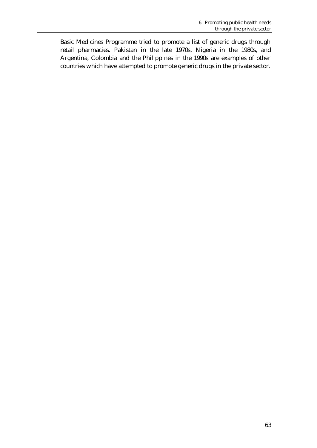Basic Medicines Programme tried to promote a list of generic drugs through retail pharmacies. Pakistan in the late 1970s, Nigeria in the 1980s, and Argentina, Colombia and the Philippines in the 1990s are examples of other countries which have attempted to promote generic drugs in the private sector.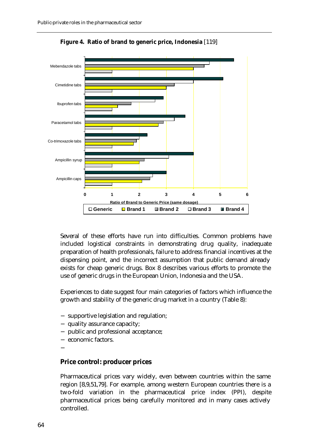

**Figure 4. Ratio of brand to generic price, Indonesia** [119]

Several of these efforts have run into difficulties. Common problems have included logistical constraints in demonstrating drug quality, inadequate preparation of health professionals, failure to address financial incentives at the dispensing point, and the incorrect assumption that public demand already exists for cheap generic drugs. Box 8 describes various efforts to promote the use of generic drugs in the European Union, Indonesia and the USA.

Experiences to date suggest four main categories of factors which influence the growth and stability of the generic drug market in a country (Table 8):

- − supportive legislation and regulation;
- − quality assurance capacity;
- − public and professional acceptance;
- − economic factors.
- −

## **Price control: producer prices**

Pharmaceutical prices vary widely, even between countries within the same region [8,9,51,79]. For example, among western European countries there is a two-fold variation in the pharmaceutical price index (PPI), despite pharmaceutical prices being carefully monitored and in many cases actively controlled.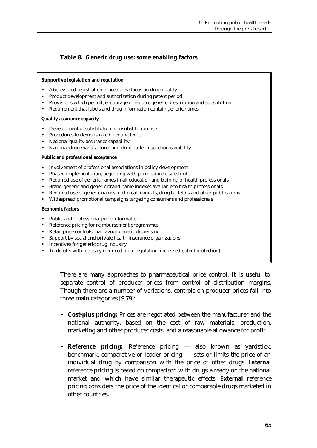# **Table 8. Generic drug use: some enabling factors**

#### **Supportive legislation and regulation**

- Abbreviated registration procedures (focus on drug quality)
- Product development and authorization during patent period
- Provisions which permit, encourage or require generic prescription and substitution
- Requirement that labels and drug information contain generic names

#### **Quality assurance capacity**

- Development of substitution, nonsubstitution lists
- Procedures to demonstrate bioequivalence
- National quality assurance capability
- National drug manufacturer and drug outlet inspection capability

#### **Public and professional acceptance**

- Involvement of professional associations in policy development
- Phased implementation, beginning with permission to substitute
- Required use of generic names in all education and training of health professionals
- Brand-generic and generic-brand name indexes available to health professionals
- Required use of generic names in clinical manuals, drug bulletins and other publications
- Widespread promotional campaigns targeting consumers and professionals

#### **Economic factors**

- Public and professional price information
- Reference pricing for reimbursement programmes
- Retail price controls that favour generic dispensing
- Support by social and private health insurance organizations
- Incentives for generic drug industry
- Trade-offs with industry (reduced price regulation, increased patent protection)

There are many approaches to pharmaceutical price control. It is useful to separate control of producer prices from control of distribution margins. Though there are a number of variations, controls on producer prices fall into three main categories [9,79]:

- **Cost-plus pricing:** Prices are negotiated between the manufacturer and the national authority, based on the cost of raw materials, production, marketing and other producer costs, and a reasonable allowance for profit.
- **Reference pricing:** Reference pricing also known as yardstick, benchmark, comparative or leader pricing — sets or limits the price of an individual drug by comparison with the price of other drugs. **Internal** reference pricing is based on comparison with drugs already on the national market and which have similar therapeutic effects. **External** reference pricing considers the price of the identical or comparable drugs marketed in other countries.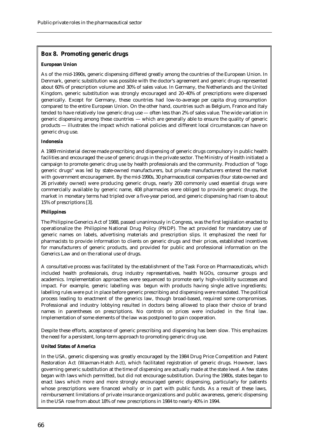### **Box 8. Promoting generic drugs**

#### **European Union**

As of the mid-1990s, generic dispensing differed greatly among the countries of the European Union. In Denmark, generic substitution was possible with the doctor's agreement and generic drugs represented about 60% of prescription volume and 30% of sales value. In Germany, the Netherlands and the United Kingdom, generic substitution was strongly encouraged and 20–40% of prescriptions were dispensed generically. Except for Germany, these countries had low-to-average per capita drug consumption compared to the entire European Union. On the other hand, countries such as Belgium, France and Italy tended to have relatively low generic drug use — often less than 2% of sales value. The wide variation in generic dispensing among these countries — which are generally able to ensure the quality of generic products — illustrates the impact which national policies and different local circumstances can have on generic drug use.

#### **Indonesia**

A 1989 ministerial decree made prescribing and dispensing of generic drugs compulsory in public health facilities and encouraged the use of generic drugs in the private sector. The Ministry of Health initiated a campaign to promote generic drug use by health professionals and the community. Production of "logo generic drugs" was led by state-owned manufacturers, but private manufacturers entered the market with government encouragement. By the mid-1990s, 30 pharmaceutical companies (four state-owned and 26 privately owned) were producing generic drugs, nearly 200 commonly used essential drugs were commercially available by generic name, 408 pharmacies were obliged to provide generic drugs, the market in monetary terms had tripled over a five-year period, and generic dispensing had risen to about 15% of prescriptions [3].

#### **Philippines**

The Philippine Generics Act of 1988, passed unanimously in Congress, was the first legislation enacted to operationalize the Philippine National Drug Policy (PNDP). The act provided for mandatory use of generic names on labels, advertising materials and prescription slips. It emphasized the need for pharmacists to provide information to clients on generic drugs and their prices, established incentives for manufacturers of generic products, and provided for public and professional information on the Generics Law and on the rational use of drugs.

A consultative process was facilitated by the establishment of the Task Force on Pharmaceuticals, which included health professionals, drug industry representatives, health NGOs, consumer groups and academics. Implementation approaches were sequenced to promote early high-visibility successes and impact. For example, generic labelling was begun with products having single active ingredients; labelling rules were put in place before generic prescribing and dispensing were mandated. The political process leading to enactment of the generics law, though broad-based, required some compromises. Professional and industry lobbying resulted in doctors being allowed to place their choice of brand names in parentheses on prescriptions. No controls on prices were included in the final law. Implementation of some elements of the law was postponed to gain cooperation.

Despite these efforts, acceptance of generic prescribing and dispensing has been slow. This emphasizes the need for a persistent, long-term approach to promoting generic drug use.

#### **United States of America**

In the USA, generic dispensing was greatly encouraged by the 1984 Drug Price Competition and Patent Restoration Act (Waxman-Hatch Act), which facilitated registration of generic drugs. However, laws governing generic substitution at the time of dispensing are actually made at the state level. A few states began with laws which permitted, but did not encourage substitution. During the 1980s, states began to enact laws which more and more strongly encouraged generic dispensing, particularly for patients whose prescriptions were financed wholly or in part with public funds. As a result of these laws, reimbursement limitations of private insurance organizations and public awareness, generic dispensing in the USA rose from about 18% of new prescriptions in 1984 to nearly 40% in 1994.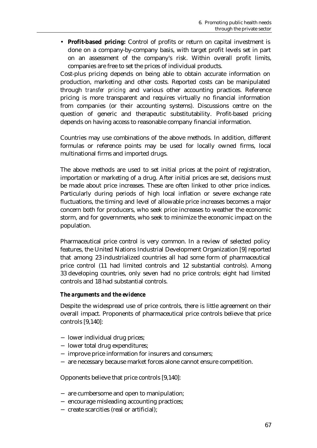• **Profit-based pricing:** Control of profits or return on capital investment is done on a company-by-company basis, with target profit levels set in part on an assessment of the company's risk. Within overall profit limits, companies are free to set the prices of individual products.

Cost-plus pricing depends on being able to obtain accurate information on production, marketing and other costs. Reported costs can be manipulated through *transfer pricing* and various other accounting practices. Reference pricing is more transparent and requires virtually no financial information from companies (or their accounting systems). Discussions centre on the question of generic and therapeutic substitutability. Profit-based pricing depends on having access to reasonable company financial information.

Countries may use combinations of the above methods. In addition, different formulas or reference points may be used for locally owned firms, local multinational firms and imported drugs.

The above methods are used to set initial prices at the point of registration, importation or marketing of a drug. After initial prices are set, decisions must be made about price increases. These are often linked to other price indices. Particularly during periods of high local inflation or severe exchange rate fluctuations, the timing and level of allowable price increases becomes a major concern both for producers, who seek price increases to weather the economic storm, and for governments, who seek to minimize the economic impact on the population.

Pharmaceutical price control is very common. In a review of selected policy features, the United Nations Industrial Development Organization [9] reported that among 23 industrialized countries all had some form of pharmaceutical price control (11 had limited controls and 12 substantial controls). Among 33 developing countries, only seven had no price controls; eight had limited controls and 18 had substantial controls.

## *The arguments and the evidence*

Despite the widespread use of price controls, there is little agreement on their overall impact. Proponents of pharmaceutical price controls believe that price controls [9,140]:

- − lower individual drug prices;
- − lower total drug expenditures;
- − improve price information for insurers and consumers;
- − are necessary because market forces alone cannot ensure competition.

Opponents believe that price controls [9,140]:

- − are cumbersome and open to manipulation;
- − encourage misleading accounting practices;
- − create scarcities (real or artificial);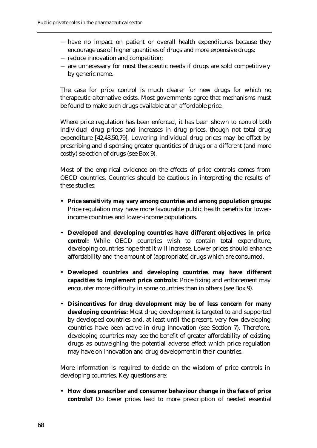- − have no impact on patient or overall health expenditures because they encourage use of higher quantities of drugs and more expensive drugs;
- − reduce innovation and competition;
- − are unnecessary for most therapeutic needs if drugs are sold competitively by generic name.

The case for price control is much clearer for new drugs for which no therapeutic alternative exists. Most governments agree that mechanisms must be found to make such drugs available at an affordable price.

Where price regulation has been enforced, it has been shown to control both individual drug prices and increases in drug prices, though not total drug expenditure [42,43,50,79]. Lowering individual drug prices may be offset by prescribing and dispensing greater quantities of drugs or a different (and more costly) selection of drugs (see Box 9).

Most of the empirical evidence on the effects of price controls comes from OECD countries. Countries should be cautious in interpreting the results of these studies:

- **Price sensitivity may vary among countries and among population groups:** Price regulation may have more favourable public health benefits for lowerincome countries and lower-income populations.
- **Developed and developing countries have different objectives in price control:** While OECD countries wish to contain total expenditure, developing countries hope that it will increase. Lower prices should enhance affordability and the amount of (appropriate) drugs which are consumed.
- **Developed countries and developing countries may have different capacities to implement price controls:** Price fixing and enforcement may encounter more difficulty in some countries than in others (see Box 9).
- **Disincentives for drug development may be of less concern for many developing countries:** Most drug development is targeted to and supported by developed countries and, at least until the present, very few developing countries have been active in drug innovation (see Section 7). Therefore, developing countries may see the benefit of greater affordability of existing drugs as outweighing the potential adverse effect which price regulation may have on innovation and drug development in their countries.

More information is required to decide on the wisdom of price controls in developing countries. Key questions are:

• **How does prescriber and consumer behaviour change in the face of price controls?** Do lower prices lead to more prescription of needed essential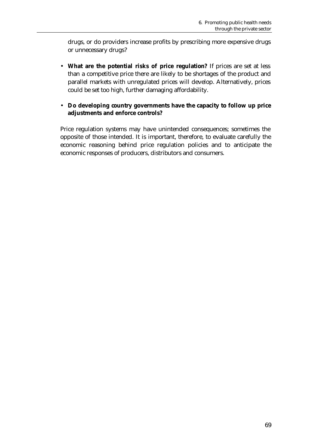drugs, or do providers increase profits by prescribing more expensive drugs or unnecessary drugs?

• **What are the potential risks of price regulation?** If prices are set at less than a competitive price there are likely to be shortages of the product and parallel markets with unregulated prices will develop. Alternatively, prices could be set too high, further damaging affordability.

# • **Do developing country governments have the capacity to follow up price adjustments and enforce controls?**

Price regulation systems may have unintended consequences; sometimes the opposite of those intended. It is important, therefore, to evaluate carefully the economic reasoning behind price regulation policies and to anticipate the economic responses of producers, distributors and consumers.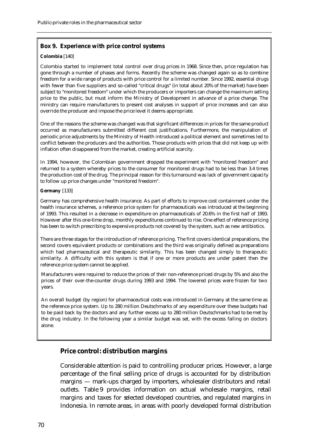## **Box 9. Experience with price control systems**

#### **Colombia** [140]

Colombia started to implement total control over drug prices in 1968. Since then, price regulation has gone through a number of phases and forms. Recently the scheme was changed again so as to combine freedom for a wide range of products with price control for a limited number. Since 1992, essential drugs with fewer than five suppliers and so-called "critical drugs" (in total about 20% of the market) have been subject to "monitored freedom" under which the producers or importers can change the maximum selling price to the public, but must inform the Ministry of Development in advance of a price change. The ministry can require manufacturers to present cost analyses in support of price increases and can also override the producer and impose the price level it deems appropriate.

One of the reasons the scheme was changed was that significant differences in prices for the same product occurred as manufacturers submitted different cost justifications. Furthermore, the manipulation of periodic price adjustments by the Ministry of Health introduced a political element and sometimes led to conflict between the producers and the authorities. Those products with prices that did not keep up with inflation often disappeared from the market, creating artificial scarcity.

In 1994, however, the Colombian government dropped the experiment with "monitored freedom" and returned to a system whereby prices to the consumer for monitored drugs had to be less than 3.4 times the production cost of the drug. The principal reason for this turnaround was lack of government capacity to follow up price changes under "monitored freedom".

#### **Germany** [133]

Germany has comprehensive health insurance. As part of efforts to improve cost containment under the health insurance schemes, a reference price system for pharmaceuticals was introduced at the beginning of 1993. This resulted in a decrease in expenditure on pharmaceuticals of 20.6% in the first half of 1993. However after this one-time drop, monthly expenditures continued to rise. One effect of reference pricing has been to switch prescribing to expensive products not covered by the system, such as new antibiotics.

There are three stages for the introduction of reference pricing. The first covers identical preparations, the second covers equivalent products or combinations and the third was originally defined as preparations which had pharmaceutical and therapeutic similarity. This has been changed simply to therapeutic similarity. A difficulty with this system is that if one or more products are under patent then the reference price system cannot be applied.

Manufacturers were required to reduce the prices of their non-reference priced drugs by 5% and also the prices of their over-the-counter drugs during 1993 and 1994. The lowered prices were frozen for two years.

An overall budget (by region) for pharmaceutical costs was introduced in Germany at the same time as the reference price system. Up to 280 million Deutschmarks of any expenditure over these budgets had to be paid back by the doctors and any further excess up to 280 million Deutschmarks had to be met by the drug industry. In the following year a similar budget was set, with the excess falling on doctors alone.

# **Price control: distribution margins**

Considerable attention is paid to controlling producer prices. However, a large percentage of the final selling price of drugs is accounted for by distribution margins — mark-ups charged by importers, wholesaler distributors and retail outlets. Table 9 provides information on actual wholesale margins, retail margins and taxes for selected developed countries, and regulated margins in Indonesia. In remote areas, in areas with poorly developed formal distribution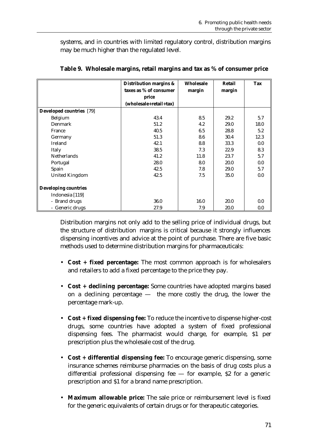systems, and in countries with limited regulatory control, distribution margins may be much higher than the regulated level.

|                                 | <b>Distribution margins &amp;</b> | Wholesale | Retail | <b>Tax</b> |
|---------------------------------|-----------------------------------|-----------|--------|------------|
|                                 | taxes as % of consumer            | margin    | margin |            |
|                                 | price                             |           |        |            |
|                                 | (wholesale+retail+tax)            |           |        |            |
| <b>Developed countries</b> [79] |                                   |           |        |            |
| Belgium                         | 43.4                              | 8.5       | 29.2   | 5.7        |
| Denmark                         | 51.2                              | 4.2       | 29.0   | 18.0       |
| France                          | 40.5                              | 6.5       | 28.8   | 5.2        |
| Germany                         | 51.3                              | 8.6       | 30.4   | 12.3       |
| Ireland                         | 42.1                              | 8.8       | 33.3   | 0.0        |
| Italy                           | 38.5                              | 7.3       | 22.9   | 8.3        |
| <b>Netherlands</b>              | 41.2                              | 11.8      | 23.7   | 5.7        |
| Portugal                        | 28.0                              | 8.0       | 20.0   | 0.0        |
| Spain                           | 42.5                              | 7.8       | 29.0   | 5.7        |
| United Kingdom                  | 42.5                              | 7.5       | 35.0   | 0.0        |
| <b>Developing countries</b>     |                                   |           |        |            |
| Indonesia [119]                 |                                   |           |        |            |
| - Brand drugs                   | 36.0                              | 16.0      | 20.0   | $0.0\,$    |
| - Generic drugs                 | 27.9                              | 7.9       | 20.0   | 0.0        |

|  | Table 9. Wholesale margins, retail margins and tax as % of consumer price |  |  |  |  |  |  |  |  |
|--|---------------------------------------------------------------------------|--|--|--|--|--|--|--|--|
|--|---------------------------------------------------------------------------|--|--|--|--|--|--|--|--|

Distribution margins not only add to the selling price of individual drugs, but the structure of distribution margins is critical because it strongly influences dispensing incentives and advice at the point of purchase. There are five basic methods used to determine distribution margins for pharmaceuticals:

- **Cost + fixed percentage:** The most common approach is for wholesalers and retailers to add a fixed percentage to the price they pay.
- **Cost + declining percentage:** Some countries have adopted margins based on a declining percentage — the more costly the drug, the lower the percentage mark-up.
- **Cost + fixed dispensing fee:** To reduce the incentive to dispense higher-cost drugs, some countries have adopted a system of fixed professional dispensing fees. The pharmacist would charge, for example, \$1 per prescription plus the wholesale cost of the drug.
- **Cost + differential dispensing fee:** To encourage generic dispensing, some insurance schemes reimburse pharmacies on the basis of drug costs plus a differential professional dispensing fee  $-$  for example, \$2 for a generic prescription and \$1 for a brand name prescription.
- **Maximum allowable price:** The sale price or reimbursement level is fixed for the generic equivalents of certain drugs or for therapeutic categories.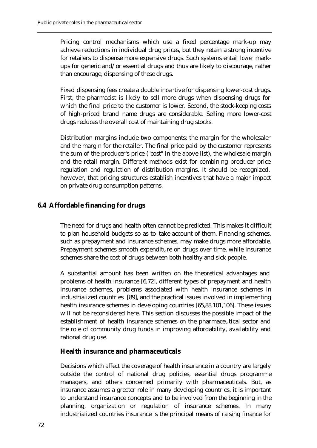Pricing control mechanisms which use a fixed percentage mark-up may achieve reductions in individual drug prices, but they retain a strong incentive for retailers to dispense more expensive drugs. Such systems entail *lower* markups for generic and/or essential drugs and thus are likely to discourage, rather than encourage, dispensing of these drugs.

Fixed dispensing fees create a double incentive for dispensing lower-cost drugs. First, the pharmacist is likely to sell more drugs when dispensing drugs for which the final price to the customer is lower. Second, the stock-keeping costs of high-priced brand name drugs are considerable. Selling more lower-cost drugs reduces the overall cost of maintaining drug stocks.

Distribution margins include two components: the margin for the wholesaler and the margin for the retailer. The final price paid by the customer represents the sum of the producer's price ("cost" in the above list), the wholesale margin and the retail margin. Different methods exist for combining producer price regulation and regulation of distribution margins. It should be recognized, however, that pricing structures establish incentives that have a major impact on private drug consumption patterns.

# **6.4 Affordable financing for drugs**

The need for drugs and health often cannot be predicted. This makes it difficult to plan household budgets so as to take account of them. Financing schemes, such as prepayment and insurance schemes, may make drugs more affordable. Prepayment schemes smooth expenditure on drugs over time, while insurance schemes share the cost of drugs between both healthy and sick people.

A substantial amount has been written on the theoretical advantages and problems of health insurance [6,72], different types of prepayment and health insurance schemes, problems associated with health insurance schemes in industrialized countries [89], and the practical issues involved in implementing health insurance schemes in developing countries [65,88,101,106]. These issues will not be reconsidered here. This section discusses the possible impact of the establishment of health insurance schemes on the pharmaceutical sector and the role of community drug funds in improving affordability, availability and rational drug use.

# **Health insurance and pharmaceuticals**

Decisions which affect the coverage of health insurance in a country are largely outside the control of national drug policies, essential drugs programme managers, and others concerned primarily with pharmaceuticals. But, as insurance assumes a greater role in many developing countries, it is important to understand insurance concepts and to be involved from the beginning in the planning, organization or regulation of insurance schemes. In many industrialized countries insurance is the principal means of raising finance for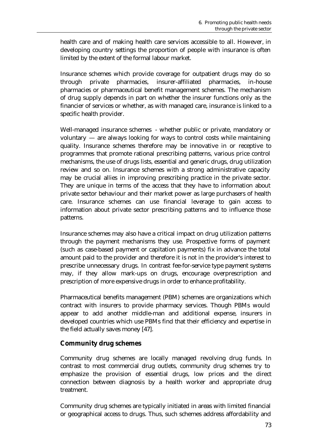health care and of making health care services accessible to all. However, in developing country settings the proportion of people with insurance is often limited by the extent of the formal labour market.

Insurance schemes which provide coverage for outpatient drugs may do so through private pharmacies, insurer-affiliated pharmacies, in-house pharmacies or pharmaceutical benefit management schemes. The mechanism of drug supply depends in part on whether the insurer functions only as the financier of services or whether, as with managed care, insurance is linked to a specific health provider.

Well-managed insurance schemes - whether public or private, mandatory or voluntary — are always looking for ways to control costs while maintaining quality. Insurance schemes therefore may be innovative in or receptive to programmes that promote rational prescribing patterns, various price control mechanisms, the use of drugs lists, essential and generic drugs, drug utilization review and so on. Insurance schemes with a strong administrative capacity may be crucial allies in improving prescribing practice in the private sector. They are unique in terms of the access that they have to information about private sector behaviour and their market power as large purchasers of health care. Insurance schemes can use financial leverage to gain access to information about private sector prescribing patterns and to influence those patterns.

Insurance schemes may also have a critical impact on drug utilization patterns through the payment mechanisms they use. Prospective forms of payment (such as case-based payment or capitation payments) fix in advance the total amount paid to the provider and therefore it is not in the provider's interest to prescribe unnecessary drugs. In contrast fee-for-service type payment systems may, if they allow mark-ups on drugs, encourage overprescription and prescription of more expensive drugs in order to enhance profitability.

Pharmaceutical benefits management (PBM) schemes are organizations which contract with insurers to provide pharmacy services. Though PBMs would appear to add another middle-man and additional expense, insurers in developed countries which use PBMs find that their efficiency and expertise in the field actually saves money [47].

# **Community drug schemes**

Community drug schemes are locally managed revolving drug funds. In contrast to most commercial drug outlets, community drug schemes try to emphasize the provision of essential drugs, low prices and the direct connection between diagnosis by a health worker and appropriate drug treatment.

Community drug schemes are typically initiated in areas with limited financial or geographical access to drugs. Thus, such schemes address affordability and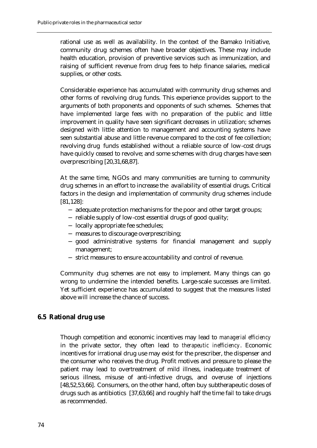rational use as well as availability. In the context of the Bamako Initiative, community drug schemes often have broader objectives. These may include health education, provision of preventive services such as immunization, and raising of sufficient revenue from drug fees to help finance salaries, medical supplies, or other costs.

Considerable experience has accumulated with community drug schemes and other forms of revolving drug funds. This experience provides support to the arguments of both proponents and opponents of such schemes. Schemes that have implemented large fees with no preparation of the public and little improvement in quality have seen significant decreases in utilization; schemes designed with little attention to management and accounting systems have seen substantial abuse and little revenue compared to the cost of fee collection; revolving drug funds established without a reliable source of low-cost drugs have quickly ceased to revolve; and some schemes with drug charges have seen overprescribing [20,31,68,87].

At the same time, NGOs and many communities are turning to community drug schemes in an effort to increase the availability of essential drugs. Critical factors in the design and implementation of community drug schemes include [81,128]:

- − adequate protection mechanisms for the poor and other target groups;
- − reliable supply of low-cost essential drugs of good quality;
- − locally appropriate fee schedules;
- − measures to discourage overprescribing;
- − good administrative systems for financial management and supply management;
- − strict measures to ensure accountability and control of revenue.

Community drug schemes are not easy to implement. Many things can go wrong to undermine the intended benefits. Large-scale successes are limited. Yet sufficient experience has accumulated to suggest that the measures listed above will increase the chance of success.

# **6.5 Rational drug use**

Though competition and economic incentives may lead to *managerial efficiency* in the private sector, they often lead to *therapeutic inefficiency*. Economic incentives for irrational drug use may exist for the prescriber, the dispenser and the consumer who receives the drug. Profit motives and pressure to please the patient may lead to overtreatment of mild illness, inadequate treatment of serious illness, misuse of anti-infective drugs, and overuse of injections [48,52,53,66]. Consumers, on the other hand, often buy subtherapeutic doses of drugs such as antibiotics [37,63,66] and roughly half the time fail to take drugs as recommended.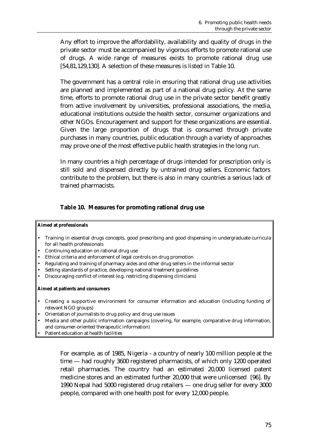Any effort to improve the affordability, availability and quality of drugs in the private sector must be accompanied by vigorous efforts to promote rational use of drugs. A wide range of measures exists to promote rational drug use [54,81,129,130]. A selection of these measures is listed in Table 10.

The government has a central role in ensuring that rational drug use activities are planned and implemented as part of a national drug policy. At the same time, efforts to promote rational drug use in the private sector benefit greatly from active involvement by universities, professional associations, the media, educational institutions outside the health sector, consumer organizations and other NGOs. Encouragement and support for these organizations are essential. Given the large proportion of drugs that is consumed through private purchases in many countries, public education through a variety of approaches may prove one of the most effective public health strategies in the long run.

In many countries a high percentage of drugs intended for prescription only is still sold and dispensed directly by untrained drug sellers. Economic factors contribute to the problem, but there is also in many countries a serious lack of trained pharmacists.

## **Table 10. Measures for promoting rational drug use**

#### **Aimed at professionals**

- Training in essential drugs concepts, good prescribing and good dispensing in undergraduate curricula for all health professionals
- Continuing education on rational drug use
- Ethical criteria and enforcement of legal controls on drug promotion
- Regulating and training of pharmacy aides and other drug sellers in the informal sector
- Setting standards of practice, developing national treatment guidelines
- Discouraging conflict of interest (e.g. restricting dispensing clinicians)

### **Aimed at patients and consumers**

- Creating a supportive environment for consumer information and education (including funding of relevant NGO groups)
- Orientation of journalists to drug policy and drug use issues
- Media and other public information campaigns (covering, for example, comparative drug information, and consumer-oriented therapeutic information)
- Patient education at health facilities

For example, as of 1985, Nigeria - a country of nearly 100 million people at the time — had roughly 3600 registered pharmacists, of which only 1200 operated retail pharmacies. The country had an estimated 20,000 licensed patent medicine stores and an estimated further 20,000 that were unlicensed [96]. By 1990 Nepal had 5000 registered drug retailers — one drug seller for every 3000 people, compared with one health post for every 12,000 people.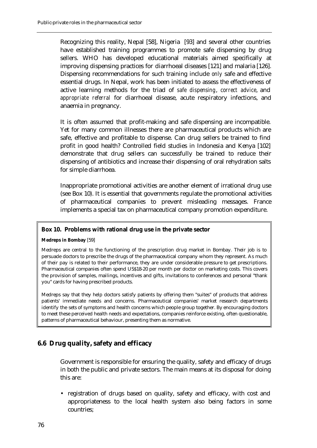Recognizing this reality, Nepal [58], Nigeria [93] and several other countries have established training programmes to promote safe dispensing by drug sellers. WHO has developed educational materials aimed specifically at improving dispensing practices for diarrhoeal diseases [121] and malaria [126]. Dispensing recommendations for such training include *only* safe and effective essential drugs. In Nepal, work has been initiated to assess the effectiveness of active learning methods for the triad of *safe dispensing*, *correct advice*, and *appropriate referral* for diarrhoeal disease, acute respiratory infections, and anaemia in pregnancy.

It is often assumed that profit-making and safe dispensing are incompatible. Yet for many common illnesses there are pharmaceutical products which are safe, effective and profitable to dispense. Can drug sellers be trained to find profit in good health? Controlled field studies in Indonesia and Kenya [102] demonstrate that drug sellers can successfully be trained to reduce their dispensing of antibiotics and increase their dispensing of oral rehydration salts for simple diarrhoea.

Inappropriate promotional activities are another element of irrational drug use (see Box 10). It is essential that governments regulate the promotional activities of pharmaceutical companies to prevent misleading messages. France implements a special tax on pharmaceutical company promotion expenditure.

## **Box 10. Problems with rational drug use in the private sector**

### **Medreps in Bombay** [59]

Medreps are central to the functioning of the prescription drug market in Bombay. Their job is to persuade doctors to prescribe the drugs of the pharmaceutical company whom they represent. As much of their pay is related to their performance, they are under considerable pressure to get prescriptions. Pharmaceutical companies often spend US\$18-20 per month per doctor on marketing costs. This covers the provision of samples, mailings, incentives and gifts, invitations to conferences and personal "thank you" cards for having prescribed products.

Medreps say that they help doctors satisfy patients by offering them "suites" of products that address patients' immediate needs and concerns. Pharmaceutical companies' market research departments identify the sets of symptoms and health concerns which people group together. By encouraging doctors to meet these perceived health needs and expectations, companies reinforce existing, often questionable, patterns of pharmaceutical behaviour, presenting them as normative.

# **6.6 Drug quality, safety and efficacy**

Government is responsible for ensuring the quality, safety and efficacy of drugs in both the public and private sectors. The main means at its disposal for doing this are:

• registration of drugs based on quality, safety and efficacy, with cost and appropriateness to the local health system also being factors in some countries;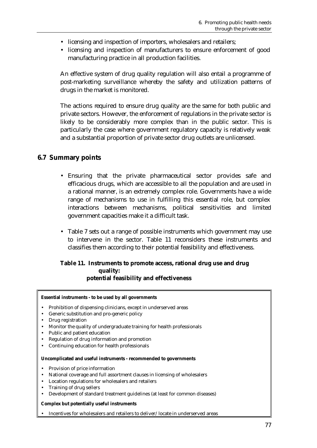- licensing and inspection of importers, wholesalers and retailers;
- licensing and inspection of manufacturers to ensure enforcement of good manufacturing practice in all production facilities.

An effective system of drug quality regulation will also entail a programme of post-marketing surveillance whereby the safety and utilization patterns of drugs in the market is monitored.

The actions required to ensure drug quality are the same for both public and private sectors. However, the enforcement of regulations in the private sector is likely to be considerably more complex than in the public sector. This is particularly the case where government regulatory capacity is relatively weak and a substantial proportion of private sector drug outlets are unlicensed.

# **6.7 Summary points**

- Ensuring that the private pharmaceutical sector provides safe and efficacious drugs, which are accessible to all the population and are used in a rational manner, is an extremely complex role. Governments have a wide range of mechanisms to use in fulfilling this essential role, but complex interactions between mechanisms, political sensitivities and limited government capacities make it a difficult task.
- Table 7 sets out a range of possible instruments which government may use to intervene in the sector. Table 11 reconsiders these instruments and classifies them according to their potential feasibility and effectiveness.

## **Table 11. Instruments to promote access, rational drug use and drug quality: potential feasibility and effectiveness**

| <b>Essential instruments - to be used by all governments</b>                           |  |  |  |  |
|----------------------------------------------------------------------------------------|--|--|--|--|
| Prohibition of dispensing clinicians, except in underserved areas<br>$\bullet$         |  |  |  |  |
| Generic substitution and pro-generic policy<br>$\bullet$                               |  |  |  |  |
| Drug registration                                                                      |  |  |  |  |
| Monitor the quality of undergraduate training for health professionals<br>$\bullet$    |  |  |  |  |
| Public and patient education<br>$\bullet$                                              |  |  |  |  |
| Regulation of drug information and promotion<br>$\bullet$                              |  |  |  |  |
| Continuing education for health professionals<br>٠                                     |  |  |  |  |
| Uncomplicated and useful instruments - recommended to governments                      |  |  |  |  |
| Provision of price information                                                         |  |  |  |  |
|                                                                                        |  |  |  |  |
| National coverage and full assortment clauses in licensing of wholesalers<br>$\bullet$ |  |  |  |  |
| Location regulations for wholesalers and retailers<br>$\bullet$                        |  |  |  |  |
| Training of drug sellers<br>$\bullet$                                                  |  |  |  |  |
| Development of standard treatment guidelines (at least for common diseases)<br>٠       |  |  |  |  |

• Incentives for wholesalers and retailers to deliver/locate in underserved areas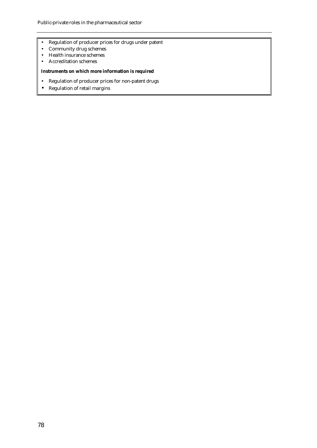- Regulation of producer prices for drugs under patent
- Community drug schemes
- Health insurance schemes
- Accreditation schemes

## **Instruments on which more information is required**

- Regulation of producer prices for non-patent drugs
- Regulation of retail margins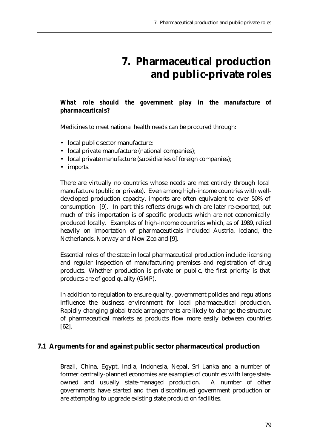# **7. Pharmaceutical production and public-private roles**

# *What role should the government play in the manufacture of pharmaceuticals?*

Medicines to meet national health needs can be procured through:

- local public sector manufacture;
- local private manufacture (national companies);
- local private manufacture (subsidiaries of foreign companies);
- imports.

There are virtually no countries whose needs are met entirely through local manufacture (public or private). Even among high-income countries with welldeveloped production capacity, imports are often equivalent to over 50% of consumption [9]. In part this reflects drugs which are later re-exported, but much of this importation is of specific products which are not economically produced locally. Examples of high-income countries which, as of 1989, relied heavily on importation of pharmaceuticals included Austria, Iceland, the Netherlands, Norway and New Zealand [9].

Essential roles of the state in local pharmaceutical production include licensing and regular inspection of manufacturing premises and registration of drug products. Whether production is private or public, the first priority is that products are of good quality (GMP).

In addition to regulation to ensure quality, government policies and regulations influence the business environment for local pharmaceutical production. Rapidly changing global trade arrangements are likely to change the structure of pharmaceutical markets as products flow more easily between countries [62].

# **7.1 Arguments for and against public sector pharmaceutical production**

Brazil, China, Egypt, India, Indonesia, Nepal, Sri Lanka and a number of former centrally-planned economies are examples of countries with large stateowned and usually state-managed production. A number of other governments have started and then discontinued government production or are attempting to upgrade existing state production facilities.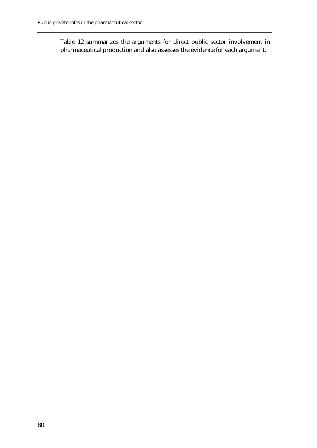Table 12 summarizes the arguments for direct public sector involvement in pharmaceutical production and also assesses the evidence for each argument.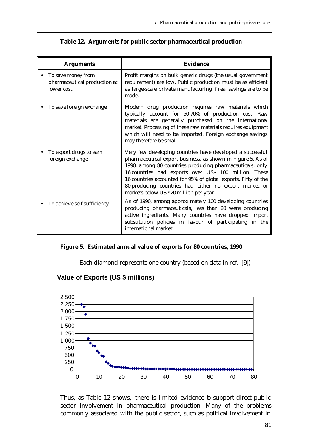| <b>Arguments</b>                                                 | <b>Evidence</b>                                                                                                                                                                                                                                                                                                                                                                                                     |
|------------------------------------------------------------------|---------------------------------------------------------------------------------------------------------------------------------------------------------------------------------------------------------------------------------------------------------------------------------------------------------------------------------------------------------------------------------------------------------------------|
| To save money from<br>pharmaceutical production at<br>lower cost | Profit margins on bulk generic drugs (the usual government<br>requirement) are low. Public production must be as efficient<br>as large-scale private manufacturing if real savings are to be<br>made.                                                                                                                                                                                                               |
| To save foreign exchange                                         | Modern drug production requires raw materials which<br>typically account for 50-70% of production cost. Raw<br>materials are generally purchased on the international<br>market. Processing of these raw materials requires equipment<br>which will need to be imported. Foreign exchange savings<br>may therefore be small.                                                                                        |
| To export drugs to earn<br>foreign exchange                      | Very few developing countries have developed a successful<br>pharmaceutical export business, as shown in Figure 5. As of<br>1990, among 80 countries producing pharmaceuticals, only<br>16 countries had exports over US\$ 100 million. These<br>16 countries accounted for 95% of global exports. Fifty of the<br>80 producing countries had either no export market or<br>markets below US \$20 million per year. |
| To achieve self-sufficiency                                      | As of 1990, among approximately 100 developing countries<br>producing pharmaceuticals, less than 20 were producing<br>active ingredients. Many countries have dropped import<br>substitution policies in favour of participating in the<br>international market.                                                                                                                                                    |

## **Table 12. Arguments for public sector pharmaceutical production**

# **Figure 5. Estimated annual value of exports for 80 countries, 1990**

Each diamond represents one country (based on data in ref. [9])

# **Value of Exports (US \$ millions)**



Thus, as Table 12 shows, there is limited evidence to support direct public sector involvement in pharmaceutical production. Many of the problems commonly associated with the public sector, such as political involvement in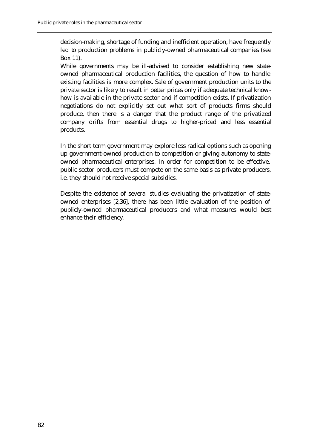decision-making, shortage of funding and inefficient operation, have frequently led to production problems in publicly-owned pharmaceutical companies (see Box 11).

While governments may be ill-advised to consider establishing new stateowned pharmaceutical production facilities, the question of how to handle existing facilities is more complex. Sale of government production units to the private sector is likely to result in better prices only if adequate technical knowhow is available in the private sector and if competition exists. If privatization negotiations do not explicitly set out what sort of products firms should produce, then there is a danger that the product range of the privatized company drifts from essential drugs to higher-priced and less essential products.

In the short term government may explore less radical options such as opening up government-owned production to competition or giving autonomy to stateowned pharmaceutical enterprises. In order for competition to be effective, public sector producers must compete on the same basis as private producers, i.e. they should not receive special subsidies.

Despite the existence of several studies evaluating the privatization of stateowned enterprises [2,36], there has been little evaluation of the position of publicly-owned pharmaceutical producers and what measures would best enhance their efficiency.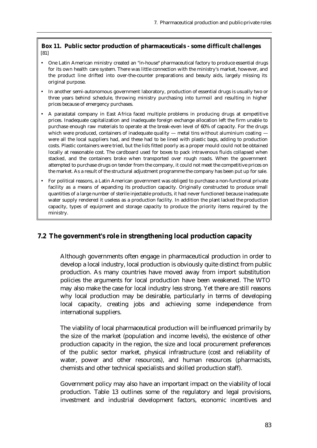## **Box 11. Public sector production of pharmaceuticals - some difficult challenges** [81]

- One Latin American ministry created an "in-house" pharmaceutical factory to produce essential drugs for its own health care system. There was little connection with the ministry's market, however, and the product line drifted into over-the-counter preparations and beauty aids, largely missing its original purpose.
- In another semi-autonomous government laboratory, production of essential drugs is usually two or three years behind schedule, throwing ministry purchasing into turmoil and resulting in higher prices because of emergency purchases.
- A parastatal company in East Africa faced multiple problems in producing drugs at competitive prices. Inadequate capitalization and inadequate foreign exchange allocation left the firm unable to purchase enough raw materials to operate at the break-even level of 60% of capacity. For the drugs which were produced, containers of inadequate quality — metal tins without aluminium coating were all the local suppliers had, and these had to be lined with plastic bags, adding to production costs. Plastic containers were tried, but the lids fitted poorly as a proper mould could not be obtained locally at reasonable cost. The cardboard used for boxes to pack intravenous fluids collapsed when stacked, and the containers broke when transported over rough roads. When the government attempted to purchase drugs on tender from the company, it could not meet the competitive prices on the market. As a result of the structural adjustment programme the company has been put up for sale.
- For political reasons, a Latin American government was obliged to purchase a non-functional private facility as a means of expanding its production capacity. Originally constructed to produce small quantities of a large number of sterile injectable products, it had never functioned because inadequate water supply rendered it useless as a production facility. In addition the plant lacked the production capacity, types of equipment and storage capacity to produce the priority items required by the ministry.

# **7.2 The government's role in strengthening local production capacity**

Although governments often engage in pharmaceutical production in order to develop a local industry, local production is obviously quite distinct from public production. As many countries have moved away from import substitution policies the arguments for local production have been weakened. The WTO may also make the case for local industry less strong. Yet there are still reasons why local production may be desirable, particularly in terms of developing local capacity, creating jobs and achieving some independence from international suppliers.

The viability of local pharmaceutical production will be influenced primarily by the size of the market (population and income levels), the existence of other production capacity in the region, the size and local procurement preferences of the public sector market, physical infrastructure (cost and reliability of water, power and other resources), and human resources (pharmacists, chemists and other technical specialists and skilled production staff).

Government policy may also have an important impact on the viability of local production. Table 13 outlines some of the regulatory and legal provisions, investment and industrial development factors, economic incentives and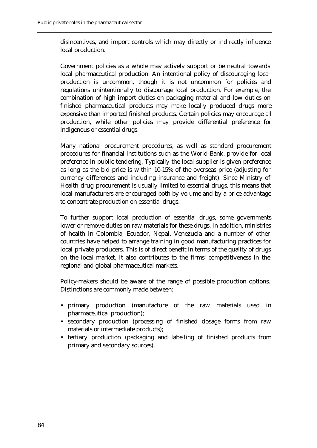disincentives, and import controls which may directly or indirectly influence local production.

Government policies as a whole may actively support or be neutral towards local pharmaceutical production. An intentional policy of discouraging local production is uncommon, though it is not uncommon for policies and regulations unintentionally to discourage local production. For example, the combination of high import duties on packaging material and low duties on finished pharmaceutical products may make locally produced drugs more expensive than imported finished products. Certain policies may encourage all production, while other policies may provide differential preference for indigenous or essential drugs.

Many national procurement procedures, as well as standard procurement procedures for financial institutions such as the World Bank, provide for local preference in public tendering. Typically the local supplier is given preference as long as the bid price is within 10-15% of the overseas price (adjusting for currency differences and including insurance and freight). Since Ministry of Health drug procurement is usually limited to essential drugs, this means that local manufacturers are encouraged both by volume and by a price advantage to concentrate production on essential drugs.

To further support local production of essential drugs, some governments lower or remove duties on raw materials for these drugs. In addition, ministries of health in Colombia, Ecuador, Nepal, Venezuela and a number of other countries have helped to arrange training in good manufacturing practices for local private producers. This is of direct benefit in terms of the quality of drugs on the local market. It also contributes to the firms' competitiveness in the regional and global pharmaceutical markets.

Policy-makers should be aware of the range of possible production options. Distinctions are commonly made between:

- primary production (manufacture of the raw materials used in pharmaceutical production);
- secondary production (processing of finished dosage forms from raw materials or intermediate products);
- tertiary production (packaging and labelling of finished products from primary and secondary sources).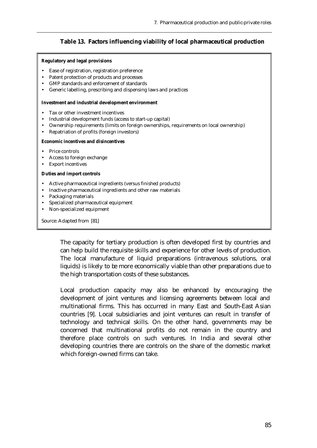## **Table 13. Factors influencing viability of local pharmaceutical production**

#### **Regulatory and legal provisions**

- Ease of registration, registration preference
- Patent protection of products and processes
- GMP standards and enforcement of standards
- Generic labelling, prescribing and dispensing laws and practices

#### **Investment and industrial development environment**

- Tax or other investment incentives
- Industrial development funds (access to start-up capital)
- Ownership requirements (limits on foreign ownerships, requirements on local ownership)
- Repatriation of profits (foreign investors)

#### **Economic incentives and disincentives**

- Price controls
- Access to foreign exchange
- **Export incentives**

#### **Duties and import controls**

- Active pharmaceutical ingredients (versus finished products)
- Inactive pharmaceutical ingredients and other raw materials
- Packaging materials
- Specialized pharmaceutical equipment
- Non-specialized equipment

Source: Adapted from [81]

The capacity for tertiary production is often developed first by countries and can help build the requisite skills and experience for other levels of production. The local manufacture of liquid preparations (intravenous solutions, oral liquids) is likely to be more economically viable than other preparations due to the high transportation costs of these substances.

Local production capacity may also be enhanced by encouraging the development of joint ventures and licensing agreements between local and multinational firms. This has occurred in many East and South-East Asian countries [9]. Local subsidiaries and joint ventures can result in transfer of technology and technical skills. On the other hand, governments may be concerned that multinational profits do not remain in the country and therefore place controls on such ventures. In India and several other developing countries there are controls on the share of the domestic market which foreign-owned firms can take.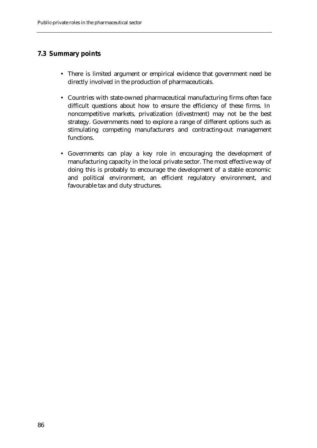# **7.3 Summary points**

- There is limited argument or empirical evidence that government need be directly involved in the production of pharmaceuticals.
- Countries with state-owned pharmaceutical manufacturing firms often face difficult questions about how to ensure the efficiency of these firms. In noncompetitive markets, privatization (divestment) may not be the best strategy. Governments need to explore a range of different options such as stimulating competing manufacturers and contracting-out management functions.
- Governments can play a key role in encouraging the development of manufacturing capacity in the local private sector. The most effective way of doing this is probably to encourage the development of a stable economic and political environment, an efficient regulatory environment, and favourable tax and duty structures.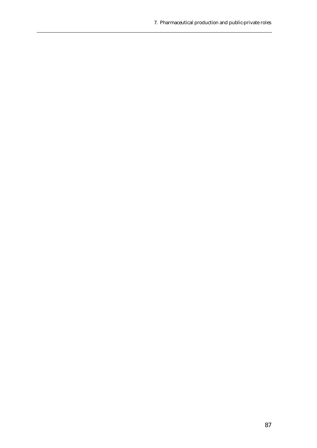7. Pharmaceutical production and public-private roles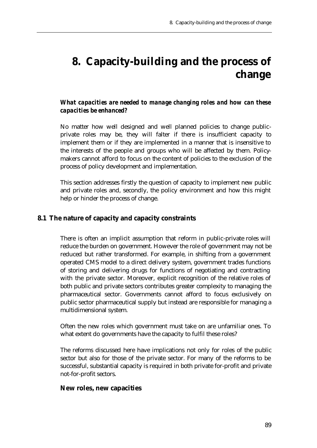# **8. Capacity-building and the process of change**

# *What capacities are needed to manage changing roles and how can these capacities be enhanced?*

No matter how well designed and well planned policies to change publicprivate roles may be, they will falter if there is insufficient capacity to implement them or if they are implemented in a manner that is insensitive to the interests of the people and groups who will be affected by them. Policymakers cannot afford to focus on the content of policies to the exclusion of the process of policy development and implementation.

This section addresses firstly the question of capacity to implement new public and private roles and, secondly, the policy environment and how this might help or hinder the process of change.

## **8.1 The nature of capacity and capacity constraints**

There is often an implicit assumption that reform in public-private roles will reduce the burden on government. However the role of government may not be reduced but rather transformed. For example, in shifting from a government operated CMS model to a direct delivery system, government trades functions of storing and delivering drugs for functions of negotiating and contracting with the private sector. Moreover, explicit recognition of the relative roles of both public and private sectors contributes greater complexity to managing the pharmaceutical sector. Governments cannot afford to focus exclusively on public sector pharmaceutical supply but instead are responsible for managing a multidimensional system.

Often the new roles which government must take on are unfamiliar ones. To what extent do governments have the capacity to fulfil these roles?

The reforms discussed here have implications not only for roles of the public sector but also for those of the private sector. For many of the reforms to be successful, substantial capacity is required in both private for-profit and private not-for-profit sectors.

## **New roles, new capacities**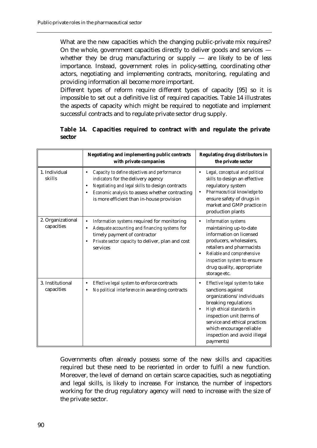What are the new capacities which the changing public-private mix requires? On the whole, government capacities directly to deliver goods and services whether they be drug manufacturing or supply  $-$  are likely to be of less importance. Instead, government roles in policy-setting, coordinating other actors, negotiating and implementing contracts, monitoring, regulating and providing information all become more important.

Different types of reform require different types of capacity [95] so it is impossible to set out a definitive list of required capacities. Table 14 illustrates the aspects of capacity which might be required to negotiate and implement successful contracts and to regulate private sector drug supply.

|                                 | <b>Negotiating and implementing public contracts</b><br>with private companies                                                                                                                                                                                    | <b>Regulating drug distributors in</b><br>the private sector                                                                                                                                                                                                                              |
|---------------------------------|-------------------------------------------------------------------------------------------------------------------------------------------------------------------------------------------------------------------------------------------------------------------|-------------------------------------------------------------------------------------------------------------------------------------------------------------------------------------------------------------------------------------------------------------------------------------------|
| 1. Individual<br>skills         | Capacity to define objectives and performance<br>$\bullet$<br>indicators for the delivery agency<br>Negotiating and legal skills to design contracts<br>$\bullet$<br>Economic analysis to assess whether contracting<br>is more efficient than in-house provision | Legal, conceptual and political<br>$\bullet$<br>skills to design an effective<br>regulatory system<br>Pharmaceutical knowledge to<br>$\bullet$<br>ensure safety of drugs in<br>market and GMP practice in<br>production plants                                                            |
| 2. Organizational<br>capacities | Information systems required for monitoring<br>Adequate accounting and financing systems for<br>timely payment of contractor<br>Private sector capacity to deliver, plan and cost<br>services                                                                     | <b>Information</b> systems<br>$\bullet$<br>maintaining up-to-date<br>information on licensed<br>producers, wholesalers,<br>retailers and pharmacists<br>Reliable and comprehensive<br>$\bullet$<br>inspection system to ensure<br>drug quality, appropriate<br>storage etc.               |
| 3. Institutional<br>capacities  | Effective legal system to enforce contracts<br>No political interference in awarding contracts                                                                                                                                                                    | Effective legal system to take<br>$\bullet$<br>sanctions against<br>organizations/individuals<br>breaking regulations<br>High ethical standards in<br>inspection unit (terms of<br>service and ethical practices<br>which encourage reliable<br>inspection and avoid illegal<br>payments) |

**Table 14. Capacities required to contract with and regulate the private sector**

Governments often already possess some of the new skills and capacities required but these need to be reoriented in order to fulfil a new function. Moreover, the level of demand on certain scarce capacities, such as negotiating and legal skills, is likely to increase. For instance, the number of inspectors working for the drug regulatory agency will need to increase with the size of the private sector.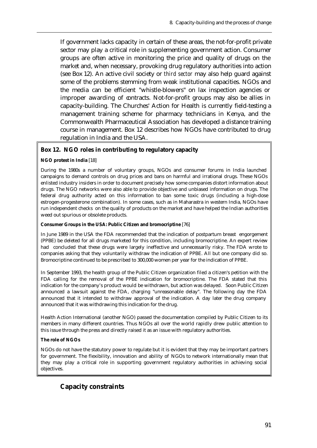If government lacks capacity in certain of these areas, the not-for-profit private sector may play a critical role in supplementing government action. Consumer groups are often active in monitoring the price and quality of drugs on the market and, when necessary, provoking drug regulatory authorities into action (see Box 12). An active civil society or *third sector* may also help guard against some of the problems stemming from weak institutional capacities. NGOs and the media can be efficient "whistle-blowers" on lax inspection agencies or improper awarding of contracts. Not-for-profit groups may also be allies in capacity-building. The Churches' Action for Health is currently field-testing a management training scheme for pharmacy technicians in Kenya, and the Commonwealth Pharmaceutical Association has developed a distance training course in management. Box 12 describes how NGOs have contributed to drug regulation in India and the USA.

## **Box 12. NGO roles in contributing to regulatory capacity**

## **NGO protest in India** [18]

During the 1980s a number of voluntary groups, NGOs and consumer forums in India launched campaigns to demand controls on drug prices and bans on harmful and irrational drugs. These NGOs enlisted industry insiders in order to document precisely how some companies distort information about drugs. The NGO networks were also able to provide objective and unbiased information on drugs. The federal drug authority acted on this information to ban some toxic drugs (including a high-dose estrogen-progesterone combination). In some cases, such as in Maharastra in western India, NGOs have run independent checks on the quality of products on the market and have helped the Indian authorities weed out spurious or obsolete products.

#### **Consumer Groups in the USA: Public Citizen and bromocriptine** [76]

In June 1989 in the USA the FDA recommended that the indication of postpartum breast engorgement (PPBE) be deleted for all drugs marketed for this condition, including bromocriptine. An expert review had concluded that these drugs were largely ineffective and unnecessarily risky. The FDA wrote to companies asking that they voluntarily withdraw the indication of PPBE. All but one company did so. Bromocriptine continued to be prescribed to 300,000 women per year for the indication of PPBE.

In September 1993, the health group of the Public Citizen organization filed a citizen's petition with the FDA calling for the removal of the PPBE indication for bromocriptine. The FDA stated that this indication for the company's product would be withdrawn, but action was delayed. Soon Public Citizen announced a lawsuit against the FDA, charging "unreasonable delay". The following day the FDA announced that it intended to withdraw approval of the indication. A day later the drug company announced that it was withdrawing this indication for the drug.

Health Action International (another NGO) passed the documentation compiled by Public Citizen to its members in many different countries. Thus NGOs all over the world rapidly drew public attention to this issue through the press and directly raised it as an issue with regulatory authorities.

### **The role of NGOs**

NGOs do not have the statutory power to regulate but it is evident that they may be important partners for government. The flexibility, innovation and ability of NGOs to network internationally mean that they may play a critical role in supporting government regulatory authorities in achieving social objectives.

# **Capacity constraints**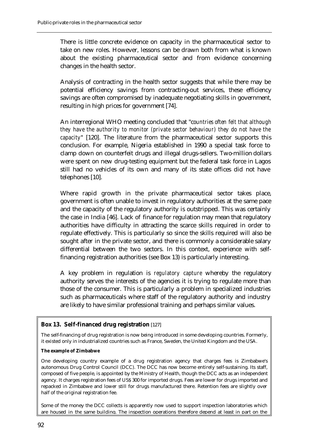There is little concrete evidence on capacity in the pharmaceutical sector to take on new roles. However, lessons can be drawn both from what is known about the existing pharmaceutical sector and from evidence concerning changes in the health sector.

Analysis of contracting in the health sector suggests that while there may be potential efficiency savings from contracting-out services, these efficiency savings are often compromised by inadequate negotiating skills in government, resulting in high prices for government [74].

An interregional WHO meeting concluded that "c*ountries often felt that although they have the authority to monitor (private sector behaviour) they do not have the capacity*" [120]. The literature from the pharmaceutical sector supports this conclusion. For example, Nigeria established in 1990 a special task force to clamp down on counterfeit drugs and illegal drugs-sellers. Two-million dollars were spent on new drug-testing equipment but the federal task force in Lagos still had no vehicles of its own and many of its state offices did not have telephones [10].

Where rapid growth in the private pharmaceutical sector takes place, government is often unable to invest in regulatory authorities at the same pace and the capacity of the regulatory authority is outstripped. This was certainly the case in India [46]. Lack of finance for regulation may mean that regulatory authorities have difficulty in attracting the scarce skills required in order to regulate effectively. This is particularly so since the skills required will also be sought after in the private sector, and there is commonly a considerable salary differential between the two sectors. In this context, experience with selffinancing registration authorities (see Box 13) is particularly interesting.

A key problem in regulation is *regulatory capture* whereby the regulatory authority serves the interests of the agencies it is trying to regulate more than those of the consumer. This is particularly a problem in specialized industries such as pharmaceuticals where staff of the regulatory authority and industry are likely to have similar professional training and perhaps similar values.

## **Box 13. Self-financed drug registration** [127]

The self-financing of drug registration is now being introduced in some developing countries. Formerly, it existed only in industrialized countries such as France, Sweden, the United Kingdom and the USA.

#### **The example of Zimbabwe**

One developing country example of a drug registration agency that charges fees is Zimbabwe's autonomous Drug Control Council (DCC). The DCC has now become entirely self-sustaining. Its staff, composed of five people, is appointed by the Ministry of Health, though the DCC acts as an independent agency. It charges registration fees of US\$ 300 for imported drugs. Fees are lower for drugs imported and repacked in Zimbabwe and lower still for drugs manufactured there. Retention fees are slightly over half of the original registration fee.

Some of the money the DCC collects is apparently now used to support inspection laboratories which are housed in the same building. The inspection operations therefore depend at least in part on the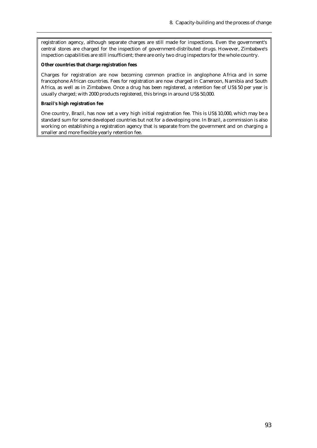registration agency, although separate charges are still made for inspections. Even the government's central stores are charged for the inspection of government-distributed drugs. However, Zimbabwe's inspection capabilities are still insufficient; there are only two drug inspectors for the whole country.

#### **Other countries that charge registration fees**

Charges for registration are now becoming common practice in anglophone Africa and in some francophone African countries. Fees for registration are now charged in Cameroon, Namibia and South Africa, as well as in Zimbabwe. Once a drug has been registered, a retention fee of US\$ 50 per year is usually charged; with 2000 products registered, this brings in around US\$ 50,000.

#### **Brazil's high registration fee**

One country, Brazil, has now set a very high initial registration fee. This is US\$ 10,000, which may be a standard sum for some developed countries but not for a developing one. In Brazil, a commission is also working on establishing a registration agency that is separate from the government and on charging a smaller and more flexible yearly retention fee.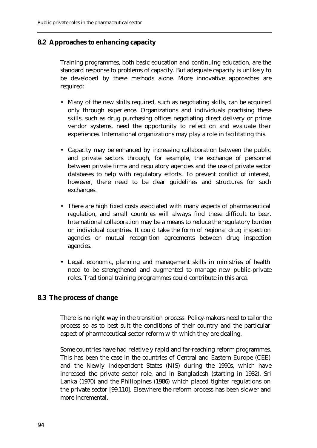## **8.2 Approaches to enhancing capacity**

Training programmes, both basic education and continuing education, are the standard response to problems of capacity. But adequate capacity is unlikely to be developed by these methods alone. More innovative approaches are required:

- Many of the new skills required, such as negotiating skills, can be acquired only through experience. Organizations and individuals practising these skills, such as drug purchasing offices negotiating direct delivery or prime vendor systems, need the opportunity to reflect on and evaluate their experiences. International organizations may play a role in facilitating this.
- Capacity may be enhanced by increasing collaboration between the public and private sectors through, for example, the exchange of personnel between private firms and regulatory agencies and the use of private sector databases to help with regulatory efforts. To prevent conflict of interest, however, there need to be clear guidelines and structures for such exchanges.
- There are high fixed costs associated with many aspects of pharmaceutical regulation, and small countries will always find these difficult to bear. International collaboration may be a means to reduce the regulatory burden on individual countries. It could take the form of regional drug inspection agencies or mutual recognition agreements between drug inspection agencies.
- Legal, economic, planning and management skills in ministries of health need to be strengthened and augmented to manage new public-private roles. Traditional training programmes could contribute in this area.

## **8.3 The process of change**

There is no right way in the transition process. Policy-makers need to tailor the process so as to best suit the conditions of their country and the particular aspect of pharmaceutical sector reform with which they are dealing.

Some countries have had relatively rapid and far-reaching reform programmes. This has been the case in the countries of Central and Eastern Europe (CEE) and the Newly Independent States (NIS) during the 1990s, which have increased the private sector role, and in Bangladesh (starting in 1982), Sri Lanka (1970) and the Philippines (1986) which placed tighter regulations on the private sector [99,110]. Elsewhere the reform process has been slower and more incremental.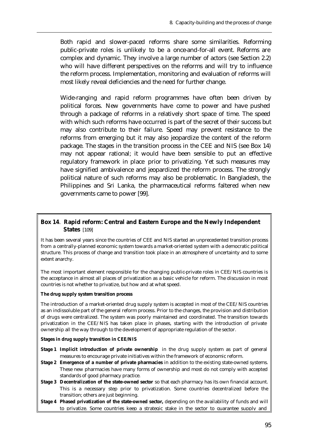Both rapid and slower-paced reforms share some similarities. Reforming public-private roles is unlikely to be a once-and-for-all event. Reforms are complex and dynamic. They involve a large number of actors (see Section 2.2) who will have different perspectives on the reforms and will try to influence the reform process. Implementation, monitoring and evaluation of reforms will most likely reveal deficiencies and the need for further change.

Wide-ranging and rapid reform programmes have often been driven by political forces. New governments have come to power and have pushed through a package of reforms in a relatively short space of time. The speed with which such reforms have occurred is part of the secret of their success but may also contribute to their failure. Speed may prevent resistance to the reforms from emerging but it may also jeopardize the content of the reform package. The stages in the transition process in the CEE and NIS (see Box 14) may not appear rational; it would have been sensible to put an effective regulatory framework in place prior to privatizing. Yet such measures may have signified ambivalence and jeopardized the reform process. The strongly political nature of such reforms may also be problematic. In Bangladesh, the Philippines and Sri Lanka, the pharmaceutical reforms faltered when new governments came to power [99].

## **Box 14**. **Rapid reform: Central and Eastern Europe and the Newly Independent States** [109]

It has been several years since the countries of CEE and NIS started an unprecedented transition process from a centrally-planned economic system towards a market-oriented system with a democratic political structure. This process of change and transition took place in an atmosphere of uncertainty and to some extent anarchy.

The most important element responsible for the changing public-private roles in CEE/NIS countries is the acceptance in almost all places of privatization as a basic vehicle for reform. The discussion in most countries is not whether to privatize, but how and at what speed.

#### **The drug supply system transition process**

The introduction of a market-oriented drug supply system is accepted in most of the CEE/NIS countries as an indissoluble part of the general reform process. Prior to the changes, the provision and distribution of drugs were centralized. The system was poorly maintained and coordinated. The transition towards privatization in the CEE/NIS has taken place in phases, starting with the introduction of private ownership all the way through to the development of appropriate regulation of the sector.

#### **Stages in drug supply transition in CEE/NIS**

**Stage 1 Implicit introduction of private ownership** in the drug supply system as part of general measures to encourage private initiatives within the framework of economic reform.

- **Stage 2 Emergence of a number of private pharmacies** in addition to the existing state-owned systems. These new pharmacies have many forms of ownership and most do not comply with accepted standards of good pharmacy practice.
- **Stage 3 Decentralization of the state-owned sector** so that each pharmacy has its own financial account. This is a necessary step prior to privatization. Some countries decentralized before the transition; others are just beginning.
- **Stage 4 Phased privatization of the state-owned sector,** depending on the availability of funds and will to privatize. Some countries keep a strategic stake in the sector to guarantee supply and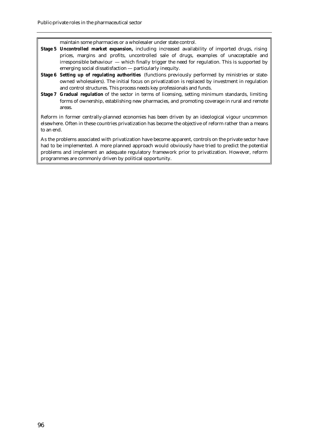maintain some pharmacies or a wholesaler under state control.

- **Stage 5 Uncontrolled market expansion,** including increased availability of imported drugs, rising prices, margins and profits, uncontrolled sale of drugs, examples of unacceptable and irresponsible behaviour  $-$  which finally trigger the need for regulation. This is supported by emerging social dissatisfaction — particularly inequity.
- **Stage 6 Setting up of regulating authorities** (functions previously performed by ministries or stateowned wholesalers). The initial focus on privatization is replaced by investment in regulation and control structures. This process needs key professionals and funds.
- **Stage 7 Gradual regulation** of the sector in terms of licensing, setting minimum standards, limiting forms of ownership, establishing new pharmacies, and promoting coverage in rural and remote areas.

Reform in former centrally-planned economies has been driven by an ideological vigour uncommon elsewhere. Often in these countries privatization has become the objective of reform rather than a means to an end.

As the problems associated with privatization have become apparent, controls on the private sector have had to be implemented. A more planned approach would obviously have tried to predict the potential problems and implement an adequate regulatory framework prior to privatization. However, reform programmes are commonly driven by political opportunity.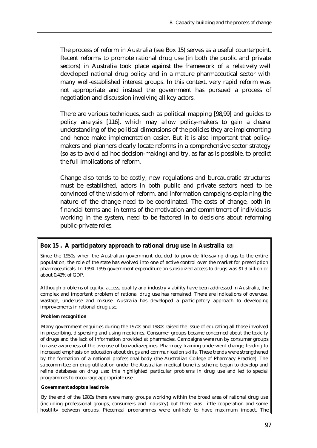The process of reform in Australia (see Box 15) serves as a useful counterpoint. Recent reforms to promote rational drug use (in both the public and private sectors) in Australia took place against the framework of a relatively well developed national drug policy and in a mature pharmaceutical sector with many well-established interest groups. In this context, very rapid reform was not appropriate and instead the government has pursued a process of negotiation and discussion involving all key actors.

There are various techniques, such as political mapping [98,99] and guides to policy analysis [116], which may allow policy-makers to gain a clearer understanding of the political dimensions of the policies they are implementing and hence make implementation easier. But it is also important that policymakers and planners clearly locate reforms in a comprehensive sector strategy (so as to avoid ad hoc decision-making) and try, as far as is possible, to predict the full implications of reform.

Change also tends to be costly; new regulations and bureaucratic structures must be established, actors in both public and private sectors need to be convinced of the wisdom of reform, and information campaigns explaining the nature of the change need to be coordinated. The costs of change, both in financial terms and in terms of the motivation and commitment of individuals working in the system, need to be factored in to decisions about reforming public-private roles.

## **Box 15 . A participatory approach to rational drug use in Australia** [83]

Since the 1950s when the Australian government decided to provide life-saving drugs to the entire population, the role of the state has evolved into one of active control over the market for prescription pharmaceuticals. In 1994–1995 government expenditure on subsidized access to drugs was \$1.9 billion or about 0.42% of GDP.

Although problems of equity, access, quality and industry viability have been addressed in Australia, the complex and important problem of rational drug use has remained. There are indications of overuse, wastage, underuse and misuse. Australia has developed a participatory approach to developing improvements in rational drug use.

#### **Problem recognition**

Many government enquiries during the 1970s and 1980s raised the issue of educating all those involved in prescribing, dispensing and using medicines. Consumer groups became concerned about the toxicity of drugs and the lack of information provided at pharmacies. Campaigns were run by consumer groups to raise awareness of the overuse of benzodiazepines. Pharmacy training underwent change, leading to increased emphasis on education about drugs and communication skills. These trends were strengthened by the formation of a national professional body (the Australian College of Pharmacy Practice). The subcommittee on drug utilization under the Australian medical benefits scheme began to develop and refine databases on drug use; this highlighted particular problems in drug use and led to special programmes to encourage appropriate use.

#### **Government adopts a lead role**

By the end of the 1980s there were many groups working within the broad area of rational drug use (including professional groups, consumers and industry) but there was little cooperation and some hostility between groups. Piecemeal programmes were unlikely to have maximum impact. The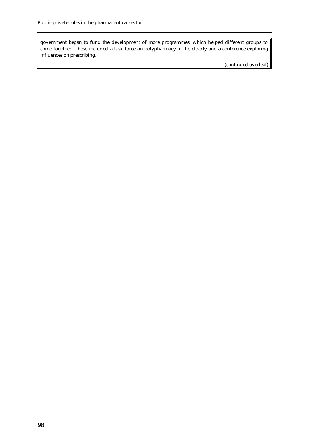government began to fund the development of more programmes, which helped different groups to come together. These included a task force on polypharmacy in the elderly and a conference exploring influences on prescribing.

(continued overleaf)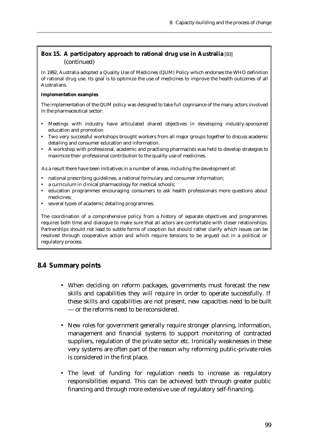## **Box 15. A participatory approach to rational drug use in Australia** [83] (continued)

In 1992, Australia adopted a Quality Use of Medicines (QUM) Policy which endorses the WHO definition of rational drug use. Its goal is to optimize the use of medicines to improve the health outcomes of all Australians.

#### **Implementation examples**

The implementation of the QUM policy was designed to take full cognisance of the many actors involved in the pharmaceutical sector:

- Meetings with industry have articulated shared objectives in developing industry-sponsored education and promotion
- Two very successful workshops brought workers from all major groups together to discuss academic detailing and consumer education and information.
- A workshop with professional, academic and practising pharmacists was held to develop strategies to maximize their professional contribution to the quality use of medicines.

As a result there have been initiatives in a number of areas, including the development of:

- national prescribing guidelines, a national formulary and consumer information;
- a curriculum in clinical pharmacology for medical schools;
- education programmes encouraging consumers to ask health professionals more questions about medicines;
- several types of academic detailing programmes.

The coordination of a comprehensive policy from a history of separate objectives and programmes requires both time and dialogue to make sure that all actors are comfortable with closer relationships. Partnerships should not lead to subtle forms of cooption but should rather clarify which issues can be resolved through cooperative action and which require tensions to be argued out in a political or regulatory process.

## **8.4 Summary points**

- When deciding on reform packages, governments must forecast the new skills and capabilities they will require in order to operate successfully. If these skills and capabilities are not present, new capacities need to be built — or the reforms need to be reconsidered.
- New roles for government generally require stronger planning, information, management and financial systems to support monitoring of contracted suppliers, regulation of the private sector etc. Ironically weaknesses in these very systems are often part of the reason why reforming public-private roles is considered in the first place.
- The level of funding for regulation needs to increase as regulatory responsibilities expand. This can be achieved both through greater public financing and through more extensive use of regulatory self-financing.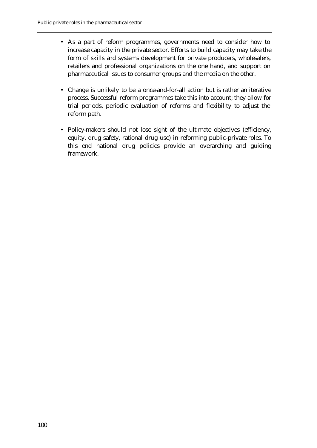- As a part of reform programmes, governments need to consider how to increase capacity in the private sector. Efforts to build capacity may take the form of skills and systems development for private producers, wholesalers, retailers and professional organizations on the one hand, and support on pharmaceutical issues to consumer groups and the media on the other.
- Change is unlikely to be a once-and-for-all action but is rather an iterative process. Successful reform programmes take this into account; they allow for trial periods, periodic evaluation of reforms and flexibility to adjust the reform path.
- Policy-makers should not lose sight of the ultimate objectives (efficiency, equity, drug safety, rational drug use) in reforming public-private roles. To this end national drug policies provide an overarching and guiding framework.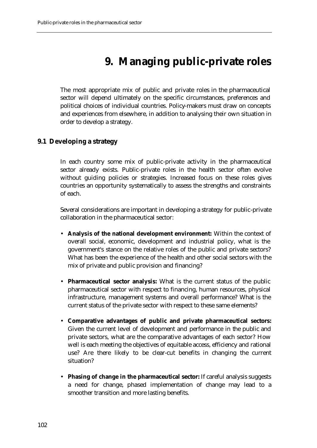# **9. Managing public-private roles**

The most appropriate mix of public and private roles in the pharmaceutical sector will depend ultimately on the specific circumstances, preferences and political choices of individual countries. Policy-makers must draw on concepts and experiences from elsewhere, in addition to analysing their own situation in order to develop a strategy.

## **9.1 Developing a strategy**

In each country some mix of public-private activity in the pharmaceutical sector already exists. Public-private roles in the health sector often evolve without guiding policies or strategies. Increased focus on these roles gives countries an opportunity systematically to assess the strengths and constraints of each.

Several considerations are important in developing a strategy for public-private collaboration in the pharmaceutical sector:

- **Analysis of the national development environment:** Within the context of overall social, economic, development and industrial policy, what is the government's stance on the relative roles of the public and private sectors? What has been the experience of the health and other social sectors with the mix of private and public provision and financing?
- **Pharmaceutical sector analysis:** What is the current status of the public pharmaceutical sector with respect to financing, human resources, physical infrastructure, management systems and overall performance? What is the current status of the private sector with respect to these same elements?
- **Comparative advantages of public and private pharmaceutical sectors:** Given the current level of development and performance in the public and private sectors, what are the comparative advantages of each sector? How well is each meeting the objectives of equitable access, efficiency and rational use? Are there likely to be clear-cut benefits in changing the current situation?
- **Phasing of change in the pharmaceutical sector:** If careful analysis suggests a need for change, phased implementation of change may lead to a smoother transition and more lasting benefits.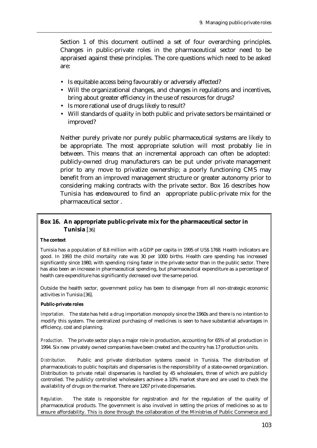Section 1 of this document outlined a set of four overarching principles. Changes in public-private roles in the pharmaceutical sector need to be appraised against these principles. The core questions which need to be asked are:

- Is equitable access being favourably or adversely affected?
- Will the organizational changes, and changes in regulations and incentives, bring about greater efficiency in the use of resources for drugs?
- Is more rational use of drugs likely to result?
- Will standards of quality in both public and private sectors be maintained or improved?

Neither purely private nor purely public pharmaceutical systems are likely to be appropriate. The most appropriate solution will most probably lie in between. This means that an incremental approach can often be adopted: publicly-owned drug manufacturers can be put under private management prior to any move to privatize ownership; a poorly functioning CMS may benefit from an improved management structure or greater autonomy prior to considering making contracts with the private sector. Box 16 describes how Tunisia has endeavoured to find an appropriate public-private mix for the pharmaceutical sector .

## **Box 16. An appropriate public-private mix for the pharmaceutical sector in Tunisia** [36]

#### **The context**

Tunisia has a population of 8.8 million with a GDP per capita in 1995 of US\$ 1768. Health indicators are good. In 1993 the child mortality rate was 30 per 1000 births. Health care spending has increased significantly since 1980, with spending rising faster in the private sector than in the public sector. There has also been an increase in pharmaceutical spending, but pharmaceutical expenditure as a percentage of health care expenditure has significantly decreased over the same period.

Outside the health sector, government policy has been to disengage from all non-strategic economic activities in Tunisia [36].

#### **Public-private roles**

*Importation.* The state has held a drug importation monopoly since the 1960s and there is no intention to modify this system. The centralized purchasing of medicines is seen to have substantial advantages in efficiency, cost and planning.

*Production.* The private sector plays a major role in production, accounting for 65% of all production in 1994. Six new privately owned companies have been created and the country has 17 production units.

*Distribution.* Public and private distribution systems coexist in Tunisia. The distribution of pharmaceuticals to public hospitals and dispensaries is the responsibility of a state-owned organization. Distribution to private retail dispensaries is handled by 45 wholesalers, three of which are publicly controlled. The publicly controlled wholesalers achieve a 10% market share and are used to check the availability of drugs on the market. There are 1267 private dispensaries.

*Regulation.* The state is responsible for registration and for the regulation of the quality of pharmaceutical products. The government is also involved in setting the prices of medicines so as to ensure affordability. This is done through the collaboration of the Ministries of Public Commerce and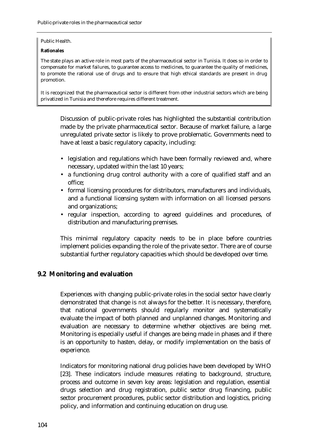#### Public Health.

#### **Rationales**

The state plays an active role in most parts of the pharmaceutical sector in Tunisia. It does so in order to compensate for market failures, to guarantee access to medicines, to guarantee the quality of medicines, to promote the rational use of drugs and to ensure that high ethical standards are present in drug promotion.

It is recognized that the pharmaceutical sector is different from other industrial sectors which are being privatized in Tunisia and therefore requires different treatment.

Discussion of public-private roles has highlighted the substantial contribution made by the private pharmaceutical sector. Because of market failure, a large unregulated private sector is likely to prove problematic. Governments need to have at least a basic regulatory capacity, including:

- legislation and regulations which have been formally reviewed and, where necessary, updated within the last 10 years;
- a functioning drug control authority with a core of qualified staff and an office;
- formal licensing procedures for distributors, manufacturers and individuals, and a functional licensing system with information on all licensed persons and organizations;
- regular inspection, according to agreed guidelines and procedures, of distribution and manufacturing premises.

This minimal regulatory capacity needs to be in place before countries implement policies expanding the role of the private sector. There are of course substantial further regulatory capacities which should be developed over time.

## **9.2 Monitoring and evaluation**

Experiences with changing public-private roles in the social sector have clearly demonstrated that change is *not* always for the better*.* It is necessary, therefore, that national governments should regularly monitor and systematically evaluate the impact of both planned and unplanned changes. Monitoring and evaluation are necessary to determine whether objectives are being met. Monitoring is especially useful if changes are being made in phases and if there is an opportunity to hasten, delay, or modify implementation on the basis of experience.

Indicators for monitoring national drug policies have been developed by WHO [23]. These indicators include measures relating to background, structure, process and outcome in seven key areas: legislation and regulation, essential drugs selection and drug registration, public sector drug financing, public sector procurement procedures, public sector distribution and logistics, pricing policy, and information and continuing education on drug use.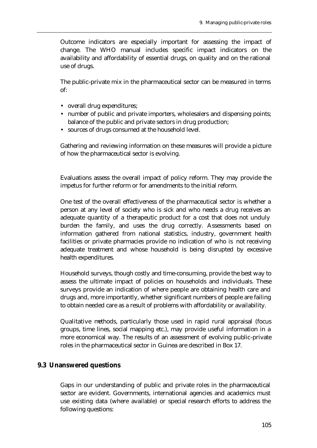Outcome indicators are especially important for assessing the impact of change. The WHO manual includes specific impact indicators on the availability and affordability of essential drugs, on quality and on the rational use of drugs.

The public-private mix in the pharmaceutical sector can be measured in terms of:

- overall drug expenditures;
- number of public and private importers, wholesalers and dispensing points; balance of the public and private sectors in drug production;
- sources of drugs consumed at the household level.

Gathering and reviewing information on these measures will provide a picture of how the pharmaceutical sector is evolving.

Evaluations assess the overall impact of policy reform. They may provide the impetus for further reform or for amendments to the initial reform.

One test of the overall effectiveness of the pharmaceutical sector is whether a person at any level of society who is sick and who needs a drug receives an adequate quantity of a therapeutic product for a cost that does not unduly burden the family, and uses the drug correctly. Assessments based on information gathered from national statistics, industry, government health facilities or private pharmacies provide no indication of who is not receiving adequate treatment and whose household is being disrupted by excessive health expenditures.

Household surveys, though costly and time-consuming, provide the best way to assess the ultimate impact of policies on households and individuals. These surveys provide an indication of where people are obtaining health care and drugs and, more importantly, whether significant numbers of people are failing to obtain needed care as a result of problems with affordability or availability.

Qualitative methods, particularly those used in rapid rural appraisal (focus groups, time lines, social mapping etc.), may provide useful information in a more economical way. The results of an assessment of evolving public-private roles in the pharmaceutical sector in Guinea are described in Box 17.

## **9.3 Unanswered questions**

Gaps in our understanding of public and private roles in the pharmaceutical sector are evident. Governments, international agencies and academics must use existing data (where available) or special research efforts to address the following questions: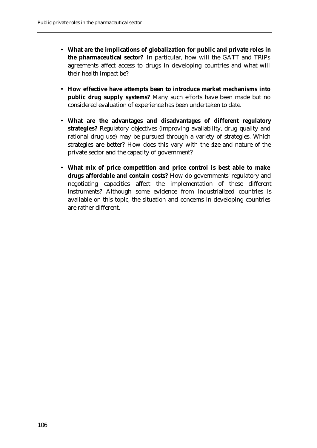- **What are the implications of globalization for public and private roles in the pharmaceutical sector?** In particular, how will the GATT and TRIPs agreements affect access to drugs in developing countries and what will their health impact be?
- **How effective have attempts been to introduce market mechanisms into public drug supply systems?** Many such efforts have been made but no considered evaluation of experience has been undertaken to date.
- **What are the advantages and disadvantages of different regulatory strategies?** Regulatory objectives (improving availability, drug quality and rational drug use) may be pursued through a variety of strategies. Which strategies are better? How does this vary with the size and nature of the private sector and the capacity of government?
- **What mix of price competition and price control is best able to make drugs affordable and contain costs?** How do governments' regulatory and negotiating capacities affect the implementation of these different instruments? Although some evidence from industrialized countries is available on this topic, the situation and concerns in developing countries are rather different.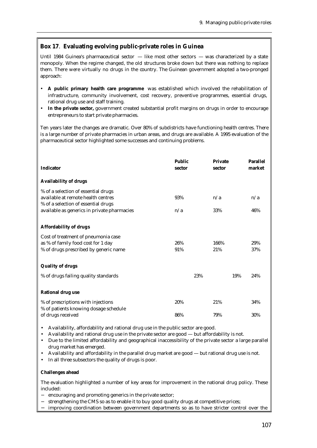#### **Box 17**. **Evaluating evolving public-private roles in Guinea**

Until 1984 Guinea's pharmaceutical sector  $-$  like most other sectors  $-$  was characterized by a state monopoly. When the regime changed, the old structures broke down but there was nothing to replace them. There were virtually no drugs in the country. The Guinean government adopted a two-pronged approach:

- **A public primary health care programme** was established which involved the rehabilitation of infrastructure, community involvement, cost recovery, preventive programmes, essential drugs, rational drug use and staff training.
- **In the private sector,** government created substantial profit margins on drugs in order to encourage entrepreneurs to start private pharmacies.

Ten years later the changes are dramatic. Over 80% of subdistricts have functioning health centres. There is a large number of private pharmacies in urban areas, and drugs are available. A 1995 evaluation of the pharmaceutical sector highlighted some successes and continuing problems.

| <b>Indicator</b>                                                                                                   | <b>Public</b><br>sector | <b>Private</b><br>sector | <b>Parallel</b><br>market |
|--------------------------------------------------------------------------------------------------------------------|-------------------------|--------------------------|---------------------------|
| <b>Availability of drugs</b>                                                                                       |                         |                          |                           |
| % of a selection of essential drugs<br>available at remote health centres<br>% of a selection of essential drugs   | 93%                     | n/a                      | n/a                       |
| available as generics in private pharmacies                                                                        | n/a                     | 33%                      | 46%                       |
| <b>Affordability of drugs</b>                                                                                      |                         |                          |                           |
| Cost of treatment of pneumonia case<br>as % of family food cost for 1 day<br>% of drugs prescribed by generic name | 26%<br>91%              | 166%<br>21%              | 29%<br>37%                |
| <b>Quality of drugs</b>                                                                                            |                         |                          |                           |
| % of drugs failing quality standards                                                                               | 23%                     | 19%                      | 24%                       |
| <b>Rational drug use</b>                                                                                           |                         |                          |                           |
| % of prescriptions with injections<br>% of patients knowing dosage schedule                                        | 20%                     | 21%                      | 34%                       |
| of drugs received                                                                                                  | 86%                     | 79%                      | 30%                       |

- Availability, affordability and rational drug use in the public sector are good.
- Availability and rational drug use in the private sector are good but affordability is not.
- Due to the limited affordability and geographical inaccessibility of the private sector a large parallel drug market has emerged.
- Availability and affordability in the parallel drug market are good but rational drug use is not.
- In all three subsectors the quality of drugs is poor.

#### **Challenges ahead**

The evaluation highlighted a number of key areas for improvement in the national drug policy. These included:

- encouraging and promoting generics in the private sector;
- strengthening the CMS so as to enable it to buy good quality drugs at competitive prices;
- improving coordination between government departments so as to have stricter control over the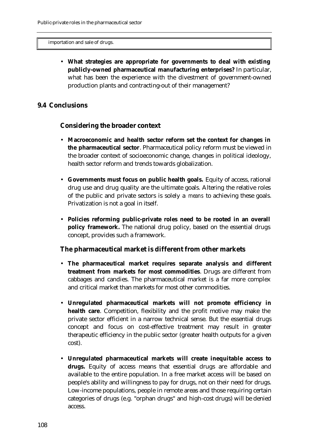#### importation and sale of drugs.

• **What strategies are appropriate for governments to deal with existing publicly-owned pharmaceutical manufacturing enterprises?** In particular, what has been the experience with the divestment of government-owned production plants and contracting-out of their management?

### **9.4 Conclusions**

### **Considering the broader context**

- **Macroeconomic and health sector reform set the context for changes in the pharmaceutical sector**. Pharmaceutical policy reform must be viewed in the broader context of socioeconomic change, changes in political ideology, health sector reform and trends towards globalization.
- **Governments must focus on public health goals.** Equity of access, rational drug use and drug quality are the ultimate goals. Altering the relative roles of the public and private sectors is solely a *means* to achieving these goals. Privatization is not a goal in itself.
- **Policies reforming public-private roles need to be rooted in an overall policy framework.** The national drug policy, based on the essential drugs concept, provides such a framework.

#### **The pharmaceutical market is different from other markets**

- **The pharmaceutical market requires separate analysis and different treatment from markets for most commodities**. Drugs are different from cabbages and candies. The pharmaceutical market is a far more complex and critical market than markets for most other commodities.
- **Unregulated pharmaceutical markets will not promote efficiency in health care**. Competition, flexibility and the profit motive may make the private sector efficient in a narrow technical sense. But the essential drugs concept and focus on cost-effective treatment may result in greater therapeutic efficiency in the public sector (greater health outputs for a given cost).
- **Unregulated pharmaceutical markets will create inequitable access to** drugs. Equity of access means that essential drugs are affordable and available to the entire population. In a free market access will be based on people's ability and willingness to pay for drugs, not on their need for drugs. Low-income populations, people in remote areas and those requiring certain categories of drugs (e.g. "orphan drugs" and high-cost drugs) will be denied access.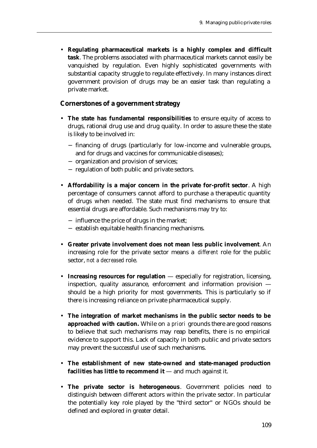• **Regulating pharmaceutical markets is a highly complex and difficult task**. The problems associated with pharmaceutical markets cannot easily be vanquished by regulation. Even highly sophisticated governments with substantial capacity struggle to regulate effectively. In many instances direct government provision of drugs may be an easier task than regulating a private market.

## **Cornerstones of a government strategy**

- **The state has fundamental responsibilities** to ensure equity of access to drugs, rational drug use and drug quality. In order to assure these the state is likely to be involved in:
	- − financing of drugs (particularly for low-income and vulnerable groups, and for drugs and vaccines for communicable diseases);
	- − organization and provision of services;
	- − regulation of both public and private sectors.
- **Affordability is a major concern in the private for-profit sector**. A high percentage of consumers cannot afford to purchase a therapeutic quantity of drugs when needed. The state must find mechanisms to ensure that essential drugs are affordable. Such mechanisms may try to:
	- − influence the price of drugs in the market;
	- − establish equitable health financing mechanisms.
- **Greater private involvement does not mean less public involvement**. An increasing role for the private sector means a *different* role for the public sector, *not a decreased* role.
- **Increasing resources for regulation** especially for registration, licensing, inspection, quality assurance, enforcement and information provision should be a high priority for most governments. This is particularly so if there is increasing reliance on private pharmaceutical supply.
- **The integration of market mechanisms in the public sector needs to be approached with caution.** While on *a priori* grounds there are good reasons to believe that such mechanisms may reap benefits, there is no empirical evidence to support this. Lack of capacity in both public and private sectors may prevent the successful use of such mechanisms.
- **The establishment of new state-owned and state-managed production facilities has little to recommend it** — and much against it.
- **The private sector is heterogeneous**. Government policies need to distinguish between different actors within the private sector. In particular the potentially key role played by the "third sector" or NGOs should be defined and explored in greater detail.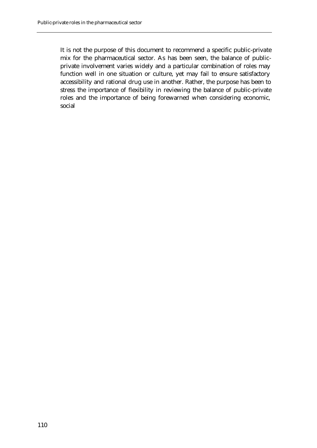It is not the purpose of this document to recommend a specific public-private mix for the pharmaceutical sector. As has been seen, the balance of publicprivate involvement varies widely and a particular combination of roles may function well in one situation or culture, yet may fail to ensure satisfactory accessibility and rational drug use in another. Rather, the purpose has been to stress the importance of flexibility in reviewing the balance of public-private roles and the importance of being forewarned when considering economic, social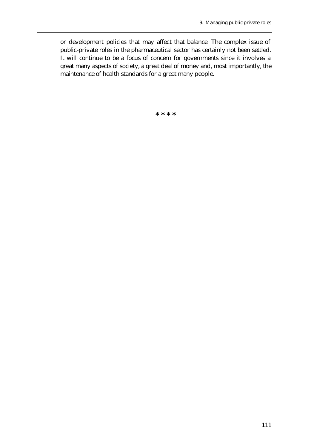or development policies that may affect that balance. The complex issue of public-private roles in the pharmaceutical sector has certainly not been settled. It will continue to be a focus of concern for governments since it involves a great many aspects of society, a great deal of money and, most importantly, the maintenance of health standards for a great many people.

**\* \* \* \***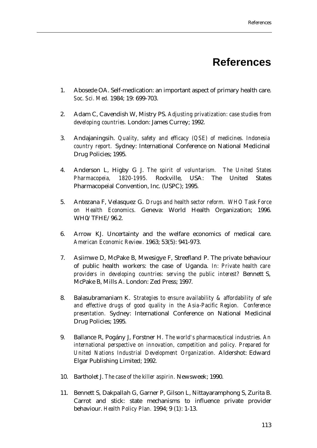## **References**

- 1. Abosede OA. Self-medication: an important aspect of primary health care. *Soc. Sci. Med.* 1984; 19: 699-703.
- 2. Adam C, Cavendish W, Mistry PS. *Adjusting privatization: case studies from developing countries.* London: James Currey; 1992.
- 3. Andajaningsih. *Quality, safety and efficacy (QSE) of medicines. Indonesia country report.* Sydney: International Conference on National Medicinal Drug Policies; 1995.
- 4. Anderson L, Higby G J. *The spirit of voluntarism. The United States Pharmacopeia, 1820-1995.* Rockville, USA: The United States Pharmacopeial Convention, Inc. (USPC); 1995.
- 5. Antezana F, Velasquez G. *Drugs and health sector reform. WHO Task Force on Health Economics.* Geneva: World Health Organization; 1996. WH0/TFHE/96.2.
- 6. Arrow KJ. Uncertainty and the welfare economics of medical care. *American Economic Review.* 1963; 53(5): 941-973.
- 7. Asiimwe D, McPake B, Mwesigye F, Streefland P. The private behaviour of public health workers: the case of Uganda. *In: Private health care providers in developing countries: serving the public interest?* Bennett S, McPake B, Mills A. London: Zed Press; 1997.
- 8. Balasubramaniam K. *Strategies to ensure availability & affordability of safe and effective drugs of good quality in the Asia-Pacific Region. Conference presentation.* Sydney: International Conference on National Medicinal Drug Policies; 1995.
- 9. Ballance R, Pogány J, Forstner H. *The world's pharmaceutical industries. An international perspective on innovation, competition and policy. Prepared for United Nations Industrial Development Organization.* Aldershot: Edward Elgar Publishing Limited; 1992.
- 10. Bartholet J. *The case of the killer aspirin.* Newsweek; 1990.
- 11. Bennett S, Dakpallah G, Garner P, Gilson L, Nittayaramphong S, Zurita B. Carrot and stick: state mechanisms to influence private provider behaviour. *Health Policy Plan.* 1994; 9 (1): 1-13.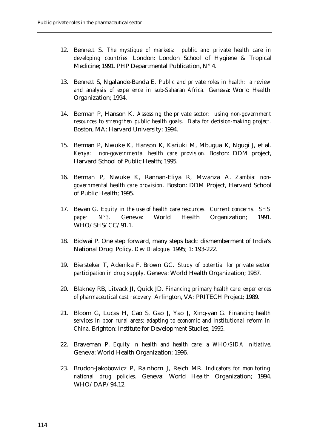- 12. Bennett S. *The mystique of markets: public and private health care in developing countries.* London: London School of Hygiene & Tropical Medicine; 1991. PHP Departmental Publication, N° 4.
- 13. Bennett S, Ngalande-Banda E. *Public and private roles in health: a review and analysis of experience in sub-Saharan Africa.* Geneva: World Health Organization; 1994.
- 14. Berman P, Hanson K. *Assessing the private sector: using non-government resources to strengthen public health goals. Data for decision-making project.*  Boston, MA: Harvard University; 1994.
- 15. Berman P, Nwuke K, Hanson K, Kariuki M, Mbugua K, Ngugi J, et al. *Kenya: non-governmental health care provision.* Boston: DDM project, Harvard School of Public Health; 1995.
- 16. Berman P, Nwuke K, Rannan-Eliya R, Mwanza A. *Zambia: nongovernmental health care provision.* Boston: DDM Project, Harvard School of Public Health; 1995.
- 17. Bevan G. *Equity in the use of health care resources. Current concerns. SHS paper N°3.* Geneva: World Health Organization; 1991. WHO/SHS/CC/91.1.
- 18. Bidwai P. One step forward, many steps back: dismemberment of India's National Drug Policy. *Dev Dialogue.* 1995; 1: 193-222.
- 19. Biersteker T, Adenika F, Brown GC. *Study of potential for private sector participation in drug supply.* Geneva: World Health Organization; 1987.
- 20. Blakney RB, Litvack JI, Quick JD. *Financing primary health care: experiences of pharmaceutical cost recovery.* Arlington, VA: PRITECH Project; 1989.
- 21. Bloom G, Lucas H, Cao S, Gao J, Yao J, Xing-yan G. *Financing health services in poor rural areas: adapting to economic and institutional reform in China.* Brighton: Institute for Development Studies; 1995.
- 22. Braveman P. *Equity in health and health care: a WHO/SIDA initiative.* Geneva: World Health Organization; 1996.
- 23. Brudon-Jakobowicz P, Rainhorn J, Reich MR. *Indicators for monitoring national drug policies.* Geneva: World Health Organization; 1994. WHO/DAP/94.12.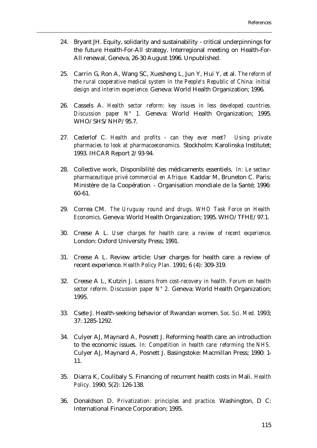- 24. Bryant JH. Equity, solidarity and sustainability critical underpinnings for the future Health-For-All strategy. Interregional meeting on Health-For-All renewal, Geneva, 26-30 August 1996. Unpublished.
- 25. Carrin G, Ron A, Wang SC, Xuesheng L, Jun Y, Hui Y, et al. *The reform of the rural cooperative medical system in the People's Republic of China: initial design and interim experience.* Geneva: World Health Organization; 1996.
- 26. Cassels A. *Health sector reform: key issues in less developed countries. Discussion paper N° 1.* Geneva: World Health Organization; 1995. WHO/SHS/NHP/95.7.
- 27. Cederlof C. *Health and profits can they ever meet? Using private pharmacies to look at pharmacoeconomics.* Stockholm: Karolinska Institutet; 1993. IHCAR Report 2/93-94.
- 28. Collective work, Disponibilité des médicaments essentiels. *In: Le secteur pharmaceutique privé commercial en Afrique.* Kaddar M, Bruneton C. Paris: Ministère de la Coopération - Organisation mondiale de la Santé; 1996: 60-61.
- 29. Correa CM. *The Uruguay round and drugs. WHO Task Force on Health Economics.* Geneva: World Health Organization; 1995. WHO/TFHE/97.1.
- 30. Creese A L. *User charges for health care: a review of recent experience.* London: Oxford University Press; 1991.
- 31. Creese A L. Review article: User charges for health care: a review of recent experience. *Health Policy Plan.* 1991; 6 (4): 309-319.
- 32. Creese A L, Kutzin J. *Lessons from cost-recovery in health. Forum on health sector reform. Discussion paper N° 2.* Geneva: World Health Organization; 1995.
- 33. Csete J. Health-seeking behavior of Rwandan women. *Soc. Sci. Med.* 1993; 37: 1285-1292.
- 34. Culyer AJ, Maynard A, Posnett J. Reforming health care: an introduction to the economic issues. *In: Competition in health care: reforming the NHS.*  Culyer AJ, Maynard A, Posnett J. Basingstoke: Macmillan Press; 1990: 1- 11.
- 35. Diarra K, Coulibaly S. Financing of recurrent health costs in Mali. *Health Policy.* 1990; 5(2): 126-138.
- 36. Donaldson D. *Privatization: principles and practice.* Washington, D C: International Finance Corporation; 1995.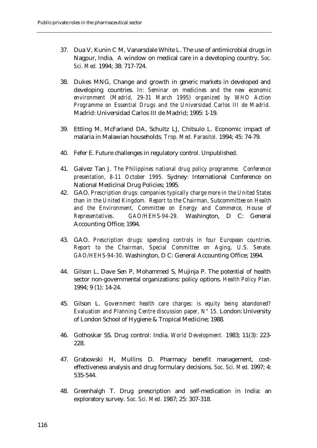- 37. Dua V, Kunin C M, Vanarsdale White L. The use of antimicrobial drugs in Nagpur, India. A window on medical care in a developing country. *Soc. Sci. Med.* 1994; 38: 717-724.
- 38. Dukes MNG, Change and growth in generic markets in developed and developing countries. *In: Seminar on medicines and the new economic environment (Madrid, 29-31 March 1995) organized by WHO Action Programme on Essential Drugs and the Universidad Carlos III de Madrid.*  Madrid: Universidad Carlos III de Madrid; 1995: 1-19.
- 39. Ettling M, McFarland DA, Schultz LJ, Chitsulo L. Economic impact of malaria in Malawian households. *Trop. Med. Parasitol.* 1994; 45: 74-79.
- 40. Fefer E. Future challenges in regulatory control. Unpublished.
- 41. Galvez Tan J. *The Philippines national drug policy programme. Conference presentation, 8-11 October 1995.* Sydney: International Conference on National Medicinal Drug Policies; 1995.
- 42. GAO. *Prescription drugs: companies typically charge more in the United States than in the United Kingdom. Report to the Chairman, Subcommittee on Health and the Environment, Committee on Energy and Commerce, House of Representatives. GAO/HEHS-94-29.* Washington, D C: General Accounting Office; 1994.
- 43. GAO. *Prescription drugs: spending controls in four European countries. Report to the Chairman, Special Committee on Aging, U.S. Senate. GAO/HEHS-94-30.* Washington, D C: General Accounting Office; 1994.
- 44. Gilson L, Dave Sen P, Mohammed S, Mujinja P. The potential of health sector non-governmental organizations: policy options. *Health Policy Plan.*  1994; 9 (1): 14-24.
- 45. Gilson L. *Government health care charges: is equity being abandoned? Evaluation and Planning Centre discussion paper, N° 15.* London: University of London School of Hygiene & Tropical Medicine; 1988.
- 46. Gothoskar SS. Drug control: India. *World Development.* 1983; 11(3): 223- 228.
- 47. Grabowski H, Mullins D. Pharmacy benefit management, costeffectiveness analysis and drug formulary decisions. *Soc. Sci. Med.* 1997; 4: 535-544.
- 48. Greenhalgh T. Drug prescription and self-medication in India: an exploratory survey. *Soc. Sci. Med.* 1987; 25: 307-318.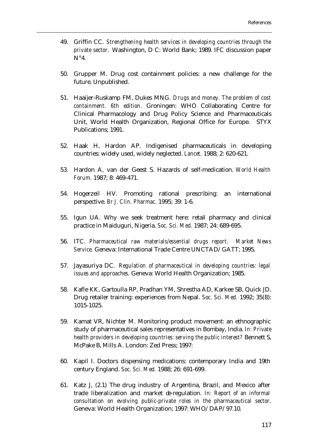- 49. Griffin CC. *Strengthening health services in developing countries through the private sector.* Washington, D C: World Bank; 1989. IFC discussion paper  $N^{\circ}4$ .
- 50. Grupper M. Drug cost containment policies: a new challenge for the future. Unpublished.
- 51. Haaijer-Ruskamp FM, Dukes MNG. *Drugs and money. The problem of cost containment. 6th edition.* Groningen: WHO Collaborating Centre for Clinical Pharmacology and Drug Policy Science and Pharmaceuticals Unit, World Health Organization, Regional Office for Europe. STYX Publications; 1991.
- 52. Haak H, Hardon AP. Indigenised pharmaceuticals in developing countries: widely used, widely neglected. *Lancet.* 1988; 2: 620-621.
- 53. Hardon A, van der Geest S. Hazards of self-medication. *World Health Forum.* 1987; 8: 469-471.
- 54. Hogerzeil HV. Promoting rational prescribing: an international perspective. *Br J. Clin. Pharmac.* 1995; 39: 1-6.
- 55. Igun UA. Why we seek treatment here: retail pharmacy and clinical practice in Maiduguri, Nigeria. *Soc. Sci. Med.* 1987; 24: 689-695.
- 56. ITC. *Pharmaceutical raw materials/essential drugs report. Market News Service.* Geneva: International Trade Centre UNCTAD/GATT; 1995.
- 57. Jayasuriya DC. *Regulation of pharmaceutical in developing countries: legal issues and approaches.* Geneva: World Health Organization; 1985.
- 58. Kafle KK, Gartoulla RP, Pradhan YM, Shrestha AD, Karkee SB, Quick JD. Drug retailer training: experiences from Nepal. *Soc. Sci. Med.* 1992; 35(8): 1015-1025.
- 59. Kamat VR, Nichter M. Monitoring product movement: an ethnographic study of pharmaceutical sales representatives in Bombay, India. *In: Private health providers in developing countries: serving the public interest?* Bennett S, McPake B, Mills A. London: Zed Press; 1997:
- 60. Kapil I. Doctors dispensing medications: contemporary India and 19th century England. *Soc. Sci. Med.* 1988; 26: 691-699.
- 61. Katz J, (2.1) The drug industry of Argentina, Brazil, and Mexico after trade liberalization and market de-regulation. *In: Report of an informal consultation on evolving public-private roles in the pharmaceutical sector.* Geneva: World Health Organization; 1997: WHO/DAP/97.10.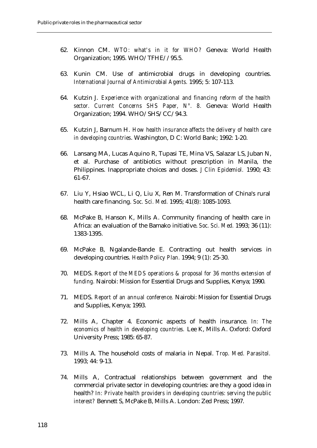- 62. Kinnon CM. *WTO: what's in it for WHO?* Geneva: World Health Organization; 1995. WHO/TFHE//95.5.
- 63. Kunin CM. Use of antimicrobial drugs in developing countries. *International Journal of Antimicrobial Agents.* 1995; 5: 107-113.
- 64. Kutzin J. *Experience with organizational and financing reform of the health sector. Current Concerns SHS Paper, N°. 8.* Geneva: World Health Organization; 1994. WHO/SHS/CC/94.3.
- 65. Kutzin J, Barnum H. *How health insurance affects the delivery of health care in developing countries*. Washington, D C: World Bank; 1992: 1-20.
- 66. Lansang MA, Lucas Aquino R, Tupasi TE, Mina VS, Salazar LS, Juban N, et al. Purchase of antibiotics without prescription in Manila, the Philippines. Inappropriate choices and doses. *J Clin Epidemiol.* 1990; 43: 61-67.
- 67. Liu Y, Hsiao WCL, Li Q, Liu X, Ren M. Transformation of China's rural health care financing. *Soc. Sci. Med.* 1995; 41(8): 1085-1093.
- 68. McPake B, Hanson K, Mills A. Community financing of health care in Africa: an evaluation of the Bamako initiative. *Soc. Sci. Med.* 1993; 36 (11): 1383-1395.
- 69. McPake B, Ngalande-Bande E. Contracting out health services in developing countries. *Health Policy Plan.* 1994; 9 (1): 25-30.
- 70. MEDS. *Report of the MEDS operations & proposal for 36 months extension of funding.* Nairobi: Mission for Essential Drugs and Supplies, Kenya; 1990.
- 71. MEDS. *Report of an annual conference.* Nairobi: Mission for Essential Drugs and Supplies, Kenya; 1993.
- 72. Mills A, Chapter 4. Economic aspects of health insurance. *In: The economics of health in developing countries.* Lee K, Mills A. Oxford: Oxford University Press; 1985: 65-87.
- 73. Mills A. The household costs of malaria in Nepal. *Trop. Med. Parasitol.*  1993; 44: 9-13.
- 74. Mills A, Contractual relationships between government and the commercial private sector in developing countries: are they a good idea in health? *In: Private health providers in developing countries: serving the public interest?* Bennett S, McPake B, Mills A. London: Zed Press; 1997.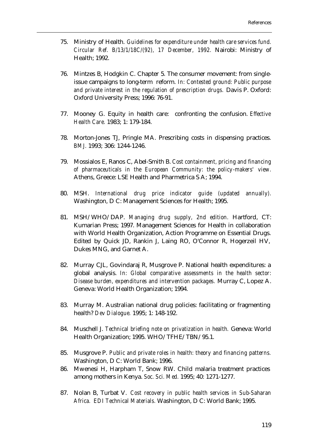- 75. Ministry of Health. *Guidelines for expenditure under health care services fund. Circular Ref. B/13/1/18C/(92), 17 December, 1992.* Nairobi: Ministry of Health; 1992.
- 76. Mintzes B, Hodgkin C. Chapter 5. The consumer movement: from singleissue campaigns to long-term reform. *In: Contested ground: Public purpose and private interest in the regulation of prescription drugs.* Davis P. Oxford: Oxford University Press; 1996: 76-91.
- 77. Mooney G. Equity in health care: confronting the confusion. *Effective Health Care.* 1983; 1: 179-184.
- 78. Morton-Jones TJ, Pringle MA. Prescribing costs in dispensing practices. *BMJ.* 1993; 306: 1244-1246.
- 79. Mossialos E, Ranos C, Abel-Smith B. *Cost containment, pricing and financing of pharmaceuticals in the European Community: the policy-makers' view.* Athens, Greece: LSE Health and Pharmetrica S A; 1994.
- 80. MSH. *International drug price indicator guide (updated annually).* Washington, D C: Management Sciences for Health; 1995.
- 81. MSH/WHO/DAP. *Managing drug supply, 2nd edition.* Hartford, CT: Kumarian Press; 1997. Management Sciences for Health in collaboration with World Health Organization, Action Programme on Essential Drugs. Edited by Quick JD, Rankin J, Laing RO, O'Connor R, Hogerzeil HV, Dukes MNG, and Garnet A.
- 82. Murray CJL, Govindaraj R, Musgrove P. National health expenditures: a global analysis. *In: Global comparative assessments in the health sector: Disease burden, expenditures and intervention packages.* Murray C, Lopez A. Geneva: World Health Organization; 1994.
- 83. Murray M. Australian national drug policies: facilitating or fragmenting health? *Dev Dialogue.* 1995; 1: 148-192.
- 84. Muschell J. *Technical briefing note on privatization in health.* Geneva: World Health Organization; 1995. WHO/TFHE/TBN/95.1.
- 85. Musgrove P. *Public and private roles in health: theory and financing patterns.*  Washington, D C: World Bank; 1996.
- 86. Mwenesi H, Harpham T, Snow RW. Child malaria treatment practices among mothers in Kenya. *Soc. Sci. Med.* 1995; 40: 1271-1277.
- 87. Nolan B, Turbat V. *Cost recovery in public health services in Sub-Saharan Africa. EDI Technical Materials.* Washington, D C: World Bank; 1995.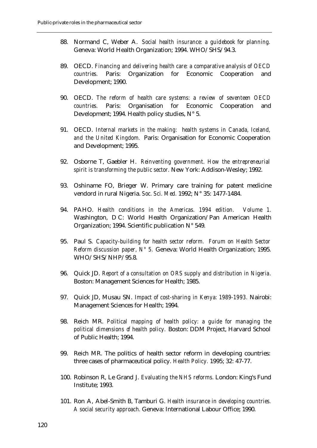- 88. Normand C, Weber A. *Social health insurance: a guidebook for planning.*  Geneva: World Health Organization; 1994. WHO/SHS/94.3.
- 89. OECD. *Financing and delivering health care: a comparative analysis of OECD countries.* Paris: Organization for Economic Cooperation and Development; 1990.
- 90. OECD. *The reform of health care systems: a review of seventeen OECD countries.* Paris: Organisation for Economic Cooperation and Development; 1994. Health policy studies, N° 5.
- 91. OECD. *Internal markets in the making: health systems in Canada, Iceland, and the United Kingdom.* Paris: Organisation for Economic Cooperation and Development; 1995.
- 92. Osborne T, Gaebler H. *Reinventing government. How the entrepreneurial spirit is transforming the public sector.* New York: Addison-Wesley; 1992.
- 93. Oshiname FO, Brieger W. Primary care training for patent medicine vendord in rural Nigeria. *Soc. Sci. Med.* 1992; N° 35: 1477-1484.
- 94. PAHO. *Health conditions in the Americas. 1994 edition. Volume 1.* Washington, D C: World Health Organization/Pan American Health Organization; 1994. Scientific publication N° 549.
- 95. Paul S. *Capacity-building for health sector reform. Forum on Health Sector Reform discussion paper, N° 5.* Geneva: World Health Organization; 1995. WHO/SHS/NHP/95.8.
- 96. Quick JD. *Report of a consultation on ORS supply and distribution in Nigeria.*  Boston: Management Sciences for Health; 1985.
- 97. Quick JD, Musau SN. *Impact of cost-sharing in Kenya: 1989-1993.* Nairobi: Management Sciences for Health; 1994.
- 98. Reich MR. *Political mapping of health policy: a guide for managing the political dimensions of health policy.* Boston: DDM Project, Harvard School of Public Health; 1994.
- 99. Reich MR. The politics of health sector reform in developing countries: three cases of pharmaceutical policy. *Health Policy.* 1995; 32: 47-77.
- 100. Robinson R, Le Grand J. *Evaluating the NHS reforms.* London: King's Fund Institute; 1993.
- 101. Ron A, Abel-Smith B, Tamburi G. *Health insurance in developing countries. A social security approach.* Geneva: International Labour Office; 1990.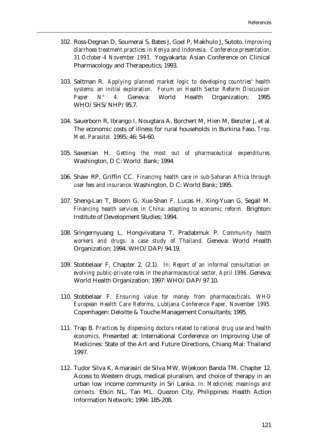- 102. Ross-Degnan D, Soumerai S, Bates J, Goel P, Makhulo J, Sutoto. *Improving diarrhoea treatment practices in Kenya and Indonesia. Conference presentation, 31 October-4 November 1993.* Yogyakarta: Asian Conference on Clinical Pharmacology and Therapeutics; 1993.
- 103. Saltman R. *Applying planned market logic to developing countries' health systems: an initial exploration. Forum on Health Sector Reform Discussion Paper N° 4.* Geneva: World Health Organization; 1995. WHO/SHS/NHP/95.7.
- 104. Sauerborn R, Ibrango I, Nougtara A, Borchert M, Hien M, Benzler J, et al. The economic costs of illness for rural households in Burkina Faso. *Trop. Med. Parasitol.* 1995; 46: 54-60.
- 105. Saxenian H. *Getting the most out of pharmaceutical expenditures.* Washington, D C: World Bank; 1994.
- 106. Shaw RP, Griffin CC. *Financing health care in sub-Saharan Africa through user fees and insurance.* Washington, D C: World Bank; 1995.
- 107. Sheng-Lan T, Bloom G, Xue-Shan F, Lucas H, Xing-Yuan G, Segall M. *Financing health services in China: adapting to economic reform.* Brighton: Institute of Development Studies; 1994.
- 108. Sringernyuang L, Hongvivatana T, Pradabmuk P. *Community health workers and drugs: a case study of Thailand.* Geneva: World Health Organization; 1994. WHO/DAP/94.19.
- 109. Stobbelaar F, Chapter 2. (2.1). *In: Report of an informal consultation on evolving public-private roles in the pharmaceutical sector, April 1996. Geneva:* World Health Organization; 1997: WHO/DAP/97.10.
- 110. Stobbelaar F. *Ensuring value for money from pharmaceuticals. WHO European Health Care Reforms, Lubljana Conference Paper, November 1995.*  Copenhagen: Deloitte & Touche Management Consultants; 1995.
- 111. Trap B. *Practices by dispensing doctors related to rational drug use and health economics*. Presented at: International Conference on Improving Use of Medicines: State of the Art and Future Directions, Chiang Mai: Thailand 1997.
- 112. Tudor Silva K, Amarasiri de Silva MW, Wijekoon Banda TM. Chapter 12. Access to Western drugs, medical pluralism, and choice of therapy in an urban low income community in Sri Lanka. *In: Medicines: meanings and contexts.* Etkin NL, Tan ML. Quezon City, Philippines: Health Action Information Network; 1994: 185-208.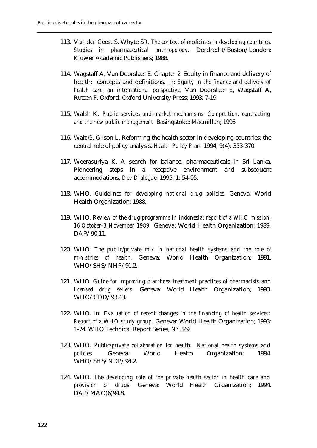- 113. Van der Geest S, Whyte SR. *The context of medicines in developing countries. Studies in pharmaceutical anthropology.* Dordrecht/Boston/London: Kluwer Academic Publishers; 1988.
- 114. Wagstaff A, Van Doorslaer E. Chapter 2. Equity in finance and delivery of health: concepts and definitions. *In: Equity in the finance and delivery of health care: an international perspective.* Van Doorslaer E, Wagstaff A, Rutten F. Oxford: Oxford University Press; 1993: 7-19.
- 115. Walsh K. *Public services and market mechanisms. Competition, contracting and the new public management.* Basingstoke: Macmillan; 1996.
- 116. Walt G, Gilson L. Reforming the health sector in developing countries: the central role of policy analysis. *Health Policy Plan.* 1994; 9(4): 353-370.
- 117. Weerasuriya K. A search for balance: pharmaceuticals in Sri Lanka. Pioneering steps in a receptive environment and subsequent accommodations. *Dev Dialogue.* 1995; 1: 54-95.
- 118. WHO. *Guidelines for developing national drug policies.* Geneva: World Health Organization; 1988.
- 119. WHO. *Review of the drug programme in Indonesia: report of a WHO mission, 16 October-3 November 1989.* Geneva: World Health Organization; 1989. DAP/90.11.
- 120. WHO. *The public/private mix in national health systems and the role of ministries of health.* Geneva: World Health Organization; 1991. WHO/SHS/NHP/91.2.
- 121. WHO. *Guide for improving diarrhoea treatment practices of pharmacists and licensed drug sellers.* Geneva: World Health Organization; 1993. WHO/CDD/93.43.
- 122. WHO. *In: Evaluation of recent changes in the financing of health services: Report of a WHO study group*. Geneva: World Health Organization; 1993: 1-74. WHO Technical Report Series, N° 829.
- 123. WHO. *Public/private collaboration for health. National health systems and policies.* Geneva: World Health Organization; 1994. WHO/SHS/NDP/94.2.
- 124. WHO. *The developing role of the private health sector in health care and provision of drugs.* Geneva: World Health Organization; 1994. DAP/MAC(6)94.8.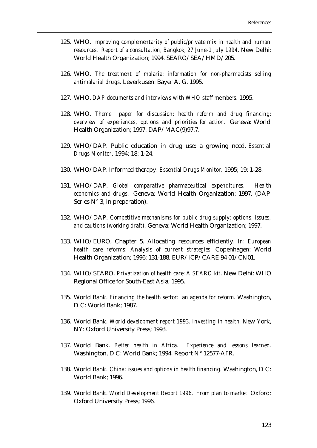- 125. WHO. *Improving complementarity of public/private mix in health and human resources. Report of a consultation, Bangkok, 27 June-1 July 1994.* New Delhi: World Health Organization; 1994. SEARO/SEA/HMD/205.
- 126. WHO. *The treatment of malaria: information for non-pharmacists selling antimalarial drugs.* Leverkusen: Bayer A. G. 1995.
- 127. WHO. *DAP documents and interviews with WHO staff members.* 1995.
- 128. WHO. *Theme paper for discussion: health reform and drug financing: overview of experiences, options and priorities for action.* Geneva: World Health Organization; 1997. DAP/MAC(9)97.7.
- 129. WHO/DAP. Public education in drug use: a growing need. *Essential Drugs Monitor.* 1994; 18: 1-24.
- 130. WHO/DAP. Informed therapy. *Essential Drugs Monitor.* 1995; 19: 1-28.
- 131. WHO/DAP. *Global comparative pharmaceutical expenditures. Health economics and drugs.* Geneva: World Health Organization; 1997. (DAP Series  $N^{\circ}$  3, in preparation).
- 132. WHO/DAP. *Competitive mechanisms for public drug supply: options, issues, and cautions (working draft).* Geneva: World Health Organization; 1997.
- 133. WHO/EURO, Chapter 5. Allocating resources efficiently. *In: European health care reforms: Analysis of current strategies.* Copenhagen: World Health Organization; 1996: 131-188. EUR/ICP/CARE 94 01/CN01.
- 134. WHO/SEARO. *Privatization of health care: A SEARO kit.* New Delhi: WHO Regional Office for South-East Asia; 1995.
- 135. World Bank. *Financing the health sector: an agenda for reform.* Washington, D C: World Bank; 1987.
- 136. World Bank. *World development report 1993. Investing in health.* New York, NY: Oxford University Press; 1993.
- 137. World Bank. *Better health in Africa. Experience and lessons learned.* Washington, D C: World Bank; 1994. Report N° 12577-AFR.
- 138. World Bank. *China: issues and options in health financing.* Washington, D C: World Bank; 1996.
- 139. World Bank. *World Development Report 1996. From plan to market.* Oxford: Oxford University Press; 1996.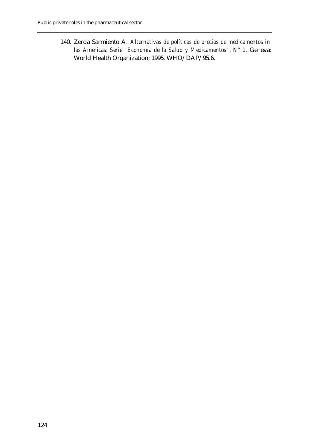140. Zerda Sarmiento A. *Alternativas de políticas de precios de medicamentos in*  las Americas: Serie "Economía de la Salud y Medicamentos", N° 1. Geneva: World Health Organization; 1995. WHO/DAP/95.6.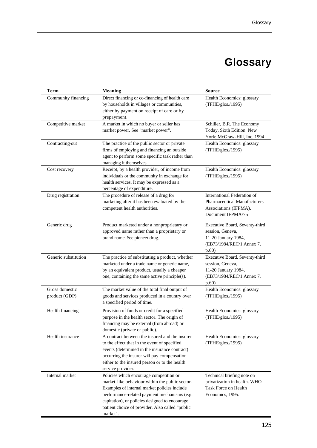## **Glossary**

| Term                            | <b>Meaning</b>                                                                                                                                                                                                                                                                                              | <b>Source</b>                                                                                                    |
|---------------------------------|-------------------------------------------------------------------------------------------------------------------------------------------------------------------------------------------------------------------------------------------------------------------------------------------------------------|------------------------------------------------------------------------------------------------------------------|
| Community financing             | Direct financing or co-financing of health care<br>by households in villages or communities,<br>either by payment on receipt of care or by<br>prepayment.                                                                                                                                                   | Health Economics: glossary<br>(TFHE/glos./1995)                                                                  |
| Competitive market              | A market in which no buyer or seller has<br>market power. See "market power".                                                                                                                                                                                                                               | Schiller, B.R. The Economy<br>Today, Sixth Edition. New<br>York: McGraw-Hill, Inc. 1994                          |
| Contracting-out                 | The practice of the public sector or private<br>firms of employing and financing an outside<br>agent to perform some specific task rather than<br>managing it themselves.                                                                                                                                   | Health Economics: glossary<br>(TFHE/glos./1995)                                                                  |
| Cost recovery                   | Receipt, by a health provider, of income from<br>individuals or the community in exchange for<br>health services. It may be expressed as a<br>percentage of expenditure.                                                                                                                                    | Health Economics: glossary<br>(TFHE/glos./1995)                                                                  |
| Drug registration               | The procedure of release of a drug for<br>marketing after it has been evaluated by the<br>competent health authorities.                                                                                                                                                                                     | International Federation of<br><b>Pharmaceutical Manufacturers</b><br>Associations (IFPMA).<br>Document IFPMA/75 |
| Generic drug                    | Product marketed under a nonproprietary or<br>approved name rather than a proprietary or<br>brand name. See pioneer drug.                                                                                                                                                                                   | Executive Board, Seventy-third<br>session, Geneva,<br>11-20 January 1984,<br>(EB73/1984/REC/1 Annex 7,<br>p.60)  |
| Generic substitution            | The practice of substituting a product, whether<br>marketed under a trade name or generic name,<br>by an equivalent product, usually a cheaper<br>one, containing the same active principle(s).                                                                                                             | Executive Board, Seventy-third<br>session, Geneva,<br>11-20 January 1984,<br>(EB73/1984/REC/1 Annex 7,<br>p.60)  |
| Gross domestic<br>product (GDP) | The market value of the total final output of<br>goods and services produced in a country over<br>a specified period of time.                                                                                                                                                                               | Health Economics: glossary<br>(TFHE/glos./1995)                                                                  |
| Health financing                | Provision of funds or credit for a specified<br>purpose in the health sector. The origin of<br>financing may be external (from abroad) or<br>domestic (private or public).                                                                                                                                  | Health Economics: glossary<br>(TFHE/glos./1995)                                                                  |
| Health insurance                | A contract between the insured and the insurer<br>to the effect that in the event of specified<br>events (determined in the insurance contract)<br>occurring the insurer will pay compensation<br>either to the insured person or to the health<br>service provider.                                        | Health Economics: glossary<br>(TFHE/glos./1995)                                                                  |
| Internal market                 | Policies which encourage competition or<br>market-like behaviour within the public sector.<br>Examples of internal market policies include<br>performance-related payment mechanisms (e.g.<br>capitation), or policies designed to encourage<br>patient choice of provider. Also called "public<br>market". | Technical briefing note on<br>privatization in health. WHO<br>Task Force on Health<br>Economics, 1995.           |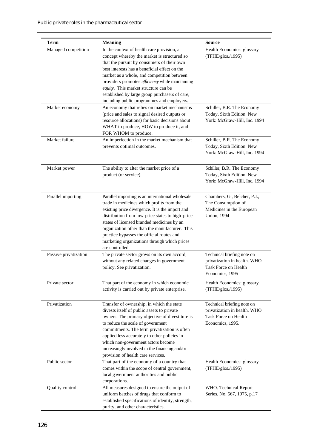| Term                  | <b>Meaning</b>                                                                                                                                                                                                                                                                                                                                                                                                                    | <b>Source</b>                                                                                          |
|-----------------------|-----------------------------------------------------------------------------------------------------------------------------------------------------------------------------------------------------------------------------------------------------------------------------------------------------------------------------------------------------------------------------------------------------------------------------------|--------------------------------------------------------------------------------------------------------|
| Managed competition   | In the context of health care provision, a<br>concept whereby the market is structured so<br>that the pursuit by consumers of their own<br>best interests has a beneficial effect on the<br>market as a whole, and competition between<br>providers promotes efficiency while maintaining<br>equity. This market structure can be<br>established by large group purchasers of care,<br>including public programmes and employers. | Health Economics: glossary<br>(TFHE/glos./1995)                                                        |
| Market economy        | An economy that relies on market mechanisms<br>(price and sales to signal desired outputs or<br>resource allocations) for basic decisions about<br>WHAT to produce, HOW to produce it, and<br>FOR WHOM to produce.                                                                                                                                                                                                                | Schiller, B.R. The Economy<br>Today, Sixth Edition. New<br>York: McGraw-Hill, Inc. 1994                |
| Market failure        | An imperfection in the market mechanism that<br>prevents optimal outcomes.                                                                                                                                                                                                                                                                                                                                                        | Schiller, B.R. The Economy<br>Today, Sixth Edition. New<br>York: McGraw-Hill, Inc. 1994                |
| Market power          | The ability to alter the market price of a<br>product (or service).                                                                                                                                                                                                                                                                                                                                                               | Schiller, B.R. The Economy<br>Today, Sixth Edition. New<br>York: McGraw-Hill, Inc. 1994                |
| Parallel importing    | Parallel importing is an international wholesale<br>trade in medicines which profits from the<br>existing price divergence. It is the import and<br>distribution from low-price states to high-price<br>states of licensed branded medicines by an<br>organization other than the manufacturer. This<br>practice bypasses the official routes and<br>marketing organizations through which prices<br>are controlled.              | Chambers, G., Belcher, P.J.,<br>The Consumption of<br>Medicines in the European<br><b>Union</b> , 1994 |
| Passive privatization | The private sector grows on its own accord,<br>without any related changes in government<br>policy. See privatization.                                                                                                                                                                                                                                                                                                            | Technical briefing note on<br>privatization in health. WHO<br>Task Force on Health<br>Economics, 1995  |
| Private sector        | That part of the economy in which economic<br>activity is carried out by private enterprise.                                                                                                                                                                                                                                                                                                                                      | Health Economics: glossary<br>(TFHE/glos./1995)                                                        |
| Privatization         | Transfer of ownership, in which the state<br>divests itself of public assets to private<br>owners. The primary objective of divestiture is<br>to reduce the scale of government<br>commitments. The term privatization is often<br>applied less accurately to other policies in<br>which non-government actors become<br>increasingly involved in the financing and/or<br>provision of health care services.                      | Technical briefing note on<br>privatization in health. WHO<br>Task Force on Health<br>Economics, 1995. |
| Public sector         | That part of the economy of a country that<br>comes within the scope of central government,<br>local government authorities and public<br>corporations.                                                                                                                                                                                                                                                                           | Health Economics: glossary<br>(TFHE/glos./1995)                                                        |
| Quality control       | All measures designed to ensure the output of<br>uniform batches of drugs that conform to<br>established specifications of identity, strength,<br>purity, and other characteristics.                                                                                                                                                                                                                                              | WHO. Technical Report<br>Series, No. 567, 1975, p.17                                                   |